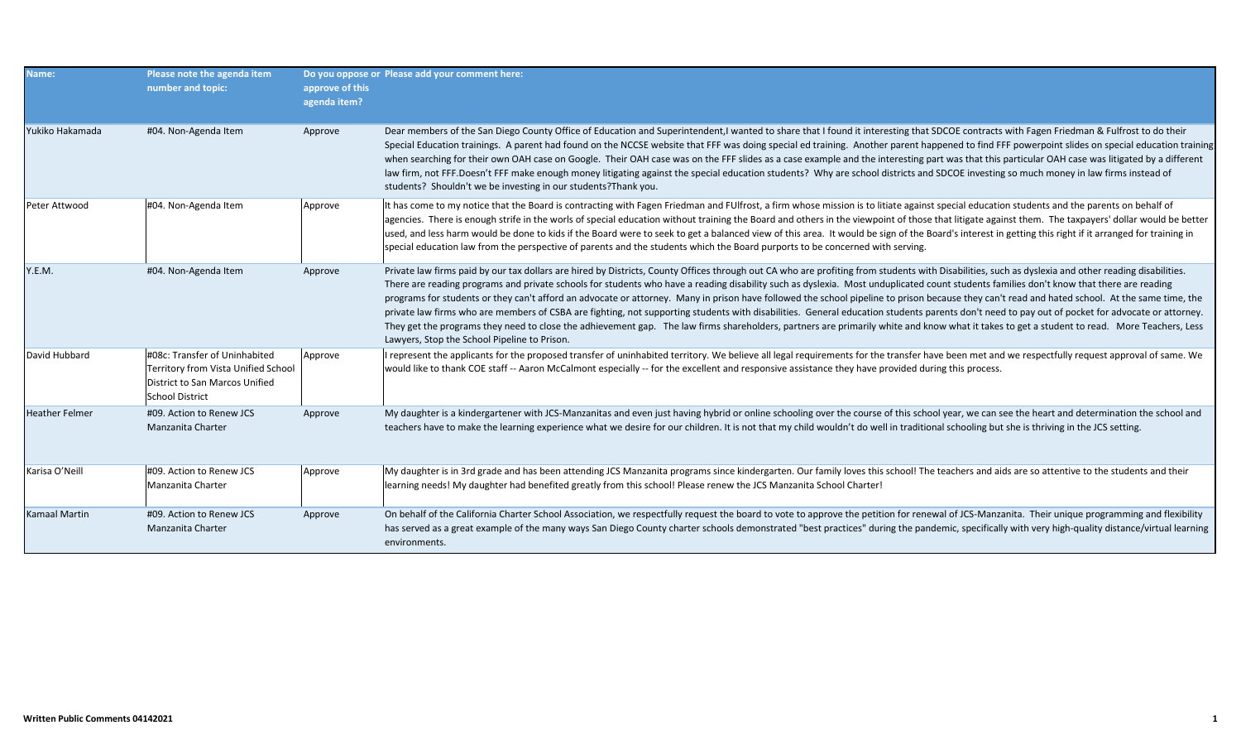| Name:                 | Please note the agenda item<br>number and topic:                                                                                 | approve of this<br>agenda item? | Do you oppose or Please add your comment here:                                                                                                                                                                                                                                                                                                                                                                                                                                                                                                                                                                                                                                                                                                                                                                                                                                                                                                                                                                                                     |
|-----------------------|----------------------------------------------------------------------------------------------------------------------------------|---------------------------------|----------------------------------------------------------------------------------------------------------------------------------------------------------------------------------------------------------------------------------------------------------------------------------------------------------------------------------------------------------------------------------------------------------------------------------------------------------------------------------------------------------------------------------------------------------------------------------------------------------------------------------------------------------------------------------------------------------------------------------------------------------------------------------------------------------------------------------------------------------------------------------------------------------------------------------------------------------------------------------------------------------------------------------------------------|
| Yukiko Hakamada       | #04. Non-Agenda Item                                                                                                             | Approve                         | Dear members of the San Diego County Office of Education and Superintendent, I wanted to share that I found it interesting that SDCOE contracts with Fagen Friedman & Fulfrost to do their<br>Special Education trainings. A parent had found on the NCCSE website that FFF was doing special ed training. Another parent happened to find FFF powerpoint slides on special education training<br>when searching for their own OAH case on Google. Their OAH case was on the FFF slides as a case example and the interesting part was that this particular OAH case was litigated by a different<br>law firm, not FFF.Doesn't FFF make enough money litigating against the special education students? Why are school districts and SDCOE investing so much money in law firms instead of<br>students? Shouldn't we be investing in our students? Thank you.                                                                                                                                                                                      |
| Peter Attwood         | #04. Non-Agenda Item                                                                                                             | Approve                         | It has come to my notice that the Board is contracting with Fagen Friedman and FUlfrost, a firm whose mission is to litiate against special education students and the parents on behalf of<br>agencies. There is enough strife in the worls of special education without training the Board and others in the viewpoint of those that litigate against them. The taxpayers' dollar would be better<br>used, and less harm would be done to kids if the Board were to seek to get a balanced view of this area. It would be sign of the Board's interest in getting this right if it arranged for training in<br>special education law from the perspective of parents and the students which the Board purports to be concerned with serving.                                                                                                                                                                                                                                                                                                     |
| Y.E.M.                | #04. Non-Agenda Item                                                                                                             | Approve                         | Private law firms paid by our tax dollars are hired by Districts, County Offices through out CA who are profiting from students with Disabilities, such as dyslexia and other reading disabilities.<br>There are reading programs and private schools for students who have a reading disability such as dyslexia. Most unduplicated count students families don't know that there are reading<br>programs for students or they can't afford an advocate or attorney. Many in prison have followed the school pipeline to prison because they can't read and hated school. At the same time, the<br>private law firms who are members of CSBA are fighting, not supporting students with disabilities. General education students parents don't need to pay out of pocket for advocate or attorney.<br>They get the programs they need to close the adhievement gap. The law firms shareholders, partners are primarily white and know what it takes to get a student to read. More Teachers, Less<br>Lawyers, Stop the School Pipeline to Prison. |
| David Hubbard         | #08c: Transfer of Uninhabited<br>Territory from Vista Unified School<br>District to San Marcos Unified<br><b>School District</b> | Approve                         | I represent the applicants for the proposed transfer of uninhabited territory. We believe all legal requirements for the transfer have been met and we respectfully request approval of same. We<br>would like to thank COE staff -- Aaron McCalmont especially -- for the excellent and responsive assistance they have provided during this process.                                                                                                                                                                                                                                                                                                                                                                                                                                                                                                                                                                                                                                                                                             |
| <b>Heather Felmer</b> | #09. Action to Renew JCS<br>Manzanita Charter                                                                                    | Approve                         | My daughter is a kindergartener with JCS-Manzanitas and even just having hybrid or online schooling over the course of this school year, we can see the heart and determination the school and<br>teachers have to make the learning experience what we desire for our children. It is not that my child wouldn't do well in traditional schooling but she is thriving in the JCS setting.                                                                                                                                                                                                                                                                                                                                                                                                                                                                                                                                                                                                                                                         |
| Karisa O'Neill        | #09. Action to Renew JCS<br>Manzanita Charter                                                                                    | Approve                         | My daughter is in 3rd grade and has been attending JCS Manzanita programs since kindergarten. Our family loves this school! The teachers and aids are so attentive to the students and their<br>learning needs! My daughter had benefited greatly from this school! Please renew the JCS Manzanita School Charter!                                                                                                                                                                                                                                                                                                                                                                                                                                                                                                                                                                                                                                                                                                                                 |
| Kamaal Martin         | #09. Action to Renew JCS<br>Manzanita Charter                                                                                    | Approve                         | On behalf of the California Charter School Association, we respectfully request the board to vote to approve the petition for renewal of JCS-Manzanita. Their unique programming and flexibility<br>has served as a great example of the many ways San Diego County charter schools demonstrated "best practices" during the pandemic, specifically with very high-quality distance/virtual learning<br>environments.                                                                                                                                                                                                                                                                                                                                                                                                                                                                                                                                                                                                                              |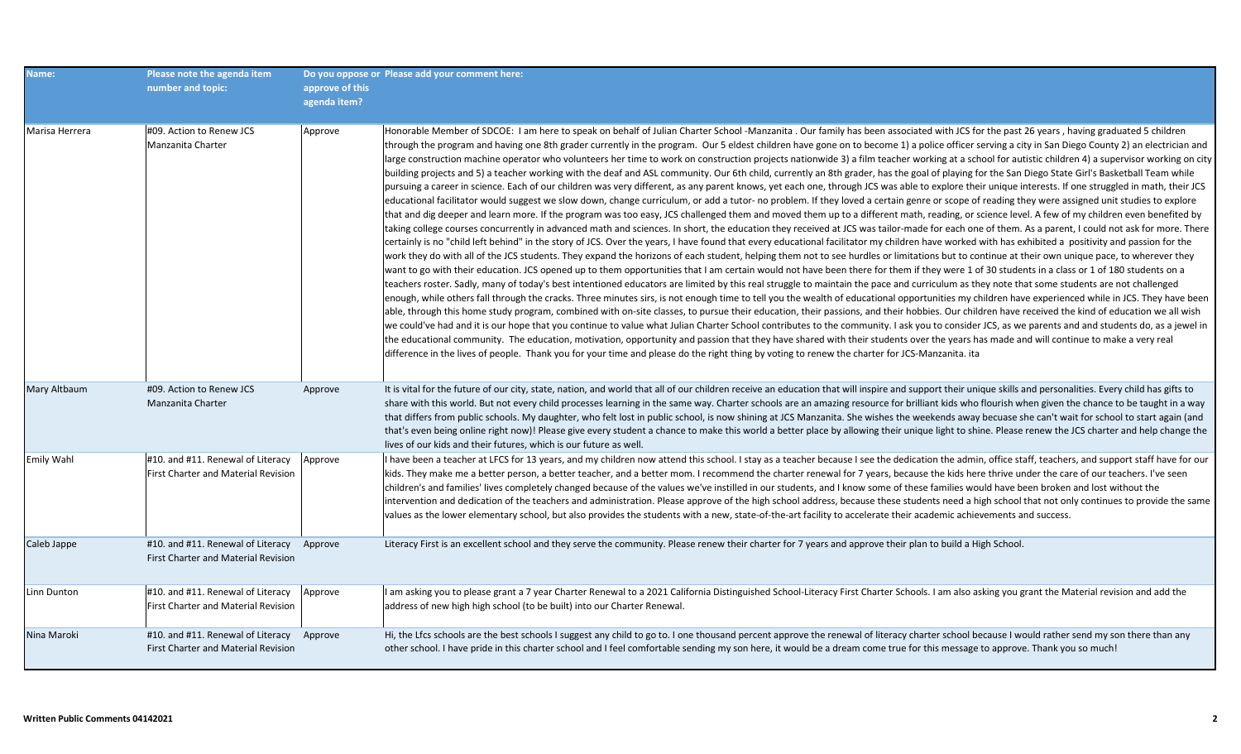| Name:             | Please note the agenda item                                                             |                                 | Do you oppose or Please add your comment here:                                                                                                                                                                                                                                                                                                                                                                                                                                                                                                                                                                                                                                                                                                                                                                                                                                                                                                                                                                                                                                                                                                                                                                                                                                                                                                                                                                                                                                                                                                                                                                                                                                                                                                                                                                                                                                                                                                                                                                                                                                                                                                                                                                                                                                                                                                                                                                                                                                                                                                                                                                                                                                                                                                                                                                                                                                                                                                                                                                                                                                                                                                                                                                                                                                                                                                                                                  |
|-------------------|-----------------------------------------------------------------------------------------|---------------------------------|-------------------------------------------------------------------------------------------------------------------------------------------------------------------------------------------------------------------------------------------------------------------------------------------------------------------------------------------------------------------------------------------------------------------------------------------------------------------------------------------------------------------------------------------------------------------------------------------------------------------------------------------------------------------------------------------------------------------------------------------------------------------------------------------------------------------------------------------------------------------------------------------------------------------------------------------------------------------------------------------------------------------------------------------------------------------------------------------------------------------------------------------------------------------------------------------------------------------------------------------------------------------------------------------------------------------------------------------------------------------------------------------------------------------------------------------------------------------------------------------------------------------------------------------------------------------------------------------------------------------------------------------------------------------------------------------------------------------------------------------------------------------------------------------------------------------------------------------------------------------------------------------------------------------------------------------------------------------------------------------------------------------------------------------------------------------------------------------------------------------------------------------------------------------------------------------------------------------------------------------------------------------------------------------------------------------------------------------------------------------------------------------------------------------------------------------------------------------------------------------------------------------------------------------------------------------------------------------------------------------------------------------------------------------------------------------------------------------------------------------------------------------------------------------------------------------------------------------------------------------------------------------------------------------------------------------------------------------------------------------------------------------------------------------------------------------------------------------------------------------------------------------------------------------------------------------------------------------------------------------------------------------------------------------------------------------------------------------------------------------------------------------------|
|                   | number and topic:                                                                       | approve of this<br>agenda item? |                                                                                                                                                                                                                                                                                                                                                                                                                                                                                                                                                                                                                                                                                                                                                                                                                                                                                                                                                                                                                                                                                                                                                                                                                                                                                                                                                                                                                                                                                                                                                                                                                                                                                                                                                                                                                                                                                                                                                                                                                                                                                                                                                                                                                                                                                                                                                                                                                                                                                                                                                                                                                                                                                                                                                                                                                                                                                                                                                                                                                                                                                                                                                                                                                                                                                                                                                                                                 |
|                   |                                                                                         |                                 |                                                                                                                                                                                                                                                                                                                                                                                                                                                                                                                                                                                                                                                                                                                                                                                                                                                                                                                                                                                                                                                                                                                                                                                                                                                                                                                                                                                                                                                                                                                                                                                                                                                                                                                                                                                                                                                                                                                                                                                                                                                                                                                                                                                                                                                                                                                                                                                                                                                                                                                                                                                                                                                                                                                                                                                                                                                                                                                                                                                                                                                                                                                                                                                                                                                                                                                                                                                                 |
| Marisa Herrera    | #09. Action to Renew JCS<br>Manzanita Charter                                           | Approve                         | Honorable Member of SDCOE: I am here to speak on behalf of Julian Charter School -Manzanita . Our family has been associated with JCS for the past 26 years, having graduated 5 children<br>through the program and having one 8th grader currently in the program. Our 5 eldest children have gone on to become 1) a police officer serving a city in San Diego County 2) an electrician and<br>large construction machine operator who volunteers her time to work on construction projects nationwide 3) a film teacher working at a school for autistic children 4) a supervisor working on city<br>building projects and 5) a teacher working with the deaf and ASL community. Our 6th child, currently an 8th grader, has the goal of playing for the San Diego State Girl's Basketball Team while<br>pursuing a career in science. Each of our children was very different, as any parent knows, yet each one, through JCS was able to explore their unique interests. If one struggled in math, their JCS<br>educational facilitator would suggest we slow down, change curriculum, or add a tutor- no problem. If they loved a certain genre or scope of reading they were assigned unit studies to explore<br>that and dig deeper and learn more. If the program was too easy, JCS challenged them and moved them up to a different math, reading, or science level. A few of my children even benefited by<br>taking college courses concurrently in advanced math and sciences. In short, the education they received at JCS was tailor-made for each one of them. As a parent, I could not ask for more. There<br>certainly is no "child left behind" in the story of JCS. Over the years, I have found that every educational facilitator my children have worked with has exhibited a positivity and passion for the<br>work they do with all of the JCS students. They expand the horizons of each student, helping them not to see hurdles or limitations but to continue at their own unique pace, to wherever they<br>want to go with their education. JCS opened up to them opportunities that I am certain would not have been there for them if they were 1 of 30 students in a class or 1 of 180 students on a<br>teachers roster. Sadly, many of today's best intentioned educators are limited by this real struggle to maintain the pace and curriculum as they note that some students are not challenged<br>enough, while others fall through the cracks. Three minutes sirs, is not enough time to tell you the wealth of educational opportunities my children have experienced while in JCS. They have been<br>able, through this home study program, combined with on-site classes, to pursue their education, their passions, and their hobbies. Our children have received the kind of education we all wish<br>we could've had and it is our hope that you continue to value what Julian Charter School contributes to the community. I ask you to consider JCS, as we parents and and students do, as a jewel in<br>the educational community. The education, motivation, opportunity and passion that they have shared with their students over the years has made and will continue to make a very real<br>difference in the lives of people. Thank you for your time and please do the right thing by voting to renew the charter for JCS-Manzanita. ita |
| Mary Altbaum      | #09. Action to Renew JCS<br>Manzanita Charter                                           | Approve                         | It is vital for the future of our city, state, nation, and world that all of our children receive an education that will inspire and support their unique skills and personalities. Every child has gifts to<br>share with this world. But not every child processes learning in the same way. Charter schools are an amazing resource for brilliant kids who flourish when given the chance to be taught in a way<br>that differs from public schools. My daughter, who felt lost in public school, is now shining at JCS Manzanita. She wishes the weekends away becuase she can't wait for school to start again (and<br>that's even being online right now)! Please give every student a chance to make this world a better place by allowing their unique light to shine. Please renew the JCS charter and help change the<br>lives of our kids and their futures, which is our future as well.                                                                                                                                                                                                                                                                                                                                                                                                                                                                                                                                                                                                                                                                                                                                                                                                                                                                                                                                                                                                                                                                                                                                                                                                                                                                                                                                                                                                                                                                                                                                                                                                                                                                                                                                                                                                                                                                                                                                                                                                                                                                                                                                                                                                                                                                                                                                                                                                                                                                                            |
| <b>Emily Wahl</b> | #10. and #11. Renewal of Literacy<br><b>First Charter and Material Revision</b>         | Approve                         | I have been a teacher at LFCS for 13 years, and my children now attend this school. I stay as a teacher because I see the dedication the admin, office staff, teachers, and support staff have for our<br>kids. They make me a better person, a better teacher, and a better mom. I recommend the charter renewal for 7 years, because the kids here thrive under the care of our teachers. I've seen<br>children's and families' lives completely changed because of the values we've instilled in our students, and I know some of these families would have been broken and lost without the<br>intervention and dedication of the teachers and administration. Please approve of the high school address, because these students need a high school that not only continues to provide the same<br>values as the lower elementary school, but also provides the students with a new, state-of-the-art facility to accelerate their academic achievements and success.                                                                                                                                                                                                                                                                                                                                                                                                                                                                                                                                                                                                                                                                                                                                                                                                                                                                                                                                                                                                                                                                                                                                                                                                                                                                                                                                                                                                                                                                                                                                                                                                                                                                                                                                                                                                                                                                                                                                                                                                                                                                                                                                                                                                                                                                                                                                                                                                                       |
| Caleb Jappe       | #10. and #11. Renewal of Literacy Approve<br><b>First Charter and Material Revision</b> |                                 | Literacy First is an excellent school and they serve the community. Please renew their charter for 7 years and approve their plan to build a High School.                                                                                                                                                                                                                                                                                                                                                                                                                                                                                                                                                                                                                                                                                                                                                                                                                                                                                                                                                                                                                                                                                                                                                                                                                                                                                                                                                                                                                                                                                                                                                                                                                                                                                                                                                                                                                                                                                                                                                                                                                                                                                                                                                                                                                                                                                                                                                                                                                                                                                                                                                                                                                                                                                                                                                                                                                                                                                                                                                                                                                                                                                                                                                                                                                                       |
| Linn Dunton       | #10. and #11. Renewal of Literacy<br>First Charter and Material Revision                | Approve                         | I am asking you to please grant a 7 year Charter Renewal to a 2021 California Distinguished School-Literacy First Charter Schools. I am also asking you grant the Material revision and add the<br>address of new high high school (to be built) into our Charter Renewal.                                                                                                                                                                                                                                                                                                                                                                                                                                                                                                                                                                                                                                                                                                                                                                                                                                                                                                                                                                                                                                                                                                                                                                                                                                                                                                                                                                                                                                                                                                                                                                                                                                                                                                                                                                                                                                                                                                                                                                                                                                                                                                                                                                                                                                                                                                                                                                                                                                                                                                                                                                                                                                                                                                                                                                                                                                                                                                                                                                                                                                                                                                                      |
| Nina Maroki       | #10. and #11. Renewal of Literacy Approve<br><b>First Charter and Material Revision</b> |                                 | Hi, the Lfcs schools are the best schools I suggest any child to go to. I one thousand percent approve the renewal of literacy charter school because I would rather send my son there than any<br>other school. I have pride in this charter school and I feel comfortable sending my son here, it would be a dream come true for this message to approve. Thank you so much!                                                                                                                                                                                                                                                                                                                                                                                                                                                                                                                                                                                                                                                                                                                                                                                                                                                                                                                                                                                                                                                                                                                                                                                                                                                                                                                                                                                                                                                                                                                                                                                                                                                                                                                                                                                                                                                                                                                                                                                                                                                                                                                                                                                                                                                                                                                                                                                                                                                                                                                                                                                                                                                                                                                                                                                                                                                                                                                                                                                                                  |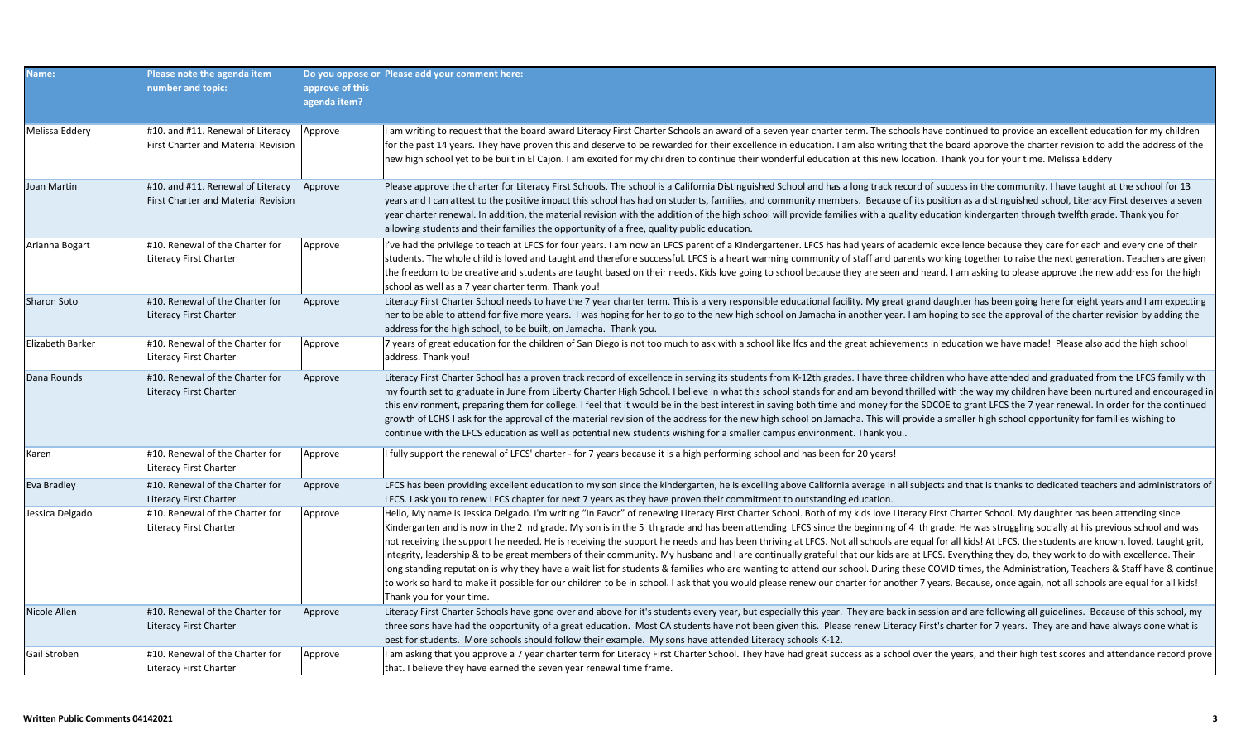| Name:            | Please note the agenda item<br>number and topic:                                 | approve of this<br>agenda item? | Do you oppose or Please add your comment here:                                                                                                                                                                                                                                                                                                                                                                                                                                                                                                                                                                                                                                                                                                                                                                                                                                                                                                                                                                                                                                                                                                                                                                                                          |
|------------------|----------------------------------------------------------------------------------|---------------------------------|---------------------------------------------------------------------------------------------------------------------------------------------------------------------------------------------------------------------------------------------------------------------------------------------------------------------------------------------------------------------------------------------------------------------------------------------------------------------------------------------------------------------------------------------------------------------------------------------------------------------------------------------------------------------------------------------------------------------------------------------------------------------------------------------------------------------------------------------------------------------------------------------------------------------------------------------------------------------------------------------------------------------------------------------------------------------------------------------------------------------------------------------------------------------------------------------------------------------------------------------------------|
| Melissa Eddery   | #10. and #11. Renewal of Literacy<br>First Charter and Material Revision         | Approve                         | I am writing to request that the board award Literacy First Charter Schools an award of a seven year charter term. The schools have continued to provide an excellent education for my children<br>for the past 14 years. They have proven this and deserve to be rewarded for their excellence in education. I am also writing that the board approve the charter revision to add the address of the<br>new high school yet to be built in El Cajon. I am excited for my children to continue their wonderful education at this new location. Thank you for your time. Melissa Eddery                                                                                                                                                                                                                                                                                                                                                                                                                                                                                                                                                                                                                                                                  |
| Joan Martin      | #10. and #11. Renewal of Literacy Approve<br>First Charter and Material Revision |                                 | Please approve the charter for Literacy First Schools. The school is a California Distinguished School and has a long track record of success in the community. I have taught at the school for 13<br>years and I can attest to the positive impact this school has had on students, families, and community members. Because of its position as a distinguished school, Literacy First deserves a seven<br>year charter renewal. In addition, the material revision with the addition of the high school will provide families with a quality education kindergarten through twelfth grade. Thank you for<br>allowing students and their families the opportunity of a free, quality public education.                                                                                                                                                                                                                                                                                                                                                                                                                                                                                                                                                 |
| Arianna Bogart   | #10. Renewal of the Charter for<br>Literacy First Charter                        | Approve                         | I've had the privilege to teach at LFCS for four years. I am now an LFCS parent of a Kindergartener. LFCS has had years of academic excellence because they care for each and every one of their<br>students. The whole child is loved and taught and therefore successful. LFCS is a heart warming community of staff and parents working together to raise the next generation. Teachers are given<br>the freedom to be creative and students are taught based on their needs. Kids love going to school because they are seen and heard. I am asking to please approve the new address for the high<br>school as well as a 7 year charter term. Thank you!                                                                                                                                                                                                                                                                                                                                                                                                                                                                                                                                                                                           |
| Sharon Soto      | #10. Renewal of the Charter for<br>Literacy First Charter                        | Approve                         | Literacy First Charter School needs to have the 7 year charter term. This is a very responsible educational facility. My great grand daughter has been going here for eight years and I am expecting<br>her to be able to attend for five more years. I was hoping for her to go to the new high school on Jamacha in another year. I am hoping to see the approval of the charter revision by adding the<br>address for the high school, to be built, on Jamacha. Thank you.                                                                                                                                                                                                                                                                                                                                                                                                                                                                                                                                                                                                                                                                                                                                                                           |
| Elizabeth Barker | #10. Renewal of the Charter for<br>Literacy First Charter                        | Approve                         | 7 years of great education for the children of San Diego is not too much to ask with a school like lfcs and the great achievements in education we have made! Please also add the high school<br>address. Thank you!                                                                                                                                                                                                                                                                                                                                                                                                                                                                                                                                                                                                                                                                                                                                                                                                                                                                                                                                                                                                                                    |
| Dana Rounds      | #10. Renewal of the Charter for<br><b>Literacy First Charter</b>                 | Approve                         | Literacy First Charter School has a proven track record of excellence in serving its students from K-12th grades. I have three children who have attended and graduated from the LFCS family with<br>my fourth set to graduate in June from Liberty Charter High School. I believe in what this school stands for and am beyond thrilled with the way my children have been nurtured and encouraged in<br>this environment, preparing them for college. I feel that it would be in the best interest in saving both time and money for the SDCOE to grant LFCS the 7 year renewal. In order for the continued<br>growth of LCHS I ask for the approval of the material revision of the address for the new high school on Jamacha. This will provide a smaller high school opportunity for families wishing to<br>continue with the LFCS education as well as potential new students wishing for a smaller campus environment. Thank you                                                                                                                                                                                                                                                                                                                |
| Karen            | #10. Renewal of the Charter for<br>Literacy First Charter                        | Approve                         | I fully support the renewal of LFCS' charter - for 7 years because it is a high performing school and has been for 20 years!                                                                                                                                                                                                                                                                                                                                                                                                                                                                                                                                                                                                                                                                                                                                                                                                                                                                                                                                                                                                                                                                                                                            |
| Eva Bradley      | #10. Renewal of the Charter for<br>Literacy First Charter                        | Approve                         | LFCS has been providing excellent education to my son since the kindergarten, he is excelling above California average in all subjects and that is thanks to dedicated teachers and administrators of<br>LFCS. I ask you to renew LFCS chapter for next 7 years as they have proven their commitment to outstanding education.                                                                                                                                                                                                                                                                                                                                                                                                                                                                                                                                                                                                                                                                                                                                                                                                                                                                                                                          |
| Jessica Delgado  | #10. Renewal of the Charter for<br>Literacy First Charter                        | Approve                         | Hello, My name is Jessica Delgado. I'm writing "In Favor" of renewing Literacy First Charter School. Both of my kids love Literacy First Charter School. My daughter has been attending since<br>Kindergarten and is now in the 2 nd grade. My son is in the 5 th grade and has been attending LFCS since the beginning of 4 th grade. He was struggling socially at his previous school and was<br>not receiving the support he needed. He is receiving the support he needs and has been thriving at LFCS. Not all schools are equal for all kids! At LFCS, the students are known, loved, taught grit,<br>integrity, leadership & to be great members of their community. My husband and I are continually grateful that our kids are at LFCS. Everything they do, they work to do with excellence. Their<br>long standing reputation is why they have a wait list for students & families who are wanting to attend our school. During these COVID times, the Administration, Teachers & Staff have & continue<br>to work so hard to make it possible for our children to be in school. I ask that you would please renew our charter for another 7 years. Because, once again, not all schools are equal for all kids!<br>Thank you for your time. |
| Nicole Allen     | #10. Renewal of the Charter for<br>Literacy First Charter                        | Approve                         | Literacy First Charter Schools have gone over and above for it's students every year, but especially this year. They are back in session and are following all guidelines. Because of this school, my<br>three sons have had the opportunity of a great education. Most CA students have not been given this. Please renew Literacy First's charter for 7 years. They are and have always done what is<br>best for students. More schools should follow their example. My sons have attended Literacy schools K-12.                                                                                                                                                                                                                                                                                                                                                                                                                                                                                                                                                                                                                                                                                                                                     |
| Gail Stroben     | #10. Renewal of the Charter for<br>Literacy First Charter                        | Approve                         | I am asking that you approve a 7 year charter term for Literacy First Charter School. They have had great success as a school over the years, and their high test scores and attendance record prove<br>that. I believe they have earned the seven year renewal time frame.                                                                                                                                                                                                                                                                                                                                                                                                                                                                                                                                                                                                                                                                                                                                                                                                                                                                                                                                                                             |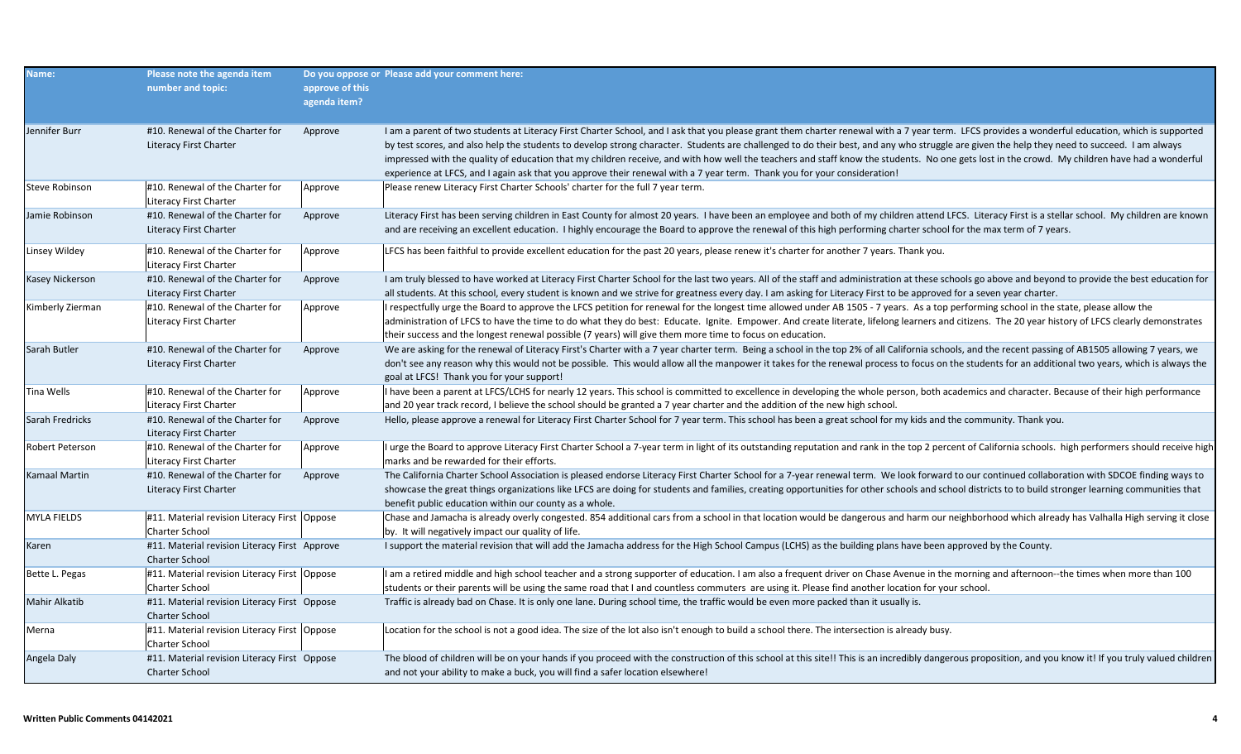| Name:                  | Please note the agenda item<br>number and topic:                       | approve of this<br>agenda item? | Do you oppose or Please add your comment here:                                                                                                                                                                                                                                                                                                                                                                                                                                                                                                                                                                                                                                                                               |
|------------------------|------------------------------------------------------------------------|---------------------------------|------------------------------------------------------------------------------------------------------------------------------------------------------------------------------------------------------------------------------------------------------------------------------------------------------------------------------------------------------------------------------------------------------------------------------------------------------------------------------------------------------------------------------------------------------------------------------------------------------------------------------------------------------------------------------------------------------------------------------|
| Jennifer Burr          | #10. Renewal of the Charter for<br>Literacy First Charter              | Approve                         | I am a parent of two students at Literacy First Charter School, and I ask that you please grant them charter renewal with a 7 year term. LFCS provides a wonderful education, which is supported<br>by test scores, and also help the students to develop strong character. Students are challenged to do their best, and any who struggle are given the help they need to succeed. I am always<br>impressed with the quality of education that my children receive, and with how well the teachers and staff know the students. No one gets lost in the crowd. My children have had a wonderful<br>experience at LFCS, and I again ask that you approve their renewal with a 7 year term. Thank you for your consideration! |
| Steve Robinson         | #10. Renewal of the Charter for<br>Literacy First Charter              | Approve                         | Please renew Literacy First Charter Schools' charter for the full 7 year term.                                                                                                                                                                                                                                                                                                                                                                                                                                                                                                                                                                                                                                               |
| Jamie Robinson         | #10. Renewal of the Charter for<br>Literacy First Charter              | Approve                         | Literacy First has been serving children in East County for almost 20 years. I have been an employee and both of my children attend LFCS. Literacy First is a stellar school. My children are known<br>and are receiving an excellent education. I highly encourage the Board to approve the renewal of this high performing charter school for the max term of 7 years.                                                                                                                                                                                                                                                                                                                                                     |
| Linsey Wildey          | #10. Renewal of the Charter for<br>Literacy First Charter              | Approve                         | LFCS has been faithful to provide excellent education for the past 20 years, please renew it's charter for another 7 years. Thank you.                                                                                                                                                                                                                                                                                                                                                                                                                                                                                                                                                                                       |
| <b>Kasey Nickerson</b> | #10. Renewal of the Charter for<br><b>Literacy First Charter</b>       | Approve                         | I am truly blessed to have worked at Literacy First Charter School for the last two years. All of the staff and administration at these schools go above and beyond to provide the best education for<br>all students. At this school, every student is known and we strive for greatness every day. I am asking for Literacy First to be approved for a seven year charter.                                                                                                                                                                                                                                                                                                                                                 |
| Kimberly Zierman       | #10. Renewal of the Charter for<br>Literacy First Charter              | Approve                         | I respectfully urge the Board to approve the LFCS petition for renewal for the longest time allowed under AB 1505 - 7 years. As a top performing school in the state, please allow the<br>administration of LFCS to have the time to do what they do best: Educate. Ignite. Empower. And create literate, lifelong learners and citizens. The 20 year history of LFCS clearly demonstrates<br>their success and the longest renewal possible (7 years) will give them more time to focus on education.                                                                                                                                                                                                                       |
| Sarah Butler           | #10. Renewal of the Charter for<br>Literacy First Charter              | Approve                         | We are asking for the renewal of Literacy First's Charter with a 7 year charter term. Being a school in the top 2% of all California schools, and the recent passing of AB1505 allowing 7 years, we<br>don't see any reason why this would not be possible. This would allow all the manpower it takes for the renewal process to focus on the students for an additional two years, which is always the<br>goal at LFCS! Thank you for your support!                                                                                                                                                                                                                                                                        |
| Tina Wells             | #10. Renewal of the Charter for<br><b>Literacy First Charter</b>       | Approve                         | I have been a parent at LFCS/LCHS for nearly 12 years. This school is committed to excellence in developing the whole person, both academics and character. Because of their high performance<br>and 20 year track record, I believe the school should be granted a 7 year charter and the addition of the new high school.                                                                                                                                                                                                                                                                                                                                                                                                  |
| Sarah Fredricks        | #10. Renewal of the Charter for<br><b>Literacy First Charter</b>       | Approve                         | Hello, please approve a renewal for Literacy First Charter School for 7 year term. This school has been a great school for my kids and the community. Thank you.                                                                                                                                                                                                                                                                                                                                                                                                                                                                                                                                                             |
| <b>Robert Peterson</b> | #10. Renewal of the Charter for<br>Literacy First Charter              | Approve                         | I urge the Board to approve Literacy First Charter School a 7-year term in light of its outstanding reputation and rank in the top 2 percent of California schools. high performers should receive high<br>marks and be rewarded for their efforts.                                                                                                                                                                                                                                                                                                                                                                                                                                                                          |
| <b>Kamaal Martin</b>   | #10. Renewal of the Charter for<br>Literacy First Charter              | Approve                         | The California Charter School Association is pleased endorse Literacy First Charter School for a 7-year renewal term. We look forward to our continued collaboration with SDCOE finding ways to<br>showcase the great things organizations like LFCS are doing for students and families, creating opportunities for other schools and school districts to to build stronger learning communities that<br>benefit public education within our county as a whole.                                                                                                                                                                                                                                                             |
| <b>MYLA FIELDS</b>     | #11. Material revision Literacy First   Oppose<br>Charter School       |                                 | Chase and Jamacha is already overly congested. 854 additional cars from a school in that location would be dangerous and harm our neighborhood which already has Valhalla High serving it close<br>by. It will negatively impact our quality of life.                                                                                                                                                                                                                                                                                                                                                                                                                                                                        |
| Karen                  | #11. Material revision Literacy First Approve<br><b>Charter School</b> |                                 | I support the material revision that will add the Jamacha address for the High School Campus (LCHS) as the building plans have been approved by the County.                                                                                                                                                                                                                                                                                                                                                                                                                                                                                                                                                                  |
| Bette L. Pegas         | #11. Material revision Literacy First   Oppose<br>Charter School       |                                 | I am a retired middle and high school teacher and a strong supporter of education. I am also a frequent driver on Chase Avenue in the morning and afternoon--the times when more than 100<br>students or their parents will be using the same road that I and countless commuters are using it. Please find another location for your school.                                                                                                                                                                                                                                                                                                                                                                                |
| Mahir Alkatib          | #11. Material revision Literacy First Oppose<br>Charter School         |                                 | Traffic is already bad on Chase. It is only one lane. During school time, the traffic would be even more packed than it usually is.                                                                                                                                                                                                                                                                                                                                                                                                                                                                                                                                                                                          |
| Merna                  | #11. Material revision Literacy First   Oppose<br>Charter School       |                                 | Location for the school is not a good idea. The size of the lot also isn't enough to build a school there. The intersection is already busy.                                                                                                                                                                                                                                                                                                                                                                                                                                                                                                                                                                                 |
| Angela Daly            | #11. Material revision Literacy First Oppose<br><b>Charter School</b>  |                                 | The blood of children will be on your hands if you proceed with the construction of this school at this site!! This is an incredibly dangerous proposition, and you know it! If you truly valued children<br>and not your ability to make a buck, you will find a safer location elsewhere!                                                                                                                                                                                                                                                                                                                                                                                                                                  |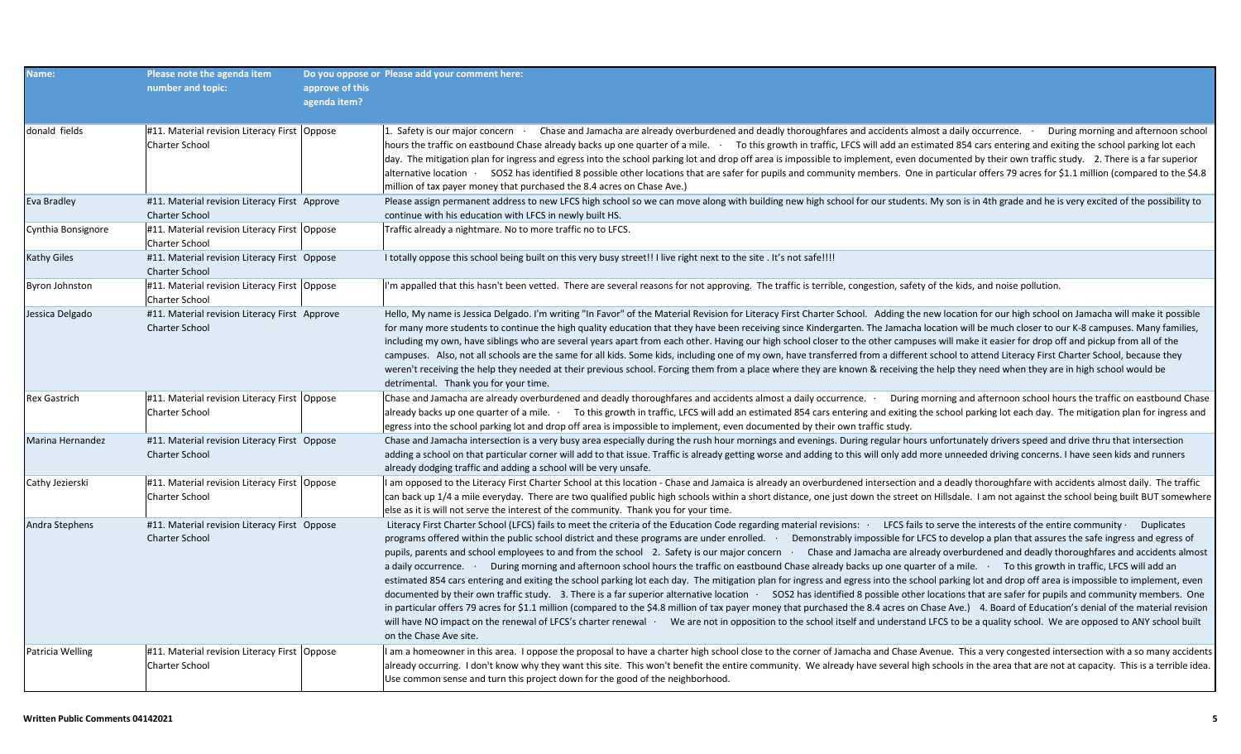| Name:               | Please note the agenda item<br>number and topic:                        | approve of this<br>agenda item? | Do you oppose or Please add your comment here:                                                                                                                                                                                                                                                                                                                                                                                                                                                                                                                                                                                                                                                                                                                                                                                                                                                                                                                                                                                                                                                                                                                                                                                                                                                                                                                                                                                                                                                                                                                                                          |
|---------------------|-------------------------------------------------------------------------|---------------------------------|---------------------------------------------------------------------------------------------------------------------------------------------------------------------------------------------------------------------------------------------------------------------------------------------------------------------------------------------------------------------------------------------------------------------------------------------------------------------------------------------------------------------------------------------------------------------------------------------------------------------------------------------------------------------------------------------------------------------------------------------------------------------------------------------------------------------------------------------------------------------------------------------------------------------------------------------------------------------------------------------------------------------------------------------------------------------------------------------------------------------------------------------------------------------------------------------------------------------------------------------------------------------------------------------------------------------------------------------------------------------------------------------------------------------------------------------------------------------------------------------------------------------------------------------------------------------------------------------------------|
| donald fields       | #11. Material revision Literacy First Oppose<br>Charter School          |                                 | 1. Safety is our major concern · Chase and Jamacha are already overburdened and deadly thoroughfares and accidents almost a daily occurrence. During morning and afternoon school<br>hours the traffic on eastbound Chase already backs up one quarter of a mile. To this growth in traffic, LFCS will add an estimated 854 cars entering and exiting the school parking lot each<br>day. The mitigation plan for ingress and egress into the school parking lot and drop off area is impossible to implement, even documented by their own traffic study. 2. There is a far superior<br>alternative location · SOS2 has identified 8 possible other locations that are safer for pupils and community members. One in particular offers 79 acres for \$1.1 million (compared to the \$4.8<br>million of tax payer money that purchased the 8.4 acres on Chase Ave.)                                                                                                                                                                                                                                                                                                                                                                                                                                                                                                                                                                                                                                                                                                                                    |
| Eva Bradley         | #11. Material revision Literacy First Approve<br><b>Charter School</b>  |                                 | Please assign permanent address to new LFCS high school so we can move along with building new high school for our students. My son is in 4th grade and he is very excited of the possibility to<br>continue with his education with LFCS in newly built HS.                                                                                                                                                                                                                                                                                                                                                                                                                                                                                                                                                                                                                                                                                                                                                                                                                                                                                                                                                                                                                                                                                                                                                                                                                                                                                                                                            |
| Cynthia Bonsignore  | #11. Material revision Literacy First   Oppose<br><b>Charter School</b> |                                 | Traffic already a nightmare. No to more traffic no to LFCS.                                                                                                                                                                                                                                                                                                                                                                                                                                                                                                                                                                                                                                                                                                                                                                                                                                                                                                                                                                                                                                                                                                                                                                                                                                                                                                                                                                                                                                                                                                                                             |
| <b>Kathy Giles</b>  | #11. Material revision Literacy First Oppose<br><b>Charter School</b>   |                                 | I totally oppose this school being built on this very busy street!! I live right next to the site. It's not safe!!!!                                                                                                                                                                                                                                                                                                                                                                                                                                                                                                                                                                                                                                                                                                                                                                                                                                                                                                                                                                                                                                                                                                                                                                                                                                                                                                                                                                                                                                                                                    |
| Byron Johnston      | #11. Material revision Literacy First   Oppose<br><b>Charter School</b> |                                 | I'm appalled that this hasn't been vetted. There are several reasons for not approving. The traffic is terrible, congestion, safety of the kids, and noise pollution.                                                                                                                                                                                                                                                                                                                                                                                                                                                                                                                                                                                                                                                                                                                                                                                                                                                                                                                                                                                                                                                                                                                                                                                                                                                                                                                                                                                                                                   |
| Jessica Delgado     | #11. Material revision Literacy First Approve<br><b>Charter School</b>  |                                 | Hello, My name is Jessica Delgado. I'm writing "In Favor" of the Material Revision for Literacy First Charter School. Adding the new location for our high school on Jamacha will make it possible<br>for many more students to continue the high quality education that they have been receiving since Kindergarten. The Jamacha location will be much closer to our K-8 campuses. Many families,<br>including my own, have siblings who are several years apart from each other. Having our high school closer to the other campuses will make it easier for drop off and pickup from all of the<br>campuses. Also, not all schools are the same for all kids. Some kids, including one of my own, have transferred from a different school to attend Literacy First Charter School, because they<br>weren't receiving the help they needed at their previous school. Forcing them from a place where they are known & receiving the help they need when they are in high school would be<br>detrimental. Thank you for your time.                                                                                                                                                                                                                                                                                                                                                                                                                                                                                                                                                                    |
| <b>Rex Gastrich</b> | #11. Material revision Literacy First   Oppose<br><b>Charter School</b> |                                 | Chase and Jamacha are already overburdened and deadly thoroughfares and accidents almost a daily occurrence. During morning and afternoon school hours the traffic on eastbound Chase<br>already backs up one quarter of a mile. To this growth in traffic, LFCS will add an estimated 854 cars entering and exiting the school parking lot each day. The mitigation plan for ingress and<br>egress into the school parking lot and drop off area is impossible to implement, even documented by their own traffic study.                                                                                                                                                                                                                                                                                                                                                                                                                                                                                                                                                                                                                                                                                                                                                                                                                                                                                                                                                                                                                                                                               |
| Marina Hernandez    | #11. Material revision Literacy First Oppose<br><b>Charter School</b>   |                                 | Chase and Jamacha intersection is a very busy area especially during the rush hour mornings and evenings. During regular hours unfortunately drivers speed and drive thru that intersection<br>adding a school on that particular corner will add to that issue. Traffic is already getting worse and adding to this will only add more unneeded driving concerns. I have seen kids and runners<br>already dodging traffic and adding a school will be very unsafe.                                                                                                                                                                                                                                                                                                                                                                                                                                                                                                                                                                                                                                                                                                                                                                                                                                                                                                                                                                                                                                                                                                                                     |
| Cathy Jezierski     | #11. Material revision Literacy First   Oppose<br><b>Charter School</b> |                                 | I am opposed to the Literacy First Charter School at this location - Chase and Jamaica is already an overburdened intersection and a deadly thoroughfare with accidents almost daily. The traffic<br>can back up 1/4 a mile everyday. There are two qualified public high schools within a short distance, one just down the street on Hillsdale. I am not against the school being built BUT somewhere<br>else as it is will not serve the interest of the community. Thank you for your time.                                                                                                                                                                                                                                                                                                                                                                                                                                                                                                                                                                                                                                                                                                                                                                                                                                                                                                                                                                                                                                                                                                         |
| Andra Stephens      | #11. Material revision Literacy First Oppose<br><b>Charter School</b>   |                                 | Literacy First Charter School (LFCS) fails to meet the criteria of the Education Code regarding material revisions: LFCS fails to serve the interests of the entire community Duplicates<br>programs offered within the public school district and these programs are under enrolled. Demonstrably impossible for LFCS to develop a plan that assures the safe ingress and egress of<br>pupils, parents and school employees to and from the school 2. Safety is our major concern Chase and Jamacha are already overburdened and deadly thoroughfares and accidents almost<br>a daily occurrence. During morning and afternoon school hours the traffic on eastbound Chase already backs up one quarter of a mile. To this growth in traffic, LFCS will add an<br>estimated 854 cars entering and exiting the school parking lot each day. The mitigation plan for ingress and egress into the school parking lot and drop off area is impossible to implement, even<br>documented by their own traffic study. 3. There is a far superior alternative location · SOS2 has identified 8 possible other locations that are safer for pupils and community members. One<br>in particular offers 79 acres for \$1.1 million (compared to the \$4.8 million of tax payer money that purchased the 8.4 acres on Chase Ave.) 4. Board of Education's denial of the material revision<br>will have NO impact on the renewal of LFCS's charter renewal · We are not in opposition to the school itself and understand LFCS to be a quality school. We are opposed to ANY school built<br>on the Chase Ave site. |
| Patricia Welling    | #11. Material revision Literacy First Oppose<br><b>Charter School</b>   |                                 | I am a homeowner in this area. I oppose the proposal to have a charter high school close to the corner of Jamacha and Chase Avenue. This a very congested intersection with a so many accidents<br>already occurring. I don't know why they want this site. This won't benefit the entire community. We already have several high schools in the area that are not at capacity. This is a terrible idea.<br>Use common sense and turn this project down for the good of the neighborhood.                                                                                                                                                                                                                                                                                                                                                                                                                                                                                                                                                                                                                                                                                                                                                                                                                                                                                                                                                                                                                                                                                                               |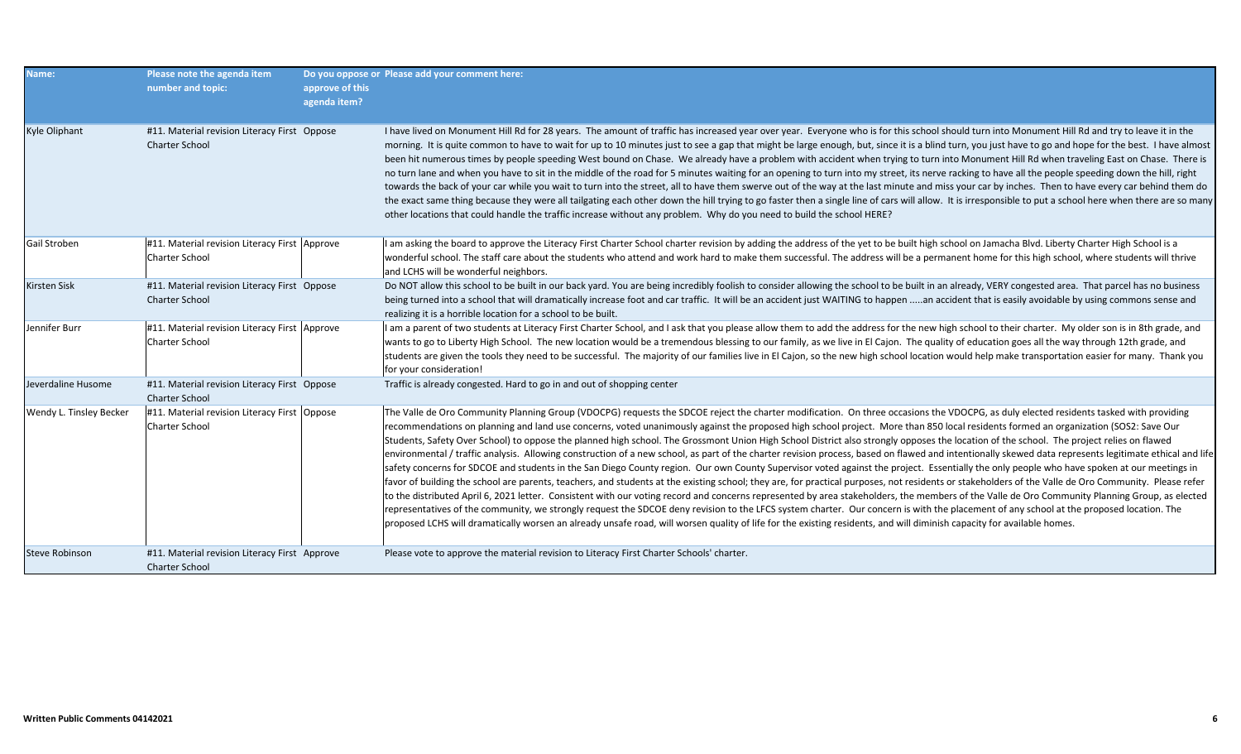| Name:                   | Please note the agenda item<br>number and topic:                       | approve of this<br>agenda item? | Do you oppose or Please add your comment here:                                                                                                                                                                                                                                                                                                                                                                                                                                                                                                                                                                                                                                                                                                                                                                                                                                                                                                                                                                                                                                                                                                                                                                                                                                                                                                                                                                                                                                                                                                                                                                                                                                                                                                                  |
|-------------------------|------------------------------------------------------------------------|---------------------------------|-----------------------------------------------------------------------------------------------------------------------------------------------------------------------------------------------------------------------------------------------------------------------------------------------------------------------------------------------------------------------------------------------------------------------------------------------------------------------------------------------------------------------------------------------------------------------------------------------------------------------------------------------------------------------------------------------------------------------------------------------------------------------------------------------------------------------------------------------------------------------------------------------------------------------------------------------------------------------------------------------------------------------------------------------------------------------------------------------------------------------------------------------------------------------------------------------------------------------------------------------------------------------------------------------------------------------------------------------------------------------------------------------------------------------------------------------------------------------------------------------------------------------------------------------------------------------------------------------------------------------------------------------------------------------------------------------------------------------------------------------------------------|
| Kyle Oliphant           | #11. Material revision Literacy First Oppose<br><b>Charter School</b>  |                                 | I have lived on Monument Hill Rd for 28 years. The amount of traffic has increased year over year. Everyone who is for this school should turn into Monument Hill Rd and try to leave it in the<br>morning. It is quite common to have to wait for up to 10 minutes just to see a gap that might be large enough, but, since it is a blind turn, you just have to go and hope for the best. I have almost<br>been hit numerous times by people speeding West bound on Chase. We already have a problem with accident when trying to turn into Monument Hill Rd when traveling East on Chase. There is<br>no turn lane and when you have to sit in the middle of the road for 5 minutes waiting for an opening to turn into my street, its nerve racking to have all the people speeding down the hill, right<br>towards the back of your car while you wait to turn into the street, all to have them swerve out of the way at the last minute and miss your car by inches. Then to have every car behind them do<br>the exact same thing because they were all tailgating each other down the hill trying to go faster then a single line of cars will allow. It is irresponsible to put a school here when there are so many<br>other locations that could handle the traffic increase without any problem. Why do you need to build the school HERE?                                                                                                                                                                                                                                                                                                                                                                                                         |
| Gail Stroben            | #11. Material revision Literacy First   Approve<br>Charter School      |                                 | I am asking the board to approve the Literacy First Charter School charter revision by adding the address of the yet to be built high school on Jamacha Blvd. Liberty Charter High School is a<br>wonderful school. The staff care about the students who attend and work hard to make them successful. The address will be a permanent home for this high school, where students will thrive<br>and LCHS will be wonderful neighbors.                                                                                                                                                                                                                                                                                                                                                                                                                                                                                                                                                                                                                                                                                                                                                                                                                                                                                                                                                                                                                                                                                                                                                                                                                                                                                                                          |
| Kirsten Sisk            | #11. Material revision Literacy First Oppose<br><b>Charter School</b>  |                                 | Do NOT allow this school to be built in our back yard. You are being incredibly foolish to consider allowing the school to be built in an already, VERY congested area. That parcel has no business<br>being turned into a school that will dramatically increase foot and car traffic. It will be an accident just WAITING to happen an accident that is easily avoidable by using commons sense and<br>realizing it is a horrible location for a school to be built.                                                                                                                                                                                                                                                                                                                                                                                                                                                                                                                                                                                                                                                                                                                                                                                                                                                                                                                                                                                                                                                                                                                                                                                                                                                                                          |
| Jennifer Burr           | #11. Material revision Literacy First Approve<br>Charter School        |                                 | I am a parent of two students at Literacy First Charter School, and I ask that you please allow them to add the address for the new high school to their charter. My older son is in 8th grade, and<br>wants to go to Liberty High School. The new location would be a tremendous blessing to our family, as we live in El Cajon. The quality of education goes all the way through 12th grade, and<br>students are given the tools they need to be successful. The majority of our families live in El Cajon, so the new high school location would help make transportation easier for many. Thank you<br>for your consideration!                                                                                                                                                                                                                                                                                                                                                                                                                                                                                                                                                                                                                                                                                                                                                                                                                                                                                                                                                                                                                                                                                                                             |
| Jeverdaline Husome      | #11. Material revision Literacy First Oppose<br><b>Charter School</b>  |                                 | Traffic is already congested. Hard to go in and out of shopping center                                                                                                                                                                                                                                                                                                                                                                                                                                                                                                                                                                                                                                                                                                                                                                                                                                                                                                                                                                                                                                                                                                                                                                                                                                                                                                                                                                                                                                                                                                                                                                                                                                                                                          |
| Wendy L. Tinsley Becker | #11. Material revision Literacy First   Oppose<br>Charter School       |                                 | The Valle de Oro Community Planning Group (VDOCPG) requests the SDCOE reject the charter modification. On three occasions the VDOCPG, as duly elected residents tasked with providing<br>recommendations on planning and land use concerns, voted unanimously against the proposed high school project. More than 850 local residents formed an organization (SOS2: Save Our<br>Students, Safety Over School) to oppose the planned high school. The Grossmont Union High School District also strongly opposes the location of the school. The project relies on flawed<br>environmental / traffic analysis. Allowing construction of a new school, as part of the charter revision process, based on flawed and intentionally skewed data represents legitimate ethical and life<br>safety concerns for SDCOE and students in the San Diego County region. Our own County Supervisor voted against the project. Essentially the only people who have spoken at our meetings in<br>favor of building the school are parents, teachers, and students at the existing school; they are, for practical purposes, not residents or stakeholders of the Valle de Oro Community. Please refer<br>to the distributed April 6, 2021 letter. Consistent with our voting record and concerns represented by area stakeholders, the members of the Valle de Oro Community Planning Group, as elected<br>representatives of the community, we strongly request the SDCOE deny revision to the LFCS system charter. Our concern is with the placement of any school at the proposed location. The<br>proposed LCHS will dramatically worsen an already unsafe road, will worsen quality of life for the existing residents, and will diminish capacity for available homes. |
| <b>Steve Robinson</b>   | #11. Material revision Literacy First Approve<br><b>Charter School</b> |                                 | Please vote to approve the material revision to Literacy First Charter Schools' charter.                                                                                                                                                                                                                                                                                                                                                                                                                                                                                                                                                                                                                                                                                                                                                                                                                                                                                                                                                                                                                                                                                                                                                                                                                                                                                                                                                                                                                                                                                                                                                                                                                                                                        |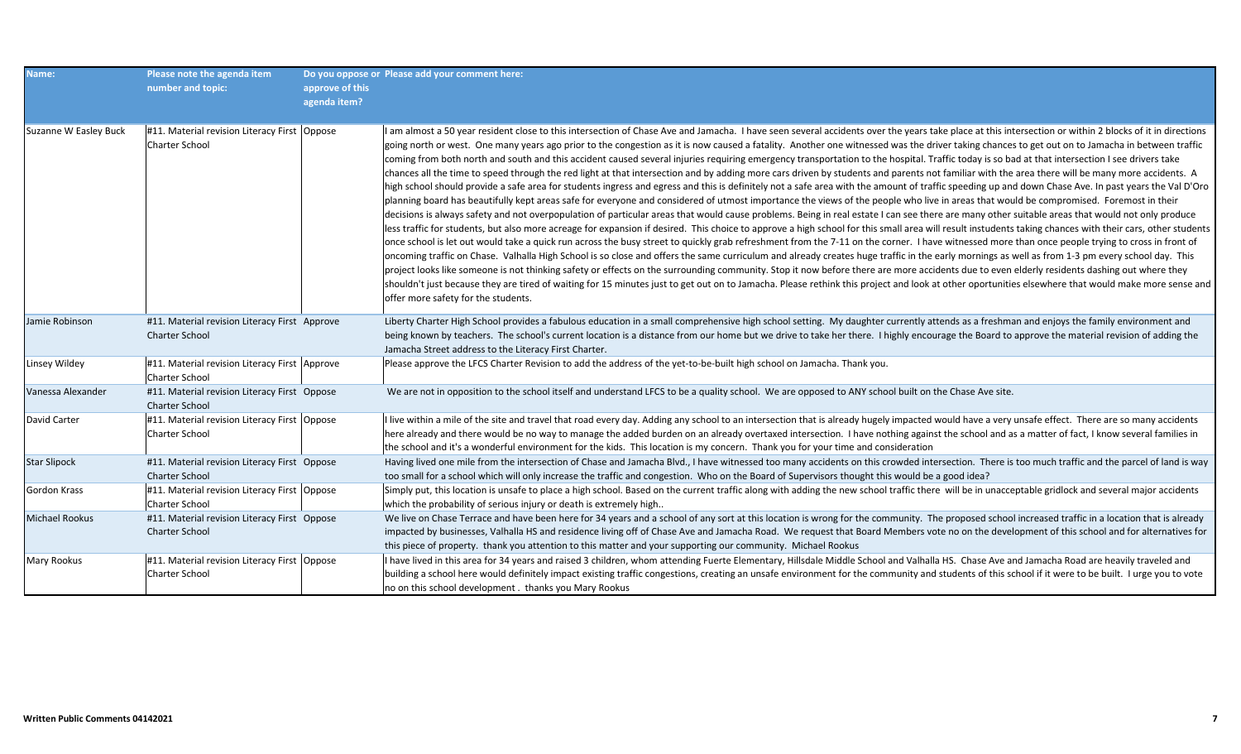| Name:                 | Please note the agenda item<br>number and topic:                       | approve of this<br>agenda item? | Do you oppose or Please add your comment here:                                                                                                                                                                                                                                                                                                                                                                                                                                                                                                                                                                                                                                                                                                                                                                                                                                                                                                                                                                                                                                                                                                                                                                                                                                                                                                                                                                                                                                                                                                                                                                                                                                                                                                                                                                                                                                                                                                                                                                                                                                                                                                                                                                                                                                                                                                                                                                                                                                       |
|-----------------------|------------------------------------------------------------------------|---------------------------------|--------------------------------------------------------------------------------------------------------------------------------------------------------------------------------------------------------------------------------------------------------------------------------------------------------------------------------------------------------------------------------------------------------------------------------------------------------------------------------------------------------------------------------------------------------------------------------------------------------------------------------------------------------------------------------------------------------------------------------------------------------------------------------------------------------------------------------------------------------------------------------------------------------------------------------------------------------------------------------------------------------------------------------------------------------------------------------------------------------------------------------------------------------------------------------------------------------------------------------------------------------------------------------------------------------------------------------------------------------------------------------------------------------------------------------------------------------------------------------------------------------------------------------------------------------------------------------------------------------------------------------------------------------------------------------------------------------------------------------------------------------------------------------------------------------------------------------------------------------------------------------------------------------------------------------------------------------------------------------------------------------------------------------------------------------------------------------------------------------------------------------------------------------------------------------------------------------------------------------------------------------------------------------------------------------------------------------------------------------------------------------------------------------------------------------------------------------------------------------------|
| Suzanne W Easley Buck | #11. Material revision Literacy First Oppose<br>Charter School         |                                 | I am almost a 50 year resident close to this intersection of Chase Ave and Jamacha. I have seen several accidents over the years take place at this intersection or within 2 blocks of it in directions<br>going north or west. One many years ago prior to the congestion as it is now caused a fatality. Another one witnessed was the driver taking chances to get out on to Jamacha in between traffic<br>coming from both north and south and this accident caused several injuries requiring emergency transportation to the hospital. Traffic today is so bad at that intersection I see drivers take<br>chances all the time to speed through the red light at that intersection and by adding more cars driven by students and parents not familiar with the area there will be many more accidents. A<br>high school should provide a safe area for students ingress and egress and this is definitely not a safe area with the amount of traffic speeding up and down Chase Ave. In past years the Val D'Oro<br>planning board has beautifully kept areas safe for everyone and considered of utmost importance the views of the people who live in areas that would be compromised. Foremost in their<br>decisions is always safety and not overpopulation of particular areas that would cause problems. Being in real estate I can see there are many other suitable areas that would not only produce<br>less traffic for students, but also more acreage for expansion if desired. This choice to approve a high school for this small area will result instudents taking chances with their cars, other students<br>once school is let out would take a quick run across the busy street to quickly grab refreshment from the 7-11 on the corner. I have witnessed more than once people trying to cross in front of<br>oncoming traffic on Chase. Valhalla High School is so close and offers the same curriculum and already creates huge traffic in the early mornings as well as from 1-3 pm every school day. This<br>project looks like someone is not thinking safety or effects on the surrounding community. Stop it now before there are more accidents due to even elderly residents dashing out where they<br>shouldn't just because they are tired of waiting for 15 minutes just to get out on to Jamacha. Please rethink this project and look at other oportunities elsewhere that would make more sense and<br>offer more safety for the students. |
| Jamie Robinson        | #11. Material revision Literacy First Approve<br><b>Charter School</b> |                                 | Liberty Charter High School provides a fabulous education in a small comprehensive high school setting. My daughter currently attends as a freshman and enjoys the family environment and<br>being known by teachers. The school's current location is a distance from our home but we drive to take her there. I highly encourage the Board to approve the material revision of adding the<br>Jamacha Street address to the Literacy First Charter.                                                                                                                                                                                                                                                                                                                                                                                                                                                                                                                                                                                                                                                                                                                                                                                                                                                                                                                                                                                                                                                                                                                                                                                                                                                                                                                                                                                                                                                                                                                                                                                                                                                                                                                                                                                                                                                                                                                                                                                                                                 |
| Linsey Wildey         | #11. Material revision Literacy First Approve<br><b>Charter School</b> |                                 | Please approve the LFCS Charter Revision to add the address of the yet-to-be-built high school on Jamacha. Thank you.                                                                                                                                                                                                                                                                                                                                                                                                                                                                                                                                                                                                                                                                                                                                                                                                                                                                                                                                                                                                                                                                                                                                                                                                                                                                                                                                                                                                                                                                                                                                                                                                                                                                                                                                                                                                                                                                                                                                                                                                                                                                                                                                                                                                                                                                                                                                                                |
| Vanessa Alexander     | #11. Material revision Literacy First Oppose<br><b>Charter School</b>  |                                 | We are not in opposition to the school itself and understand LFCS to be a quality school. We are opposed to ANY school built on the Chase Ave site.                                                                                                                                                                                                                                                                                                                                                                                                                                                                                                                                                                                                                                                                                                                                                                                                                                                                                                                                                                                                                                                                                                                                                                                                                                                                                                                                                                                                                                                                                                                                                                                                                                                                                                                                                                                                                                                                                                                                                                                                                                                                                                                                                                                                                                                                                                                                  |
| David Carter          | #11. Material revision Literacy First   Oppose<br>Charter School       |                                 | I live within a mile of the site and travel that road every day. Adding any school to an intersection that is already hugely impacted would have a very unsafe effect. There are so many accidents<br>here already and there would be no way to manage the added burden on an already overtaxed intersection. I have nothing against the school and as a matter of fact, I know several families in<br>the school and it's a wonderful environment for the kids. This location is my concern. Thank you for your time and consideration                                                                                                                                                                                                                                                                                                                                                                                                                                                                                                                                                                                                                                                                                                                                                                                                                                                                                                                                                                                                                                                                                                                                                                                                                                                                                                                                                                                                                                                                                                                                                                                                                                                                                                                                                                                                                                                                                                                                              |
| <b>Star Slipock</b>   | #11. Material revision Literacy First Oppose<br><b>Charter School</b>  |                                 | Having lived one mile from the intersection of Chase and Jamacha Blvd., I have witnessed too many accidents on this crowded intersection. There is too much traffic and the parcel of land is way<br>too small for a school which will only increase the traffic and congestion. Who on the Board of Supervisors thought this would be a good idea?                                                                                                                                                                                                                                                                                                                                                                                                                                                                                                                                                                                                                                                                                                                                                                                                                                                                                                                                                                                                                                                                                                                                                                                                                                                                                                                                                                                                                                                                                                                                                                                                                                                                                                                                                                                                                                                                                                                                                                                                                                                                                                                                  |
| Gordon Krass          | #11. Material revision Literacy First Oppose<br>Charter School         |                                 | Simply put, this location is unsafe to place a high school. Based on the current traffic along with adding the new school traffic there will be in unacceptable gridlock and several major accidents<br>which the probability of serious injury or death is extremely high                                                                                                                                                                                                                                                                                                                                                                                                                                                                                                                                                                                                                                                                                                                                                                                                                                                                                                                                                                                                                                                                                                                                                                                                                                                                                                                                                                                                                                                                                                                                                                                                                                                                                                                                                                                                                                                                                                                                                                                                                                                                                                                                                                                                           |
| Michael Rookus        | #11. Material revision Literacy First Oppose<br>Charter School         |                                 | We live on Chase Terrace and have been here for 34 years and a school of any sort at this location is wrong for the community. The proposed school increased traffic in a location that is already<br>impacted by businesses, Valhalla HS and residence living off of Chase Ave and Jamacha Road. We request that Board Members vote no on the development of this school and for alternatives for<br>this piece of property. thank you attention to this matter and your supporting our community. Michael Rookus                                                                                                                                                                                                                                                                                                                                                                                                                                                                                                                                                                                                                                                                                                                                                                                                                                                                                                                                                                                                                                                                                                                                                                                                                                                                                                                                                                                                                                                                                                                                                                                                                                                                                                                                                                                                                                                                                                                                                                   |
| Mary Rookus           | #11. Material revision Literacy First   Oppose<br>Charter School       |                                 | I have lived in this area for 34 years and raised 3 children, whom attending Fuerte Elementary, Hillsdale Middle School and Valhalla HS. Chase Ave and Jamacha Road are heavily traveled and<br>building a school here would definitely impact existing traffic congestions, creating an unsafe environment for the community and students of this school if it were to be built. I urge you to vote<br>no on this school development. thanks you Mary Rookus                                                                                                                                                                                                                                                                                                                                                                                                                                                                                                                                                                                                                                                                                                                                                                                                                                                                                                                                                                                                                                                                                                                                                                                                                                                                                                                                                                                                                                                                                                                                                                                                                                                                                                                                                                                                                                                                                                                                                                                                                        |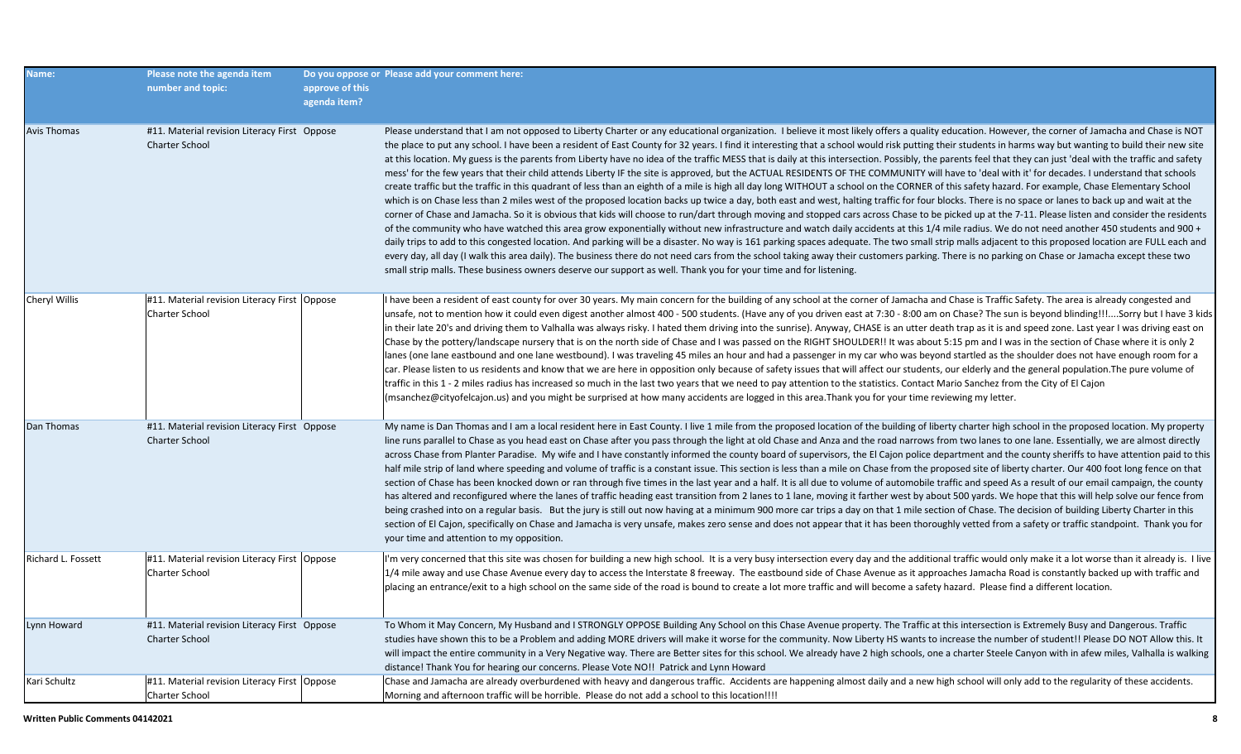| Name:              | Please note the agenda item<br>number and topic:                        | approve of this<br>agenda item? | Do you oppose or Please add your comment here:                                                                                                                                                                                                                                                                                                                                                                                                                                                                                                                                                                                                                                                                                                                                                                                                                                                                                                                                                                                                                                                                                                                                                                                                                                                                                                                                                                                                                                                                                                                                                                                                                                                                                                                                                                                                                                                                                                                                                                                                                                                                                                                           |
|--------------------|-------------------------------------------------------------------------|---------------------------------|--------------------------------------------------------------------------------------------------------------------------------------------------------------------------------------------------------------------------------------------------------------------------------------------------------------------------------------------------------------------------------------------------------------------------------------------------------------------------------------------------------------------------------------------------------------------------------------------------------------------------------------------------------------------------------------------------------------------------------------------------------------------------------------------------------------------------------------------------------------------------------------------------------------------------------------------------------------------------------------------------------------------------------------------------------------------------------------------------------------------------------------------------------------------------------------------------------------------------------------------------------------------------------------------------------------------------------------------------------------------------------------------------------------------------------------------------------------------------------------------------------------------------------------------------------------------------------------------------------------------------------------------------------------------------------------------------------------------------------------------------------------------------------------------------------------------------------------------------------------------------------------------------------------------------------------------------------------------------------------------------------------------------------------------------------------------------------------------------------------------------------------------------------------------------|
| <b>Avis Thomas</b> | #11. Material revision Literacy First Oppose<br><b>Charter School</b>   |                                 | Please understand that I am not opposed to Liberty Charter or any educational organization. I believe it most likely offers a quality education. However, the corner of Jamacha and Chase is NOT<br>the place to put any school. I have been a resident of East County for 32 years. I find it interesting that a school would risk putting their students in harms way but wanting to build their new site<br>at this location. My guess is the parents from Liberty have no idea of the traffic MESS that is daily at this intersection. Possibly, the parents feel that they can just 'deal with the traffic and safety<br>mess' for the few years that their child attends Liberty IF the site is approved, but the ACTUAL RESIDENTS OF THE COMMUNITY will have to 'deal with it' for decades. I understand that schools<br>create traffic but the traffic in this quadrant of less than an eighth of a mile is high all day long WITHOUT a school on the CORNER of this safety hazard. For example, Chase Elementary School<br>which is on Chase less than 2 miles west of the proposed location backs up twice a day, both east and west, halting traffic for four blocks. There is no space or lanes to back up and wait at the<br>corner of Chase and Jamacha. So it is obvious that kids will choose to run/dart through moving and stopped cars across Chase to be picked up at the 7-11. Please listen and consider the residents<br>of the community who have watched this area grow exponentially without new infrastructure and watch daily accidents at this 1/4 mile radius. We do not need another 450 students and 900 +<br>daily trips to add to this congested location. And parking will be a disaster. No way is 161 parking spaces adequate. The two small strip malls adjacent to this proposed location are FULL each and<br>every day, all day (I walk this area daily). The business there do not need cars from the school taking away their customers parking. There is no parking on Chase or Jamacha except these two<br>small strip malls. These business owners deserve our support as well. Thank you for your time and for listening. |
| Cheryl Willis      | #11. Material revision Literacy First   Oppose<br><b>Charter School</b> |                                 | I have been a resident of east county for over 30 years. My main concern for the building of any school at the corner of Jamacha and Chase is Traffic Safety. The area is already congested and<br>unsafe, not to mention how it could even digest another almost 400 - 500 students. (Have any of you driven east at 7:30 - 8:00 am on Chase? The sun is beyond blinding!!!Sorry but I have 3 kids<br>in their late 20's and driving them to Valhalla was always risky. I hated them driving into the sunrise). Anyway, CHASE is an utter death trap as it is and speed zone. Last year I was driving east on<br>Chase by the pottery/landscape nursery that is on the north side of Chase and I was passed on the RIGHT SHOULDER!! It was about 5:15 pm and I was in the section of Chase where it is only 2<br>lanes (one lane eastbound and one lane westbound). I was traveling 45 miles an hour and had a passenger in my car who was beyond startled as the shoulder does not have enough room for a<br>car. Please listen to us residents and know that we are here in opposition only because of safety issues that will affect our students, our elderly and the general population. The pure volume of<br>traffic in this 1 - 2 miles radius has increased so much in the last two years that we need to pay attention to the statistics. Contact Mario Sanchez from the City of El Cajon<br>(msanchez@cityofelcajon.us) and you might be surprised at how many accidents are logged in this area.Thank you for your time reviewing my letter.                                                                                                                                                                                                                                                                                                                                                                                                                                                                                                                                                                                                                |
| Dan Thomas         | #11. Material revision Literacy First Oppose<br><b>Charter School</b>   |                                 | My name is Dan Thomas and I am a local resident here in East County. I live 1 mile from the proposed location of the building of liberty charter high school in the proposed location. My property<br>line runs parallel to Chase as you head east on Chase after you pass through the light at old Chase and Anza and the road narrows from two lanes to one lane. Essentially, we are almost directly<br>across Chase from Planter Paradise. My wife and I have constantly informed the county board of supervisors, the El Cajon police department and the county sheriffs to have attention paid to this<br>half mile strip of land where speeding and volume of traffic is a constant issue. This section is less than a mile on Chase from the proposed site of liberty charter. Our 400 foot long fence on that<br>section of Chase has been knocked down or ran through five times in the last year and a half. It is all due to volume of automobile traffic and speed As a result of our email campaign, the county<br>has altered and reconfigured where the lanes of traffic heading east transition from 2 lanes to 1 lane, moving it farther west by about 500 yards. We hope that this will help solve our fence from<br>being crashed into on a regular basis. But the jury is still out now having at a minimum 900 more car trips a day on that 1 mile section of Chase. The decision of building Liberty Charter in this<br>section of El Cajon, specifically on Chase and Jamacha is very unsafe, makes zero sense and does not appear that it has been thoroughly vetted from a safety or traffic standpoint. Thank you for<br>your time and attention to my opposition.                                                                                                                                                                                                                                                                                                                                                                                                                                                                            |
| Richard L. Fossett | #11. Material revision Literacy First   Oppose<br><b>Charter School</b> |                                 | I'm very concerned that this site was chosen for building a new high school. It is a very busy intersection every day and the additional traffic would only make it a lot worse than it already is. I live<br>1/4 mile away and use Chase Avenue every day to access the Interstate 8 freeway. The eastbound side of Chase Avenue as it approaches Jamacha Road is constantly backed up with traffic and<br>placing an entrance/exit to a high school on the same side of the road is bound to create a lot more traffic and will become a safety hazard. Please find a different location.                                                                                                                                                                                                                                                                                                                                                                                                                                                                                                                                                                                                                                                                                                                                                                                                                                                                                                                                                                                                                                                                                                                                                                                                                                                                                                                                                                                                                                                                                                                                                                              |
| Lynn Howard        | #11. Material revision Literacy First Oppose<br><b>Charter School</b>   |                                 | To Whom it May Concern, My Husband and I STRONGLY OPPOSE Building Any School on this Chase Avenue property. The Traffic at this intersection is Extremely Busy and Dangerous. Traffic<br>studies have shown this to be a Problem and adding MORE drivers will make it worse for the community. Now Liberty HS wants to increase the number of student!! Please DO NOT Allow this. It<br>will impact the entire community in a Very Negative way. There are Better sites for this school. We already have 2 high schools, one a charter Steele Canyon with in afew miles, Valhalla is walking<br>distance! Thank You for hearing our concerns. Please Vote NO!! Patrick and Lynn Howard                                                                                                                                                                                                                                                                                                                                                                                                                                                                                                                                                                                                                                                                                                                                                                                                                                                                                                                                                                                                                                                                                                                                                                                                                                                                                                                                                                                                                                                                                   |
| Kari Schultz       | #11. Material revision Literacy First   Oppose<br>Charter School        |                                 | Chase and Jamacha are already overburdened with heavy and dangerous traffic. Accidents are happening almost daily and a new high school will only add to the regularity of these accidents.<br>Morning and afternoon traffic will be horrible. Please do not add a school to this location!!!!                                                                                                                                                                                                                                                                                                                                                                                                                                                                                                                                                                                                                                                                                                                                                                                                                                                                                                                                                                                                                                                                                                                                                                                                                                                                                                                                                                                                                                                                                                                                                                                                                                                                                                                                                                                                                                                                           |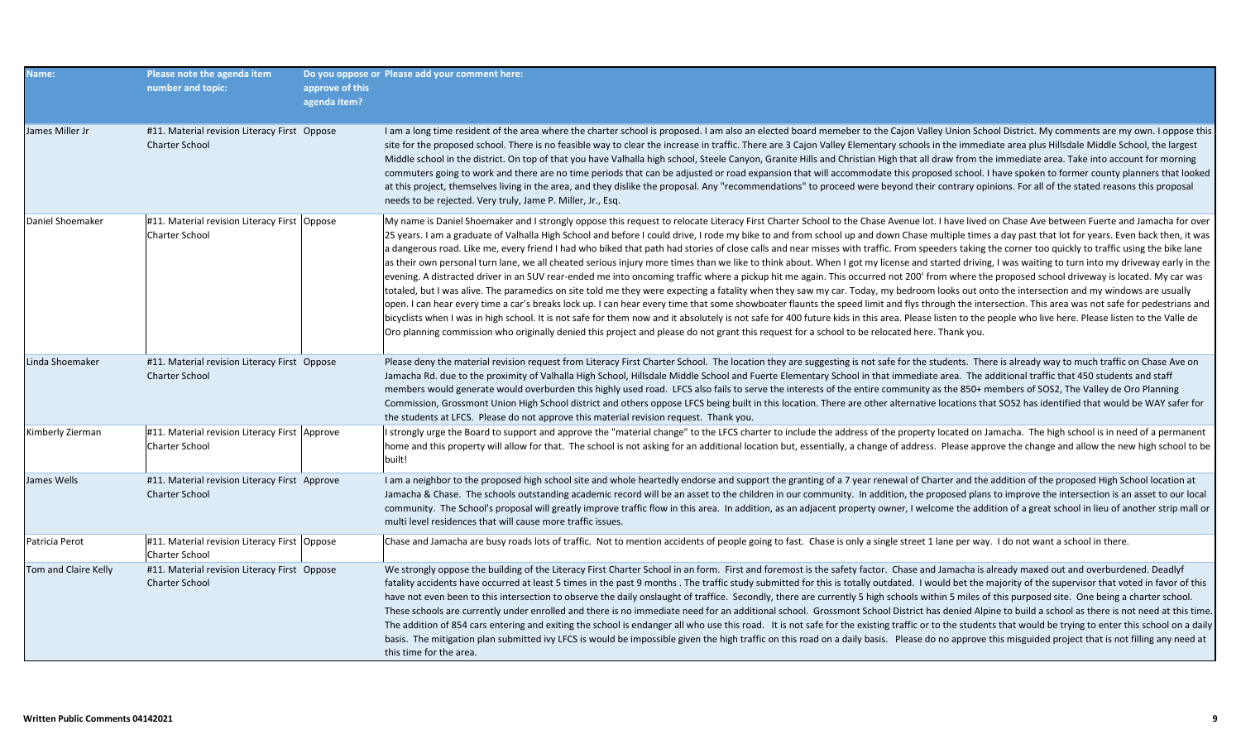| <b>Name:</b>         | Please note the agenda item<br>number and topic:                       | approve of this<br>agenda item? | Do you oppose or Please add your comment here:                                                                                                                                                                                                                                                                                                                                                                                                                                                                                                                                                                                                                                                                                                                                                                                                                                                                                                                                                                                                                                                                                                                                                                                                                                                                                                                                                                                                                                                                                                                                                                                                                                                                                                                                                  |
|----------------------|------------------------------------------------------------------------|---------------------------------|-------------------------------------------------------------------------------------------------------------------------------------------------------------------------------------------------------------------------------------------------------------------------------------------------------------------------------------------------------------------------------------------------------------------------------------------------------------------------------------------------------------------------------------------------------------------------------------------------------------------------------------------------------------------------------------------------------------------------------------------------------------------------------------------------------------------------------------------------------------------------------------------------------------------------------------------------------------------------------------------------------------------------------------------------------------------------------------------------------------------------------------------------------------------------------------------------------------------------------------------------------------------------------------------------------------------------------------------------------------------------------------------------------------------------------------------------------------------------------------------------------------------------------------------------------------------------------------------------------------------------------------------------------------------------------------------------------------------------------------------------------------------------------------------------|
| James Miller Jr      | #11. Material revision Literacy First Oppose<br><b>Charter School</b>  |                                 | I am a long time resident of the area where the charter school is proposed. I am also an elected board memeber to the Cajon Valley Union School District. My comments are my own. I oppose this<br>site for the proposed school. There is no feasible way to clear the increase in traffic. There are 3 Cajon Valley Elementary schools in the immediate area plus Hillsdale Middle School, the largest<br>Middle school in the district. On top of that you have Valhalla high school, Steele Canyon, Granite Hills and Christian High that all draw from the immediate area. Take into account for morning<br>commuters going to work and there are no time periods that can be adjusted or road expansion that will accommodate this proposed school. I have spoken to former county planners that looked<br>at this project, themselves living in the area, and they dislike the proposal. Any "recommendations" to proceed were beyond their contrary opinions. For all of the stated reasons this proposal<br>needs to be rejected. Very truly, Jame P. Miller, Jr., Esq.                                                                                                                                                                                                                                                                                                                                                                                                                                                                                                                                                                                                                                                                                                                 |
| Daniel Shoemaker     | #11. Material revision Literacy First Oppose<br><b>Charter School</b>  |                                 | My name is Daniel Shoemaker and I strongly oppose this request to relocate Literacy First Charter School to the Chase Avenue lot. I have lived on Chase Ave between Fuerte and Jamacha for over<br>25 years. I am a graduate of Valhalla High School and before I could drive, I rode my bike to and from school up and down Chase multiple times a day past that lot for years. Even back then, it was<br>a dangerous road. Like me, every friend I had who biked that path had stories of close calls and near misses with traffic. From speeders taking the corner too quickly to traffic using the bike lane<br>as their own personal turn lane, we all cheated serious injury more times than we like to think about. When I got my license and started driving, I was waiting to turn into my driveway early in the<br>evening. A distracted driver in an SUV rear-ended me into oncoming traffic where a pickup hit me again. This occurred not 200' from where the proposed school driveway is located. My car was<br>totaled, but I was alive. The paramedics on site told me they were expecting a fatality when they saw my car. Today, my bedroom looks out onto the intersection and my windows are usually<br>open. I can hear every time a car's breaks lock up. I can hear every time that some showboater flaunts the speed limit and flys through the intersection. This area was not safe for pedestrians and<br>bicyclists when I was in high school. It is not safe for them now and it absolutely is not safe for 400 future kids in this area. Please listen to the people who live here. Please listen to the Valle de<br>Oro planning commission who originally denied this project and please do not grant this request for a school to be relocated here. Thank you. |
| Linda Shoemaker      | #11. Material revision Literacy First Oppose<br><b>Charter School</b>  |                                 | Please deny the material revision request from Literacy First Charter School. The location they are suggesting is not safe for the students. There is already way to much traffic on Chase Ave on<br>Jamacha Rd. due to the proximity of Valhalla High School, Hillsdale Middle School and Fuerte Elementary School in that immediate area. The additional traffic that 450 students and staff<br>members would generate would overburden this highly used road. LFCS also fails to serve the interests of the entire community as the 850+ members of SOS2, The Valley de Oro Planning<br>Commission, Grossmont Union High School district and others oppose LFCS being built in this location. There are other alternative locations that SOS2 has identified that would be WAY safer for<br>the students at LFCS. Please do not approve this material revision request. Thank you.                                                                                                                                                                                                                                                                                                                                                                                                                                                                                                                                                                                                                                                                                                                                                                                                                                                                                                           |
| Kimberly Zierman     | #11. Material revision Literacy First Approve<br><b>Charter School</b> |                                 | I strongly urge the Board to support and approve the "material change" to the LFCS charter to include the address of the property located on Jamacha. The high school is in need of a permanent<br>home and this property will allow for that. The school is not asking for an additional location but, essentially, a change of address. Please approve the change and allow the new high school to be<br>built!                                                                                                                                                                                                                                                                                                                                                                                                                                                                                                                                                                                                                                                                                                                                                                                                                                                                                                                                                                                                                                                                                                                                                                                                                                                                                                                                                                               |
| James Wells          | #11. Material revision Literacy First Approve<br><b>Charter School</b> |                                 | I am a neighbor to the proposed high school site and whole heartedly endorse and support the granting of a 7 year renewal of Charter and the addition of the proposed High School location at<br>Jamacha & Chase. The schools outstanding academic record will be an asset to the children in our community. In addition, the proposed plans to improve the intersection is an asset to our local<br>community. The School's proposal will greatly improve traffic flow in this area. In addition, as an adjacent property owner, I welcome the addition of a great school in lieu of another strip mall or<br>multi level residences that will cause more traffic issues.                                                                                                                                                                                                                                                                                                                                                                                                                                                                                                                                                                                                                                                                                                                                                                                                                                                                                                                                                                                                                                                                                                                      |
| Patricia Perot       | #11. Material revision Literacy First Oppose<br>Charter School         |                                 | Chase and Jamacha are busy roads lots of traffic. Not to mention accidents of people going to fast. Chase is only a single street 1 lane per way. I do not want a school in there.                                                                                                                                                                                                                                                                                                                                                                                                                                                                                                                                                                                                                                                                                                                                                                                                                                                                                                                                                                                                                                                                                                                                                                                                                                                                                                                                                                                                                                                                                                                                                                                                              |
| Tom and Claire Kelly | #11. Material revision Literacy First Oppose<br><b>Charter School</b>  |                                 | We strongly oppose the building of the Literacy First Charter School in an form. First and foremost is the safety factor. Chase and Jamacha is already maxed out and overburdened. Deadlyf<br>fatality accidents have occurred at least 5 times in the past 9 months. The traffic study submitted for this is totally outdated. I would bet the majority of the supervisor that voted in favor of this<br>have not even been to this intersection to observe the daily onslaught of traffice. Secondly, there are currently 5 high schools within 5 miles of this purposed site. One being a charter school.<br>These schools are currently under enrolled and there is no immediate need for an additional school. Grossmont School District has denied Alpine to build a school as there is not need at this time.<br>The addition of 854 cars entering and exiting the school is endanger all who use this road. It is not safe for the existing traffic or to the students that would be trying to enter this school on a daily<br>basis. The mitigation plan submitted ivy LFCS is would be impossible given the high traffic on this road on a daily basis. Please do no approve this misguided project that is not filling any need at<br>this time for the area.                                                                                                                                                                                                                                                                                                                                                                                                                                                                                                                        |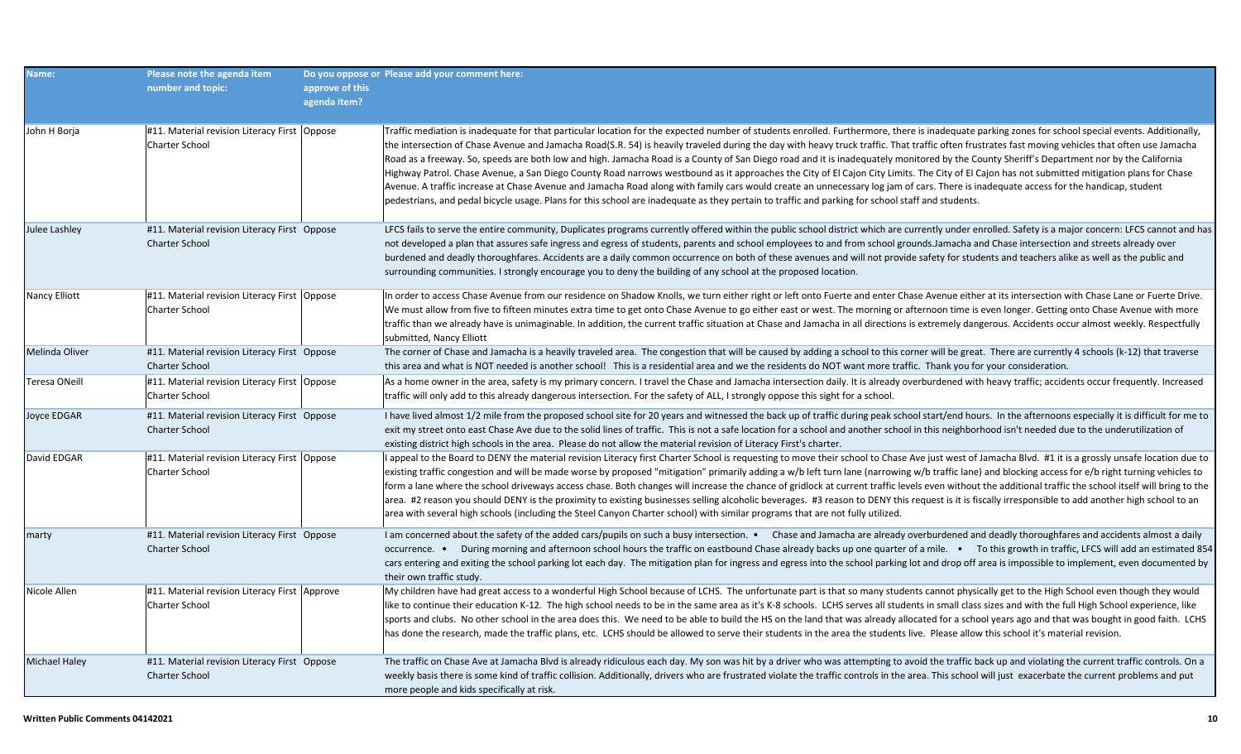| Name:                | Please note the agenda item<br>number and topic:                        | approve of this<br>agenda item? | Do you oppose or Please add your comment here:                                                                                                                                                                                                                                                                                                                                                                                                                                                                                                                                                                                                                                                                                                                                                                                                                                                                                                                                                                                                                                                                                                   |
|----------------------|-------------------------------------------------------------------------|---------------------------------|--------------------------------------------------------------------------------------------------------------------------------------------------------------------------------------------------------------------------------------------------------------------------------------------------------------------------------------------------------------------------------------------------------------------------------------------------------------------------------------------------------------------------------------------------------------------------------------------------------------------------------------------------------------------------------------------------------------------------------------------------------------------------------------------------------------------------------------------------------------------------------------------------------------------------------------------------------------------------------------------------------------------------------------------------------------------------------------------------------------------------------------------------|
| John H Borja         | #11. Material revision Literacy First   Oppose<br><b>Charter School</b> |                                 | Traffic mediation is inadequate for that particular location for the expected number of students enrolled. Furthermore, there is inadequate parking zones for school special events. Additionally,<br>the intersection of Chase Avenue and Jamacha Road(S.R. 54) is heavily traveled during the day with heavy truck traffic. That traffic often frustrates fast moving vehicles that often use Jamacha<br>Road as a freeway. So, speeds are both low and high. Jamacha Road is a County of San Diego road and it is inadequately monitored by the County Sheriff's Department nor by the California<br>Highway Patrol. Chase Avenue, a San Diego County Road narrows westbound as it approaches the City of El Cajon City Limits. The City of El Cajon has not submitted mitigation plans for Chase<br>Avenue. A traffic increase at Chase Avenue and Jamacha Road along with family cars would create an unnecessary log jam of cars. There is inadequate access for the handicap, student<br>pedestrians, and pedal bicycle usage. Plans for this school are inadequate as they pertain to traffic and parking for school staff and students. |
| Julee Lashley        | #11. Material revision Literacy First Oppose<br><b>Charter School</b>   |                                 | LFCS fails to serve the entire community, Duplicates programs currently offered within the public school district which are currently under enrolled. Safety is a major concern: LFCS cannot and has<br>not developed a plan that assures safe ingress and egress of students, parents and school employees to and from school grounds. Jamacha and Chase intersection and streets already over<br>burdened and deadly thoroughfares. Accidents are a daily common occurrence on both of these avenues and will not provide safety for students and teachers alike as well as the public and<br>surrounding communities. I strongly encourage you to deny the building of any school at the proposed location.                                                                                                                                                                                                                                                                                                                                                                                                                                   |
| Nancy Elliott        | #11. Material revision Literacy First   Oppose<br><b>Charter School</b> |                                 | In order to access Chase Avenue from our residence on Shadow Knolls, we turn either right or left onto Fuerte and enter Chase Avenue either at its intersection with Chase Lane or Fuerte Drive.<br>We must allow from five to fifteen minutes extra time to get onto Chase Avenue to go either east or west. The morning or afternoon time is even longer. Getting onto Chase Avenue with more<br>traffic than we already have is unimaginable. In addition, the current traffic situation at Chase and Jamacha in all directions is extremely dangerous. Accidents occur almost weekly. Respectfully<br>submitted, Nancy Elliott                                                                                                                                                                                                                                                                                                                                                                                                                                                                                                               |
| Melinda Oliver       | #11. Material revision Literacy First Oppose<br><b>Charter School</b>   |                                 | The corner of Chase and Jamacha is a heavily traveled area. The congestion that will be caused by adding a school to this corner will be great. There are currently 4 schools (k-12) that traverse<br>this area and what is NOT needed is another school! This is a residential area and we the residents do NOT want more traffic. Thank you for your consideration.                                                                                                                                                                                                                                                                                                                                                                                                                                                                                                                                                                                                                                                                                                                                                                            |
| Teresa ONeill        | #11. Material revision Literacy First   Oppose<br><b>Charter School</b> |                                 | As a home owner in the area, safety is my primary concern. I travel the Chase and Jamacha intersection daily. It is already overburdened with heavy traffic; accidents occur frequently. Increased<br>traffic will only add to this already dangerous intersection. For the safety of ALL, I strongly oppose this sight for a school.                                                                                                                                                                                                                                                                                                                                                                                                                                                                                                                                                                                                                                                                                                                                                                                                            |
| <b>Joyce EDGAR</b>   | #11. Material revision Literacy First Oppose<br><b>Charter School</b>   |                                 | I have lived almost 1/2 mile from the proposed school site for 20 years and witnessed the back up of traffic during peak school start/end hours. In the afternoons especially it is difficult for me to<br>exit my street onto east Chase Ave due to the solid lines of traffic. This is not a safe location for a school and another school in this neighborhood isn't needed due to the underutilization of<br>existing district high schools in the area. Please do not allow the material revision of Literacy First's charter.                                                                                                                                                                                                                                                                                                                                                                                                                                                                                                                                                                                                              |
| David EDGAR          | #11. Material revision Literacy First   Oppose<br>Charter School        |                                 | I appeal to the Board to DENY the material revision Literacy first Charter School is requesting to move their school to Chase Ave just west of Jamacha Blvd. #1 it is a grossly unsafe location due to<br>existing traffic congestion and will be made worse by proposed "mitigation" primarily adding a w/b left turn lane (narrowing w/b traffic lane) and blocking access for e/b right turning vehicles to<br>form a lane where the school driveways access chase. Both changes will increase the chance of gridlock at current traffic levels even without the additional traffic the school itself will bring to the<br>area. #2 reason you should DENY is the proximity to existing businesses selling alcoholic beverages. #3 reason to DENY this request is it is fiscally irresponsible to add another high school to an<br>area with several high schools (including the Steel Canyon Charter school) with similar programs that are not fully utilized.                                                                                                                                                                              |
| marty                | #11. Material revision Literacy First Oppose<br><b>Charter School</b>   |                                 | I am concerned about the safety of the added cars/pupils on such a busy intersection. • Chase and Jamacha are already overburdened and deadly thoroughfares and accidents almost a daily<br>occurrence. . During morning and afternoon school hours the traffic on eastbound Chase already backs up one quarter of a mile. . To this growth in traffic, LFCS will add an estimated 854<br>cars entering and exiting the school parking lot each day. The mitigation plan for ingress and egress into the school parking lot and drop off area is impossible to implement, even documented by<br>their own traffic study.                                                                                                                                                                                                                                                                                                                                                                                                                                                                                                                         |
| Nicole Allen         | #11. Material revision Literacy First Approve<br><b>Charter School</b>  |                                 | My children have had great access to a wonderful High School because of LCHS. The unfortunate part is that so many students cannot physically get to the High School even though they would<br>like to continue their education K-12. The high school needs to be in the same area as it's K-8 schools. LCHS serves all students in small class sizes and with the full High School experience, like<br>sports and clubs. No other school in the area does this. We need to be able to build the HS on the land that was already allocated for a school years ago and that was bought in good faith. LCHS<br>has done the research, made the traffic plans, etc. LCHS should be allowed to serve their students in the area the students live. Please allow this school it's material revision.                                                                                                                                                                                                                                                                                                                                                  |
| <b>Michael Haley</b> | #11. Material revision Literacy First Oppose<br><b>Charter School</b>   |                                 | The traffic on Chase Ave at Jamacha Blvd is already ridiculous each day. My son was hit by a driver who was attempting to avoid the traffic back up and violating the current traffic controls. On a<br>weekly basis there is some kind of traffic collision. Additionally, drivers who are frustrated violate the traffic controls in the area. This school will just exacerbate the current problems and put<br>more people and kids specifically at risk.                                                                                                                                                                                                                                                                                                                                                                                                                                                                                                                                                                                                                                                                                     |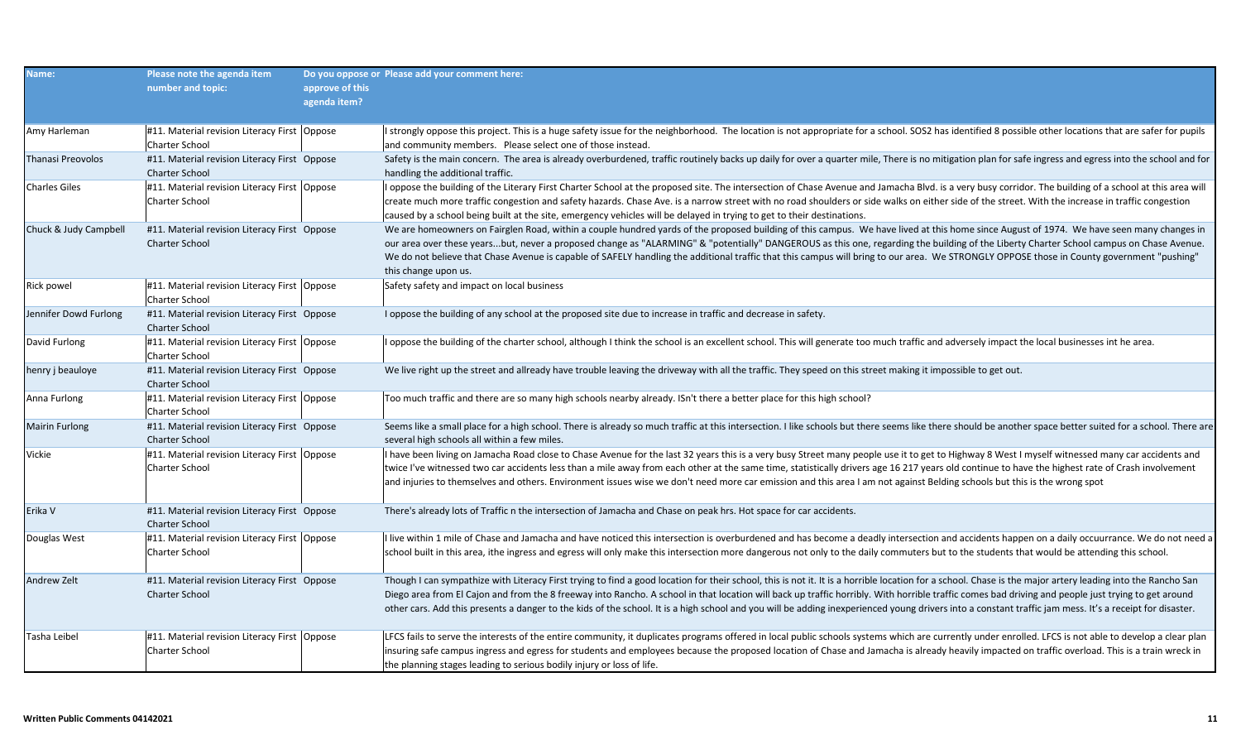| Name:                 | Please note the agenda item<br>number and topic:                        | approve of this<br>agenda item? | Do you oppose or Please add your comment here:                                                                                                                                                                                                                                                                                                                                                                                                                                                                                                                                                                              |
|-----------------------|-------------------------------------------------------------------------|---------------------------------|-----------------------------------------------------------------------------------------------------------------------------------------------------------------------------------------------------------------------------------------------------------------------------------------------------------------------------------------------------------------------------------------------------------------------------------------------------------------------------------------------------------------------------------------------------------------------------------------------------------------------------|
| Amy Harleman          | #11. Material revision Literacy First Oppose<br>Charter School          |                                 | I strongly oppose this project. This is a huge safety issue for the neighborhood. The location is not appropriate for a school. SOS2 has identified 8 possible other locations that are safer for pupils<br>and community members. Please select one of those instead.                                                                                                                                                                                                                                                                                                                                                      |
| Thanasi Preovolos     | #11. Material revision Literacy First Oppose<br><b>Charter School</b>   |                                 | Safety is the main concern. The area is already overburdened, traffic routinely backs up daily for over a quarter mile, There is no mitigation plan for safe ingress and egress into the school and for<br>handling the additional traffic.                                                                                                                                                                                                                                                                                                                                                                                 |
| Charles Giles         | #11. Material revision Literacy First Oppose<br>Charter School          |                                 | I oppose the building of the Literary First Charter School at the proposed site. The intersection of Chase Avenue and Jamacha Blvd. is a very busy corridor. The building of a school at this area will<br>create much more traffic congestion and safety hazards. Chase Ave. is a narrow street with no road shoulders or side walks on either side of the street. With the increase in traffic congestion<br>caused by a school being built at the site, emergency vehicles will be delayed in trying to get to their destinations.                                                                                       |
| Chuck & Judy Campbell | #11. Material revision Literacy First Oppose<br><b>Charter School</b>   |                                 | We are homeowners on Fairglen Road, within a couple hundred yards of the proposed building of this campus. We have lived at this home since August of 1974. We have seen many changes in<br>our area over these yearsbut, never a proposed change as "ALARMING" & "potentially" DANGEROUS as this one, regarding the building of the Liberty Charter School campus on Chase Avenue.<br>We do not believe that Chase Avenue is capable of SAFELY handling the additional traffic that this campus will bring to our area. We STRONGLY OPPOSE those in County government "pushing"<br>this change upon us.                    |
| Rick powel            | #11. Material revision Literacy First   Oppose<br><b>Charter School</b> |                                 | Safety safety and impact on local business                                                                                                                                                                                                                                                                                                                                                                                                                                                                                                                                                                                  |
| Jennifer Dowd Furlong | #11. Material revision Literacy First Oppose<br>Charter School          |                                 | I oppose the building of any school at the proposed site due to increase in traffic and decrease in safety.                                                                                                                                                                                                                                                                                                                                                                                                                                                                                                                 |
| David Furlong         | #11. Material revision Literacy First Oppose<br><b>Charter School</b>   |                                 | I oppose the building of the charter school, although I think the school is an excellent school. This will generate too much traffic and adversely impact the local businesses int he area.                                                                                                                                                                                                                                                                                                                                                                                                                                 |
| henry j beauloye      | #11. Material revision Literacy First Oppose<br><b>Charter School</b>   |                                 | We live right up the street and allready have trouble leaving the driveway with all the traffic. They speed on this street making it impossible to get out.                                                                                                                                                                                                                                                                                                                                                                                                                                                                 |
| Anna Furlong          | #11. Material revision Literacy First Oppose<br><b>Charter School</b>   |                                 | Too much traffic and there are so many high schools nearby already. ISn't there a better place for this high school?                                                                                                                                                                                                                                                                                                                                                                                                                                                                                                        |
| Mairin Furlong        | #11. Material revision Literacy First Oppose<br>Charter School          |                                 | Seems like a small place for a high school. There is already so much traffic at this intersection. I like schools but there seems like there should be another space better suited for a school. There are<br>several high schools all within a few miles.                                                                                                                                                                                                                                                                                                                                                                  |
| Vickie                | #11. Material revision Literacy First Oppose<br>Charter School          |                                 | I have been living on Jamacha Road close to Chase Avenue for the last 32 years this is a very busy Street many people use it to get to Highway 8 West I myself witnessed many car accidents and<br>twice I've witnessed two car accidents less than a mile away from each other at the same time, statistically drivers age 16 217 years old continue to have the highest rate of Crash involvement<br>and injuries to themselves and others. Environment issues wise we don't need more car emission and this area I am not against Belding schools but this is the wrong spot                                             |
| Erika V               | #11. Material revision Literacy First Oppose<br>Charter School          |                                 | There's already lots of Traffic n the intersection of Jamacha and Chase on peak hrs. Hot space for car accidents.                                                                                                                                                                                                                                                                                                                                                                                                                                                                                                           |
| Douglas West          | #11. Material revision Literacy First   Oppose<br>Charter School        |                                 | I live within 1 mile of Chase and Jamacha and have noticed this intersection is overburdened and has become a deadly intersection and accidents happen on a daily occuurrance. We do not need a<br>school built in this area, ithe ingress and egress will only make this intersection more dangerous not only to the daily commuters but to the students that would be attending this school.                                                                                                                                                                                                                              |
| Andrew Zelt           | #11. Material revision Literacy First Oppose<br><b>Charter School</b>   |                                 | Though I can sympathize with Literacy First trying to find a good location for their school, this is not it. It is a horrible location for a school. Chase is the major artery leading into the Rancho San<br>Diego area from El Cajon and from the 8 freeway into Rancho. A school in that location will back up traffic horribly. With horrible traffic comes bad driving and people just trying to get around<br>other cars. Add this presents a danger to the kids of the school. It is a high school and you will be adding inexperienced young drivers into a constant traffic jam mess. It's a receipt for disaster. |
| Tasha Leibel          | #11. Material revision Literacy First   Oppose<br>Charter School        |                                 | LFCS fails to serve the interests of the entire community, it duplicates programs offered in local public schools systems which are currently under enrolled. LFCS is not able to develop a clear plan<br>insuring safe campus ingress and egress for students and employees because the proposed location of Chase and Jamacha is already heavily impacted on traffic overload. This is a train wreck in<br>the planning stages leading to serious bodily injury or loss of life.                                                                                                                                          |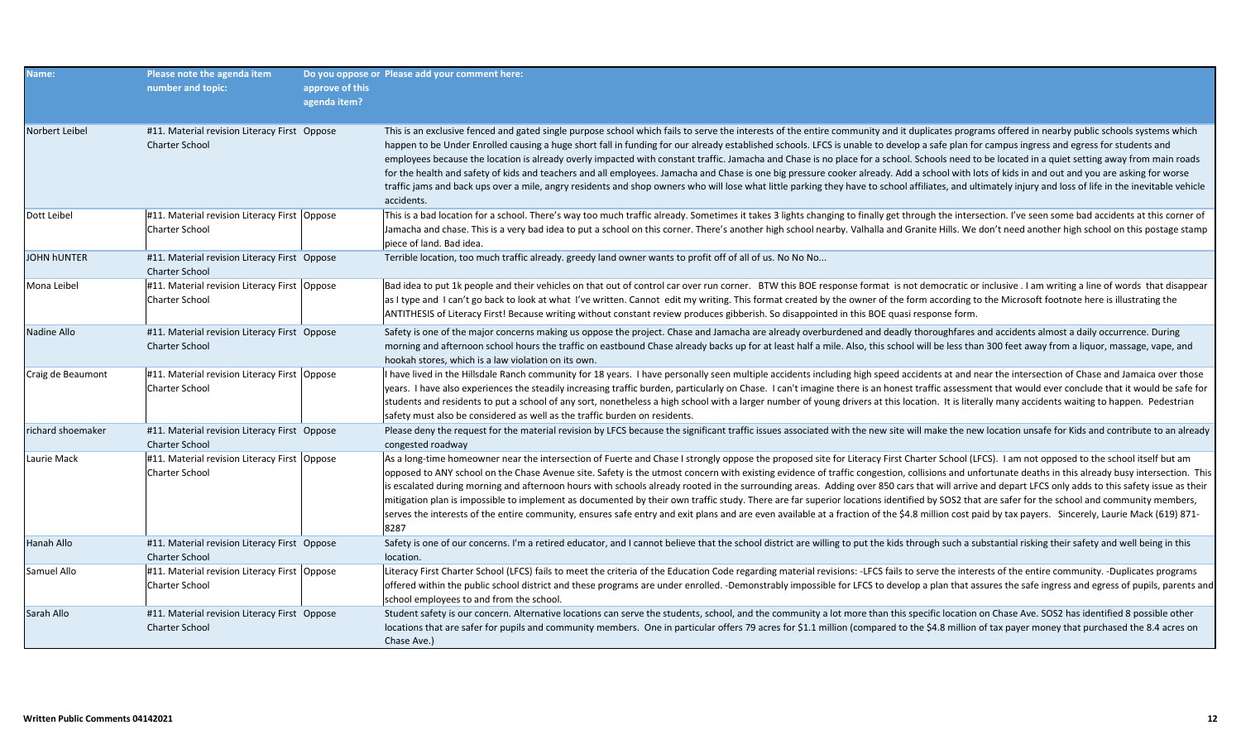| Name:              | Please note the agenda item<br>number and topic:                        | approve of this<br>agenda item? | Do you oppose or Please add your comment here:                                                                                                                                                                                                                                                                                                                                                                                                                                                                                                                                                                                                                                                                                                                                                                                                                                                                                                                                                                                 |
|--------------------|-------------------------------------------------------------------------|---------------------------------|--------------------------------------------------------------------------------------------------------------------------------------------------------------------------------------------------------------------------------------------------------------------------------------------------------------------------------------------------------------------------------------------------------------------------------------------------------------------------------------------------------------------------------------------------------------------------------------------------------------------------------------------------------------------------------------------------------------------------------------------------------------------------------------------------------------------------------------------------------------------------------------------------------------------------------------------------------------------------------------------------------------------------------|
| Norbert Leibel     | #11. Material revision Literacy First Oppose<br><b>Charter School</b>   |                                 | This is an exclusive fenced and gated single purpose school which fails to serve the interests of the entire community and it duplicates programs offered in nearby public schools systems which<br>happen to be Under Enrolled causing a huge short fall in funding for our already established schools. LFCS is unable to develop a safe plan for campus ingress and egress for students and<br>employees because the location is already overly impacted with constant traffic. Jamacha and Chase is no place for a school. Schools need to be located in a quiet setting away from main roads<br>for the health and safety of kids and teachers and all employees. Jamacha and Chase is one big pressure cooker already. Add a school with lots of kids in and out and you are asking for worse<br>traffic jams and back ups over a mile, angry residents and shop owners who will lose what little parking they have to school affiliates, and ultimately injury and loss of life in the inevitable vehicle<br>accidents. |
| Dott Leibel        | #11. Material revision Literacy First Oppose<br>Charter School          |                                 | This is a bad location for a school. There's way too much traffic already. Sometimes it takes 3 lights changing to finally get through the intersection. I've seen some bad accidents at this corner of<br>Jamacha and chase. This is a very bad idea to put a school on this corner. There's another high school nearby. Valhalla and Granite Hills. We don't need another high school on this postage stamp<br>piece of land. Bad idea.                                                                                                                                                                                                                                                                                                                                                                                                                                                                                                                                                                                      |
| <b>JOHN hUNTER</b> | #11. Material revision Literacy First Oppose<br>Charter School          |                                 | Terrible location, too much traffic already. greedy land owner wants to profit off of all of us. No No No                                                                                                                                                                                                                                                                                                                                                                                                                                                                                                                                                                                                                                                                                                                                                                                                                                                                                                                      |
| Mona Leibel        | #11. Material revision Literacy First   Oppose<br>Charter School        |                                 | Bad idea to put 1k people and their vehicles on that out of control car over run corner. BTW this BOE response format is not democratic or inclusive. I am writing a line of words that disappear<br>as I type and I can't go back to look at what I've written. Cannot edit my writing. This format created by the owner of the form according to the Microsoft footnote here is illustrating the<br>ANTITHESIS of Literacy First! Because writing without constant review produces gibberish. So disappointed in this BOE quasi response form.                                                                                                                                                                                                                                                                                                                                                                                                                                                                               |
| Nadine Allo        | #11. Material revision Literacy First Oppose<br><b>Charter School</b>   |                                 | Safety is one of the major concerns making us oppose the project. Chase and Jamacha are already overburdened and deadly thoroughfares and accidents almost a daily occurrence. During<br>morning and afternoon school hours the traffic on eastbound Chase already backs up for at least half a mile. Also, this school will be less than 300 feet away from a liquor, massage, vape, and<br>hookah stores, which is a law violation on its own.                                                                                                                                                                                                                                                                                                                                                                                                                                                                                                                                                                               |
| Craig de Beaumont  | #11. Material revision Literacy First   Oppose<br><b>Charter School</b> |                                 | I have lived in the Hillsdale Ranch community for 18 years. I have personally seen multiple accidents including high speed accidents at and near the intersection of Chase and Jamaica over those<br>years. I have also experiences the steadily increasing traffic burden, particularly on Chase. I can't imagine there is an honest traffic assessment that would ever conclude that it would be safe for<br>students and residents to put a school of any sort, nonetheless a high school with a larger number of young drivers at this location. It is literally many accidents waiting to happen. Pedestrian<br>safety must also be considered as well as the traffic burden on residents.                                                                                                                                                                                                                                                                                                                                |
| richard shoemaker  | #11. Material revision Literacy First Oppose<br>Charter School          |                                 | Please deny the request for the material revision by LFCS because the significant traffic issues associated with the new site will make the new location unsafe for Kids and contribute to an already<br>congested roadway                                                                                                                                                                                                                                                                                                                                                                                                                                                                                                                                                                                                                                                                                                                                                                                                     |
| Laurie Mack        | #11. Material revision Literacy First   Oppose<br>Charter School        |                                 | As a long-time homeowner near the intersection of Fuerte and Chase I strongly oppose the proposed site for Literacy First Charter School (LFCS). I am not opposed to the school itself but am<br>opposed to ANY school on the Chase Avenue site. Safety is the utmost concern with existing evidence of traffic congestion, collisions and unfortunate deaths in this already busy intersection. This<br>is escalated during morning and afternoon hours with schools already rooted in the surrounding areas. Adding over 850 cars that will arrive and depart LFCS only adds to this safety issue as their<br>mitigation plan is impossible to implement as documented by their own traffic study. There are far superior locations identified by SOS2 that are safer for the school and community members,<br>serves the interests of the entire community, ensures safe entry and exit plans and are even available at a fraction of the \$4.8 million cost paid by tax payers. Sincerely, Laurie Mack (619) 871-<br>8287  |
| Hanah Allo         | #11. Material revision Literacy First Oppose<br><b>Charter School</b>   |                                 | Safety is one of our concerns. I'm a retired educator, and I cannot believe that the school district are willing to put the kids through such a substantial risking their safety and well being in this<br>location.                                                                                                                                                                                                                                                                                                                                                                                                                                                                                                                                                                                                                                                                                                                                                                                                           |
| Samuel Allo        | #11. Material revision Literacy First   Oppose<br>Charter School        |                                 | Literacy First Charter School (LFCS) fails to meet the criteria of the Education Code regarding material revisions: -LFCS fails to serve the interests of the entire community. -Duplicates programs<br>offered within the public school district and these programs are under enrolled. -Demonstrably impossible for LFCS to develop a plan that assures the safe ingress and egress of pupils, parents and<br>school employees to and from the school.                                                                                                                                                                                                                                                                                                                                                                                                                                                                                                                                                                       |
| Sarah Allo         | #11. Material revision Literacy First Oppose<br><b>Charter School</b>   |                                 | Student safety is our concern. Alternative locations can serve the students, school, and the community a lot more than this specific location on Chase Ave. SOS2 has identified 8 possible other<br>locations that are safer for pupils and community members. One in particular offers 79 acres for \$1.1 million (compared to the \$4.8 million of tax payer money that purchased the 8.4 acres on<br>Chase Ave.)                                                                                                                                                                                                                                                                                                                                                                                                                                                                                                                                                                                                            |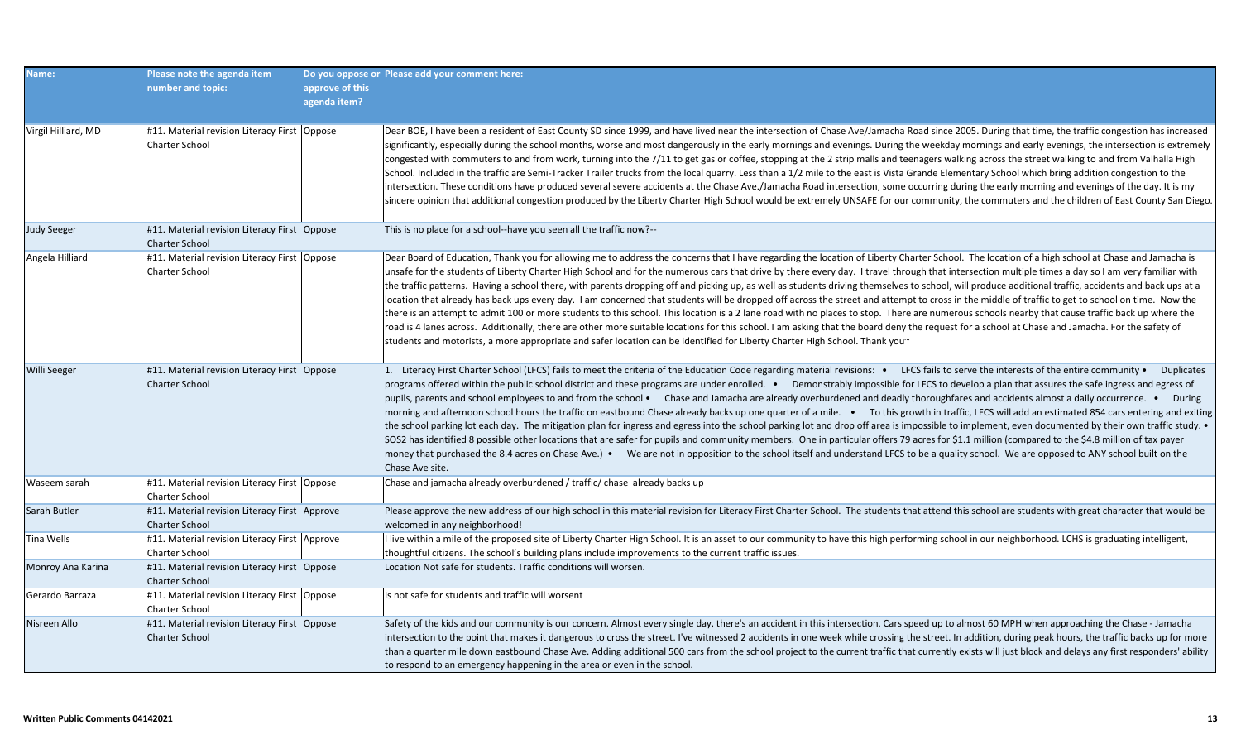| Name:               | Please note the agenda item<br>number and topic:                       | approve of this<br>agenda item? | Do you oppose or Please add your comment here:                                                                                                                                                                                                                                                                                                                                                                                                                                                                                                                                                                                                                                                                                                                                                                                                                                                                                                                                                                                                                                                                                                                                                                                                                                                                                                                                                                  |
|---------------------|------------------------------------------------------------------------|---------------------------------|-----------------------------------------------------------------------------------------------------------------------------------------------------------------------------------------------------------------------------------------------------------------------------------------------------------------------------------------------------------------------------------------------------------------------------------------------------------------------------------------------------------------------------------------------------------------------------------------------------------------------------------------------------------------------------------------------------------------------------------------------------------------------------------------------------------------------------------------------------------------------------------------------------------------------------------------------------------------------------------------------------------------------------------------------------------------------------------------------------------------------------------------------------------------------------------------------------------------------------------------------------------------------------------------------------------------------------------------------------------------------------------------------------------------|
| Virgil Hilliard, MD | #11. Material revision Literacy First   Oppose<br>Charter School       |                                 | Dear BOE, I have been a resident of East County SD since 1999, and have lived near the intersection of Chase Ave/Jamacha Road since 2005. During that time, the traffic congestion has increased<br>significantly, especially during the school months, worse and most dangerously in the early mornings and evenings. During the weekday mornings and early evenings, the intersection is extremely<br>congested with commuters to and from work, turning into the 7/11 to get gas or coffee, stopping at the 2 strip malls and teenagers walking across the street walking to and from Valhalla High<br>School. Included in the traffic are Semi-Tracker Trailer trucks from the local quarry. Less than a 1/2 mile to the east is Vista Grande Elementary School which bring addition congestion to the<br>intersection. These conditions have produced several severe accidents at the Chase Ave./Jamacha Road intersection, some occurring during the early morning and evenings of the day. It is my<br>sincere opinion that additional congestion produced by the Liberty Charter High School would be extremely UNSAFE for our community, the commuters and the children of East County San Diego.                                                                                                                                                                                                      |
| <b>Judy Seeger</b>  | #11. Material revision Literacy First Oppose<br><b>Charter School</b>  |                                 | This is no place for a school--have you seen all the traffic now?--                                                                                                                                                                                                                                                                                                                                                                                                                                                                                                                                                                                                                                                                                                                                                                                                                                                                                                                                                                                                                                                                                                                                                                                                                                                                                                                                             |
| Angela Hilliard     | #11. Material revision Literacy First   Oppose<br>Charter School       |                                 | Dear Board of Education, Thank you for allowing me to address the concerns that I have regarding the location of Liberty Charter School. The location of a high school at Chase and Jamacha is<br>unsafe for the students of Liberty Charter High School and for the numerous cars that drive by there every day. I travel through that intersection multiple times a day so I am very familiar with<br>the traffic patterns. Having a school there, with parents dropping off and picking up, as well as students driving themselves to school, will produce additional traffic, accidents and back ups at a<br>location that already has back ups every day. I am concerned that students will be dropped off across the street and attempt to cross in the middle of traffic to get to school on time. Now the<br>there is an attempt to admit 100 or more students to this school. This location is a 2 lane road with no places to stop. There are numerous schools nearby that cause traffic back up where the<br>road is 4 lanes across. Additionally, there are other more suitable locations for this school. I am asking that the board deny the request for a school at Chase and Jamacha. For the safety of<br>students and motorists, a more appropriate and safer location can be identified for Liberty Charter High School. Thank you $\sim$                                                    |
| Willi Seeger        | #11. Material revision Literacy First Oppose<br><b>Charter School</b>  |                                 | 1. Literacy First Charter School (LFCS) fails to meet the criteria of the Education Code regarding material revisions: • LFCS fails to serve the interests of the entire community • Duplicates<br>programs offered within the public school district and these programs are under enrolled. • Demonstrably impossible for LFCS to develop a plan that assures the safe ingress and egress of<br>pupils, parents and school employees to and from the school • Chase and Jamacha are already overburdened and deadly thoroughfares and accidents almost a daily occurrence. • During<br>morning and afternoon school hours the traffic on eastbound Chase already backs up one quarter of a mile. • To this growth in traffic, LFCS will add an estimated 854 cars entering and exiting<br>the school parking lot each day. The mitigation plan for ingress and egress into the school parking lot and drop off area is impossible to implement, even documented by their own traffic study. •<br>SOS2 has identified 8 possible other locations that are safer for pupils and community members. One in particular offers 79 acres for \$1.1 million (compared to the \$4.8 million of tax payer<br>money that purchased the 8.4 acres on Chase Ave.) • We are not in opposition to the school itself and understand LFCS to be a quality school. We are opposed to ANY school built on the<br>Chase Ave site. |
| Waseem sarah        | #11. Material revision Literacy First   Oppose<br>Charter School       |                                 | Chase and jamacha already overburdened / traffic/ chase already backs up                                                                                                                                                                                                                                                                                                                                                                                                                                                                                                                                                                                                                                                                                                                                                                                                                                                                                                                                                                                                                                                                                                                                                                                                                                                                                                                                        |
| Sarah Butler        | #11. Material revision Literacy First Approve<br><b>Charter School</b> |                                 | Please approve the new address of our high school in this material revision for Literacy First Charter School. The students that attend this school are students with great character that would be<br>welcomed in any neighborhood!                                                                                                                                                                                                                                                                                                                                                                                                                                                                                                                                                                                                                                                                                                                                                                                                                                                                                                                                                                                                                                                                                                                                                                            |
| Tina Wells          | #11. Material revision Literacy First Approve<br>Charter School        |                                 | I live within a mile of the proposed site of Liberty Charter High School. It is an asset to our community to have this high performing school in our neighborhood. LCHS is graduating intelligent,<br>thoughtful citizens. The school's building plans include improvements to the current traffic issues.                                                                                                                                                                                                                                                                                                                                                                                                                                                                                                                                                                                                                                                                                                                                                                                                                                                                                                                                                                                                                                                                                                      |
| Monroy Ana Karina   | #11. Material revision Literacy First Oppose<br><b>Charter School</b>  |                                 | Location Not safe for students. Traffic conditions will worsen.                                                                                                                                                                                                                                                                                                                                                                                                                                                                                                                                                                                                                                                                                                                                                                                                                                                                                                                                                                                                                                                                                                                                                                                                                                                                                                                                                 |
| Gerardo Barraza     | #11. Material revision Literacy First   Oppose<br>Charter School       |                                 | Is not safe for students and traffic will worsent                                                                                                                                                                                                                                                                                                                                                                                                                                                                                                                                                                                                                                                                                                                                                                                                                                                                                                                                                                                                                                                                                                                                                                                                                                                                                                                                                               |
| Nisreen Allo        | #11. Material revision Literacy First Oppose<br><b>Charter School</b>  |                                 | Safety of the kids and our community is our concern. Almost every single day, there's an accident in this intersection. Cars speed up to almost 60 MPH when approaching the Chase - Jamacha<br>intersection to the point that makes it dangerous to cross the street. I've witnessed 2 accidents in one week while crossing the street. In addition, during peak hours, the traffic backs up for more<br>than a quarter mile down eastbound Chase Ave. Adding additional 500 cars from the school project to the current traffic that currently exists will just block and delays any first responders' ability<br>to respond to an emergency happening in the area or even in the school.                                                                                                                                                                                                                                                                                                                                                                                                                                                                                                                                                                                                                                                                                                                      |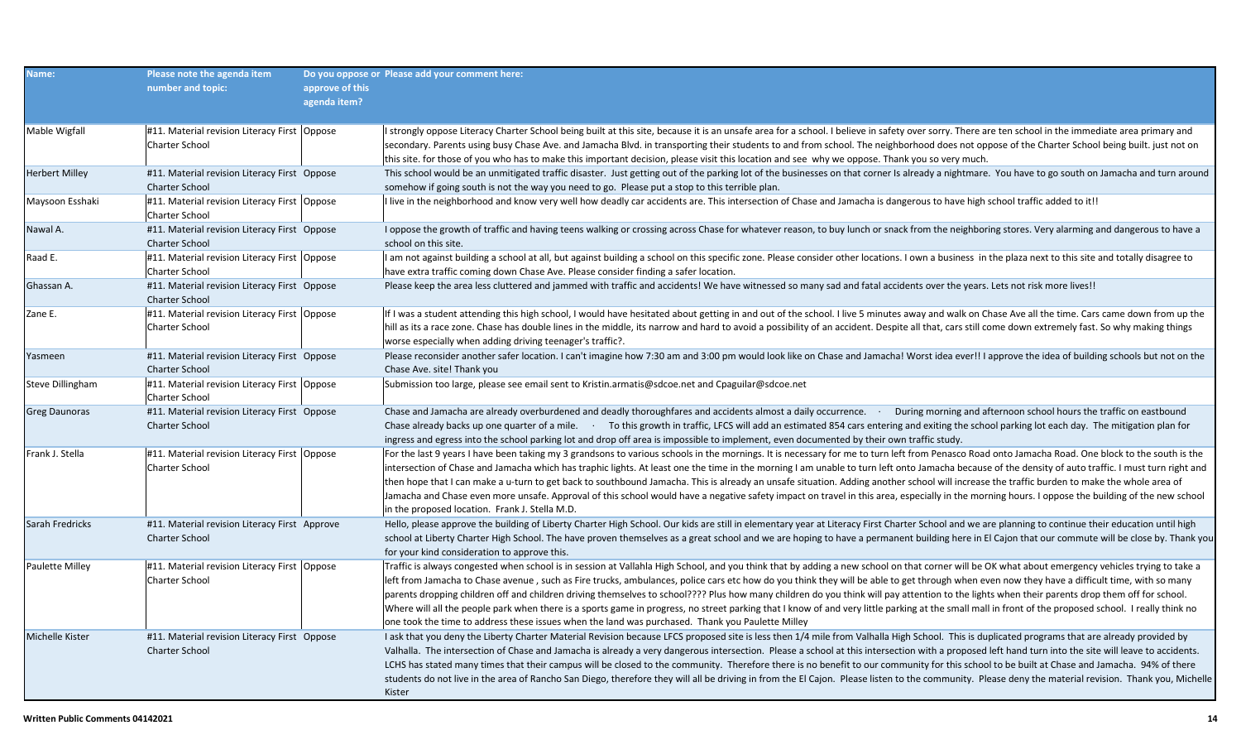| Name:                 | Please note the agenda item<br>number and topic:                      | approve of this<br>agenda item? | Do you oppose or Please add your comment here:                                                                                                                                                                                                                                                                                                                                                                                                                                                                                                                                                                                                                                                                                                                                                                                                                                                                  |
|-----------------------|-----------------------------------------------------------------------|---------------------------------|-----------------------------------------------------------------------------------------------------------------------------------------------------------------------------------------------------------------------------------------------------------------------------------------------------------------------------------------------------------------------------------------------------------------------------------------------------------------------------------------------------------------------------------------------------------------------------------------------------------------------------------------------------------------------------------------------------------------------------------------------------------------------------------------------------------------------------------------------------------------------------------------------------------------|
| Mable Wigfall         | #11. Material revision Literacy First   Oppose<br>Charter School      |                                 | I strongly oppose Literacy Charter School being built at this site, because it is an unsafe area for a school. I believe in safety over sorry. There are ten school in the immediate area primary and<br>secondary. Parents using busy Chase Ave. and Jamacha Blvd. in transporting their students to and from school. The neighborhood does not oppose of the Charter School being built. just not on<br>this site. for those of you who has to make this important decision, please visit this location and see why we oppose. Thank you so very much.                                                                                                                                                                                                                                                                                                                                                        |
| <b>Herbert Milley</b> | #11. Material revision Literacy First Oppose<br><b>Charter School</b> |                                 | This school would be an unmitigated traffic disaster. Just getting out of the parking lot of the businesses on that corner Is already a nightmare. You have to go south on Jamacha and turn around<br>somehow if going south is not the way you need to go. Please put a stop to this terrible plan.                                                                                                                                                                                                                                                                                                                                                                                                                                                                                                                                                                                                            |
| Maysoon Esshaki       | #11. Material revision Literacy First   Oppose<br>Charter School      |                                 | I live in the neighborhood and know very well how deadly car accidents are. This intersection of Chase and Jamacha is dangerous to have high school traffic added to it!!                                                                                                                                                                                                                                                                                                                                                                                                                                                                                                                                                                                                                                                                                                                                       |
| Nawal A.              | #11. Material revision Literacy First Oppose<br>Charter School        |                                 | I oppose the growth of traffic and having teens walking or crossing across Chase for whatever reason, to buy lunch or snack from the neighboring stores. Very alarming and dangerous to have a<br>school on this site.                                                                                                                                                                                                                                                                                                                                                                                                                                                                                                                                                                                                                                                                                          |
| Raad E.               | #11. Material revision Literacy First   Oppose<br>Charter School      |                                 | I am not against building a school at all, but against building a school on this specific zone. Please consider other locations. I own a business in the plaza next to this site and totally disagree to<br>have extra traffic coming down Chase Ave. Please consider finding a safer location.                                                                                                                                                                                                                                                                                                                                                                                                                                                                                                                                                                                                                 |
| Ghassan A.            | #11. Material revision Literacy First Oppose<br>Charter School        |                                 | Please keep the area less cluttered and jammed with traffic and accidents! We have witnessed so many sad and fatal accidents over the years. Lets not risk more lives!!                                                                                                                                                                                                                                                                                                                                                                                                                                                                                                                                                                                                                                                                                                                                         |
| Zane E.               | #11. Material revision Literacy First   Oppose<br>Charter School      |                                 | If I was a student attending this high school, I would have hesitated about getting in and out of the school. I live 5 minutes away and walk on Chase Ave all the time. Cars came down from up the<br>hill as its a race zone. Chase has double lines in the middle, its narrow and hard to avoid a possibility of an accident. Despite all that, cars still come down extremely fast. So why making things<br>worse especially when adding driving teenager's traffic?.                                                                                                                                                                                                                                                                                                                                                                                                                                        |
| Yasmeen               | #11. Material revision Literacy First Oppose<br><b>Charter School</b> |                                 | Please reconsider another safer location. I can't imagine how 7:30 am and 3:00 pm would look like on Chase and Jamacha! Worst idea ever!! I approve the idea of building schools but not on the<br>Chase Ave. site! Thank you                                                                                                                                                                                                                                                                                                                                                                                                                                                                                                                                                                                                                                                                                   |
| Steve Dillingham      | #11. Material revision Literacy First Oppose<br>Charter School        |                                 | Submission too large, please see email sent to Kristin.armatis@sdcoe.net and Cpaguilar@sdcoe.net                                                                                                                                                                                                                                                                                                                                                                                                                                                                                                                                                                                                                                                                                                                                                                                                                |
| <b>Greg Daunoras</b>  | #11. Material revision Literacy First Oppose<br><b>Charter School</b> |                                 | Chase and Jamacha are already overburdened and deadly thoroughfares and accidents almost a daily occurrence. During morning and afternoon school hours the traffic on eastbound<br>Chase already backs up one quarter of a mile. To this growth in traffic, LFCS will add an estimated 854 cars entering and exiting the school parking lot each day. The mitigation plan for<br>ingress and egress into the school parking lot and drop off area is impossible to implement, even documented by their own traffic study.                                                                                                                                                                                                                                                                                                                                                                                       |
| Frank J. Stella       | #11. Material revision Literacy First   Oppose<br>Charter School      |                                 | For the last 9 years I have been taking my 3 grandsons to various schools in the mornings. It is necessary for me to turn left from Penasco Road onto Jamacha Road. One block to the south is the<br>intersection of Chase and Jamacha which has traphic lights. At least one the time in the morning I am unable to turn left onto Jamacha because of the density of auto traffic. I must turn right and<br>then hope that I can make a u-turn to get back to southbound Jamacha. This is already an unsafe situation. Adding another school will increase the traffic burden to make the whole area of<br>Jamacha and Chase even more unsafe. Approval of this school would have a negative safety impact on travel in this area, especially in the morning hours. I oppose the building of the new school<br>in the proposed location. Frank J. Stella M.D.                                                  |
| Sarah Fredricks       | #11. Material revision Literacy First Approve<br>Charter School       |                                 | Hello, please approve the building of Liberty Charter High School. Our kids are still in elementary year at Literacy First Charter School and we are planning to continue their education until high<br>school at Liberty Charter High School. The have proven themselves as a great school and we are hoping to have a permanent building here in El Cajon that our commute will be close by. Thank you<br>for your kind consideration to approve this.                                                                                                                                                                                                                                                                                                                                                                                                                                                        |
| Paulette Milley       | #11. Material revision Literacy First   Oppose<br>Charter School      |                                 | Traffic is always congested when school is in session at Vallahla High School, and you think that by adding a new school on that corner will be OK what about emergency vehicles trying to take a<br>left from Jamacha to Chase avenue, such as Fire trucks, ambulances, police cars etc how do you think they will be able to get through when even now they have a difficult time, with so many<br>parents dropping children off and children driving themselves to school???? Plus how many children do you think will pay attention to the lights when their parents drop them off for school.<br>Where will all the people park when there is a sports game in progress, no street parking that I know of and very little parking at the small mall in front of the proposed school. I really think no<br>one took the time to address these issues when the land was purchased. Thank you Paulette Milley |
| Michelle Kister       | #11. Material revision Literacy First Oppose<br><b>Charter School</b> |                                 | I ask that you deny the Liberty Charter Material Revision because LFCS proposed site is less then 1/4 mile from Valhalla High School. This is duplicated programs that are already provided by<br>Valhalla. The intersection of Chase and Jamacha is already a very dangerous intersection. Please a school at this intersection with a proposed left hand turn into the site will leave to accidents.<br>LCHS has stated many times that their campus will be closed to the community. Therefore there is no benefit to our community for this school to be built at Chase and Jamacha. 94% of there<br>students do not live in the area of Rancho San Diego, therefore they will all be driving in from the El Cajon. Please listen to the community. Please deny the material revision. Thank you, Michelle<br>Kister                                                                                        |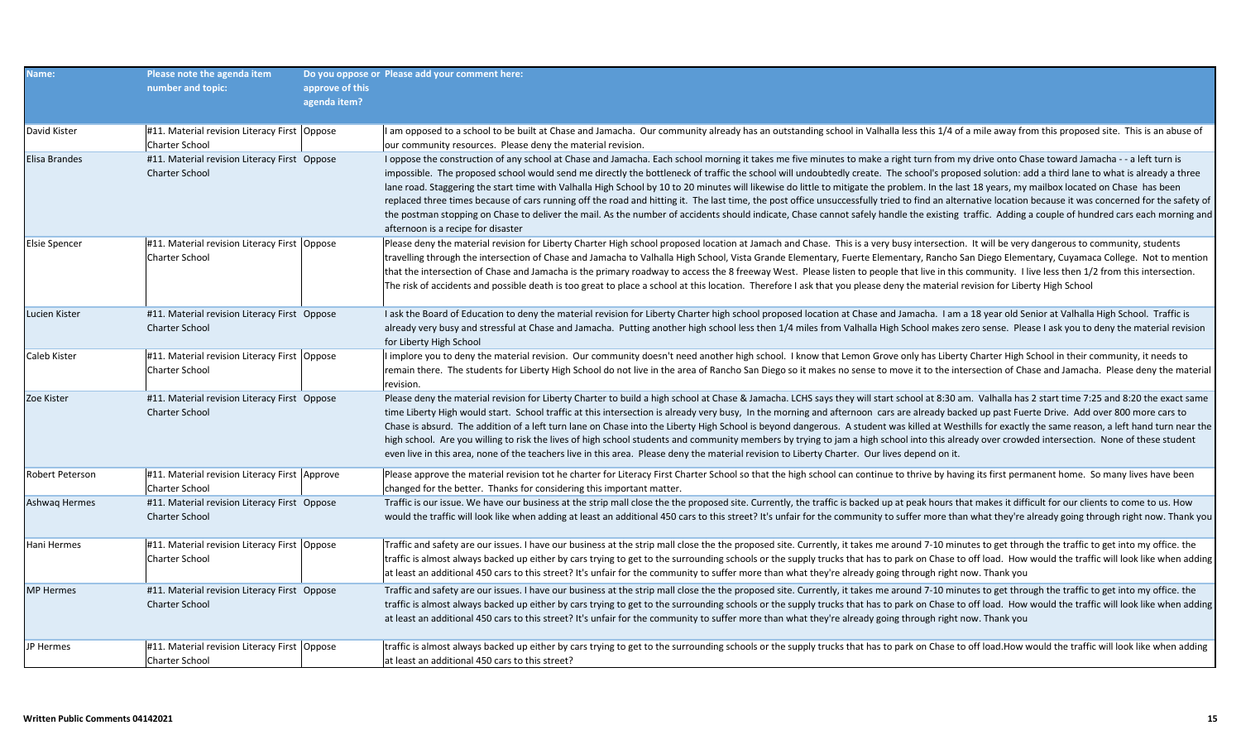| Name:                  | Please note the agenda item<br>number and topic:                        | approve of this<br>agenda item? | Do you oppose or Please add your comment here:                                                                                                                                                                                                                                                                                                                                                                                                                                                                                                                                                                                                                                                                                                                                                                                                                                                                                                                                                                                                         |
|------------------------|-------------------------------------------------------------------------|---------------------------------|--------------------------------------------------------------------------------------------------------------------------------------------------------------------------------------------------------------------------------------------------------------------------------------------------------------------------------------------------------------------------------------------------------------------------------------------------------------------------------------------------------------------------------------------------------------------------------------------------------------------------------------------------------------------------------------------------------------------------------------------------------------------------------------------------------------------------------------------------------------------------------------------------------------------------------------------------------------------------------------------------------------------------------------------------------|
| David Kister           | #11. Material revision Literacy First   Oppose<br>Charter School        |                                 | I am opposed to a school to be built at Chase and Jamacha. Our community already has an outstanding school in Valhalla less this 1/4 of a mile away from this proposed site. This is an abuse of<br>our community resources. Please deny the material revision.                                                                                                                                                                                                                                                                                                                                                                                                                                                                                                                                                                                                                                                                                                                                                                                        |
| Elisa Brandes          | #11. Material revision Literacy First Oppose<br><b>Charter School</b>   |                                 | I oppose the construction of any school at Chase and Jamacha. Each school morning it takes me five minutes to make a right turn from my drive onto Chase toward Jamacha - - a left turn is<br>impossible. The proposed school would send me directly the bottleneck of traffic the school will undoubtedly create. The school's proposed solution: add a third lane to what is already a three<br>lane road. Staggering the start time with Valhalla High School by 10 to 20 minutes will likewise do little to mitigate the problem. In the last 18 years, my mailbox located on Chase has been<br>replaced three times because of cars running off the road and hitting it. The last time, the post office unsuccessfully tried to find an alternative location because it was concerned for the safety of<br>the postman stopping on Chase to deliver the mail. As the number of accidents should indicate, Chase cannot safely handle the existing traffic. Adding a couple of hundred cars each morning and<br>afternoon is a recipe for disaster |
| <b>Elsie Spencer</b>   | #11. Material revision Literacy First Oppose<br>Charter School          |                                 | Please deny the material revision for Liberty Charter High school proposed location at Jamach and Chase. This is a very busy intersection. It will be very dangerous to community, students<br>travelling through the intersection of Chase and Jamacha to Valhalla High School, Vista Grande Elementary, Fuerte Elementary, Rancho San Diego Elementary, Cuyamaca College. Not to mention<br>that the intersection of Chase and Jamacha is the primary roadway to access the 8 freeway West. Please listen to people that live in this community. I live less then 1/2 from this intersection.<br>The risk of accidents and possible death is too great to place a school at this location. Therefore I ask that you please deny the material revision for Liberty High School                                                                                                                                                                                                                                                                        |
| Lucien Kister          | #11. Material revision Literacy First Oppose<br><b>Charter School</b>   |                                 | I ask the Board of Education to deny the material revision for Liberty Charter high school proposed location at Chase and Jamacha. I am a 18 year old Senior at Valhalla High School. Traffic is<br>already very busy and stressful at Chase and Jamacha. Putting another high school less then 1/4 miles from Valhalla High School makes zero sense. Please I ask you to deny the material revision<br>for Liberty High School                                                                                                                                                                                                                                                                                                                                                                                                                                                                                                                                                                                                                        |
| Caleb Kister           | #11. Material revision Literacy First   Oppose<br><b>Charter School</b> |                                 | implore you to deny the material revision. Our community doesn't need another high school. I know that Lemon Grove only has Liberty Charter High School in their community, it needs to<br>remain there. The students for Liberty High School do not live in the area of Rancho San Diego so it makes no sense to move it to the intersection of Chase and Jamacha. Please deny the material<br>revision.                                                                                                                                                                                                                                                                                                                                                                                                                                                                                                                                                                                                                                              |
| Zoe Kister             | #11. Material revision Literacy First Oppose<br><b>Charter School</b>   |                                 | Please deny the material revision for Liberty Charter to build a high school at Chase & Jamacha. LCHS says they will start school at 8:30 am. Valhalla has 2 start time 7:25 and 8:20 the exact same<br>time Liberty High would start. School traffic at this intersection is already very busy, In the morning and afternoon cars are already backed up past Fuerte Drive. Add over 800 more cars to<br>Chase is absurd. The addition of a left turn lane on Chase into the Liberty High School is beyond dangerous. A student was killed at Westhills for exactly the same reason, a left hand turn near the<br>high school. Are you willing to risk the lives of high school students and community members by trying to jam a high school into this already over crowded intersection. None of these student<br>even live in this area, none of the teachers live in this area. Please deny the material revision to Liberty Charter. Our lives depend on it.                                                                                      |
| <b>Robert Peterson</b> | #11. Material revision Literacy First Approve<br><b>Charter School</b>  |                                 | Please approve the material revision tot he charter for Literacy First Charter School so that the high school can continue to thrive by having its first permanent home. So many lives have been<br>changed for the better. Thanks for considering this important matter.                                                                                                                                                                                                                                                                                                                                                                                                                                                                                                                                                                                                                                                                                                                                                                              |
| Ashwag Hermes          | #11. Material revision Literacy First Oppose<br><b>Charter School</b>   |                                 | Traffic is our issue. We have our business at the strip mall close the the proposed site. Currently, the traffic is backed up at peak hours that makes it difficult for our clients to come to us. How<br>would the traffic will look like when adding at least an additional 450 cars to this street? It's unfair for the community to suffer more than what they're already going through right now. Thank you                                                                                                                                                                                                                                                                                                                                                                                                                                                                                                                                                                                                                                       |
| Hani Hermes            | #11. Material revision Literacy First   Oppose<br>Charter School        |                                 | Traffic and safety are our issues. I have our business at the strip mall close the the proposed site. Currently, it takes me around 7-10 minutes to get through the traffic to get into my office. the<br>traffic is almost always backed up either by cars trying to get to the surrounding schools or the supply trucks that has to park on Chase to off load. How would the traffic will look like when adding<br>at least an additional 450 cars to this street? It's unfair for the community to suffer more than what they're already going through right now. Thank you                                                                                                                                                                                                                                                                                                                                                                                                                                                                         |
| <b>MP</b> Hermes       | #11. Material revision Literacy First Oppose<br><b>Charter School</b>   |                                 | Traffic and safety are our issues. I have our business at the strip mall close the the proposed site. Currently, it takes me around 7-10 minutes to get through the traffic to get into my office. the<br>traffic is almost always backed up either by cars trying to get to the surrounding schools or the supply trucks that has to park on Chase to off load. How would the traffic will look like when adding<br>at least an additional 450 cars to this street? It's unfair for the community to suffer more than what they're already going through right now. Thank you                                                                                                                                                                                                                                                                                                                                                                                                                                                                         |
| JP Hermes              | #11. Material revision Literacy First   Oppose<br><b>Charter School</b> |                                 | traffic is almost always backed up either by cars trying to get to the surrounding schools or the supply trucks that has to park on Chase to off load.How would the traffic will look like when adding<br>at least an additional 450 cars to this street?                                                                                                                                                                                                                                                                                                                                                                                                                                                                                                                                                                                                                                                                                                                                                                                              |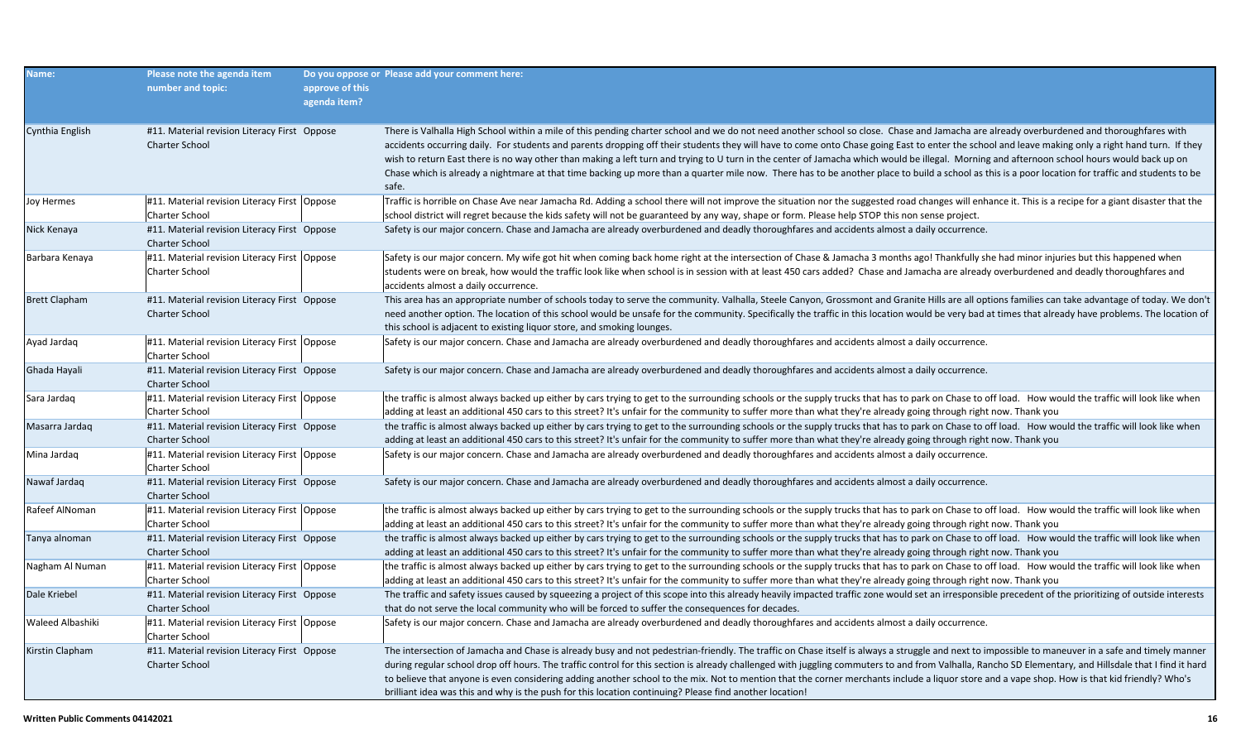| Name:                | Please note the agenda item<br>number and topic:                        | approve of this<br>agenda item? | Do you oppose or Please add your comment here:                                                                                                                                                                                                                                                                                                                                                                                                                                                                                                                                                                                                                                                                                                                                                              |
|----------------------|-------------------------------------------------------------------------|---------------------------------|-------------------------------------------------------------------------------------------------------------------------------------------------------------------------------------------------------------------------------------------------------------------------------------------------------------------------------------------------------------------------------------------------------------------------------------------------------------------------------------------------------------------------------------------------------------------------------------------------------------------------------------------------------------------------------------------------------------------------------------------------------------------------------------------------------------|
| Cynthia English      | #11. Material revision Literacy First Oppose<br><b>Charter School</b>   |                                 | There is Valhalla High School within a mile of this pending charter school and we do not need another school so close. Chase and Jamacha are already overburdened and thoroughfares with<br>accidents occurring daily. For students and parents dropping off their students they will have to come onto Chase going East to enter the school and leave making only a right hand turn. If they<br>wish to return East there is no way other than making a left turn and trying to U turn in the center of Jamacha which would be illegal. Morning and afternoon school hours would back up on<br>Chase which is already a nightmare at that time backing up more than a quarter mile now. There has to be another place to build a school as this is a poor location for traffic and students to be<br>safe. |
| Joy Hermes           | #11. Material revision Literacy First Oppose<br>Charter School          |                                 | Traffic is horrible on Chase Ave near Jamacha Rd. Adding a school there will not improve the situation nor the suggested road changes will enhance it. This is a recipe for a giant disaster that the<br>school district will regret because the kids safety will not be guaranteed by any way, shape or form. Please help STOP this non sense project.                                                                                                                                                                                                                                                                                                                                                                                                                                                     |
| Nick Kenaya          | #11. Material revision Literacy First Oppose<br><b>Charter School</b>   |                                 | Safety is our major concern. Chase and Jamacha are already overburdened and deadly thoroughfares and accidents almost a daily occurrence.                                                                                                                                                                                                                                                                                                                                                                                                                                                                                                                                                                                                                                                                   |
| Barbara Kenaya       | #11. Material revision Literacy First Oppose<br>Charter School          |                                 | Safety is our major concern. My wife got hit when coming back home right at the intersection of Chase & Jamacha 3 months ago! Thankfully she had minor injuries but this happened when<br>students were on break, how would the traffic look like when school is in session with at least 450 cars added? Chase and Jamacha are already overburdened and deadly thoroughfares and<br>accidents almost a daily occurrence.                                                                                                                                                                                                                                                                                                                                                                                   |
| <b>Brett Clapham</b> | #11. Material revision Literacy First Oppose<br><b>Charter School</b>   |                                 | This area has an appropriate number of schools today to serve the community. Valhalla, Steele Canyon, Grossmont and Granite Hills are all options families can take advantage of today. We don't<br>need another option. The location of this school would be unsafe for the community. Specifically the traffic in this location would be very bad at times that already have problems. The location of<br>this school is adjacent to existing liquor store, and smoking lounges.                                                                                                                                                                                                                                                                                                                          |
| Ayad Jardaq          | #11. Material revision Literacy First   Oppose<br>Charter School        |                                 | Safety is our major concern. Chase and Jamacha are already overburdened and deadly thoroughfares and accidents almost a daily occurrence.                                                                                                                                                                                                                                                                                                                                                                                                                                                                                                                                                                                                                                                                   |
| Ghada Hayali         | #11. Material revision Literacy First Oppose<br>Charter School          |                                 | Safety is our major concern. Chase and Jamacha are already overburdened and deadly thoroughfares and accidents almost a daily occurrence.                                                                                                                                                                                                                                                                                                                                                                                                                                                                                                                                                                                                                                                                   |
| Sara Jardaq          | #11. Material revision Literacy First Oppose<br><b>Charter School</b>   |                                 | the traffic is almost always backed up either by cars trying to get to the surrounding schools or the supply trucks that has to park on Chase to off load. How would the traffic will look like when<br>adding at least an additional 450 cars to this street? It's unfair for the community to suffer more than what they're already going through right now. Thank you                                                                                                                                                                                                                                                                                                                                                                                                                                    |
| Masarra Jardaq       | #11. Material revision Literacy First Oppose<br><b>Charter School</b>   |                                 | the traffic is almost always backed up either by cars trying to get to the surrounding schools or the supply trucks that has to park on Chase to off load. How would the traffic will look like when<br>adding at least an additional 450 cars to this street? It's unfair for the community to suffer more than what they're already going through right now. Thank you                                                                                                                                                                                                                                                                                                                                                                                                                                    |
| Mina Jardaq          | #11. Material revision Literacy First Oppose<br>Charter School          |                                 | Safety is our major concern. Chase and Jamacha are already overburdened and deadly thoroughfares and accidents almost a daily occurrence.                                                                                                                                                                                                                                                                                                                                                                                                                                                                                                                                                                                                                                                                   |
| Nawaf Jardaq         | #11. Material revision Literacy First Oppose<br><b>Charter School</b>   |                                 | Safety is our major concern. Chase and Jamacha are already overburdened and deadly thoroughfares and accidents almost a daily occurrence.                                                                                                                                                                                                                                                                                                                                                                                                                                                                                                                                                                                                                                                                   |
| Rafeef AlNoman       | #11. Material revision Literacy First   Oppose<br><b>Charter School</b> |                                 | the traffic is almost always backed up either by cars trying to get to the surrounding schools or the supply trucks that has to park on Chase to off load. How would the traffic will look like when<br>adding at least an additional 450 cars to this street? It's unfair for the community to suffer more than what they're already going through right now. Thank you                                                                                                                                                                                                                                                                                                                                                                                                                                    |
| Tanya alnoman        | #11. Material revision Literacy First Oppose<br><b>Charter School</b>   |                                 | the traffic is almost always backed up either by cars trying to get to the surrounding schools or the supply trucks that has to park on Chase to off load. How would the traffic will look like when<br>adding at least an additional 450 cars to this street? It's unfair for the community to suffer more than what they're already going through right now. Thank you                                                                                                                                                                                                                                                                                                                                                                                                                                    |
| Nagham Al Numan      | #11. Material revision Literacy First Oppose<br><b>Charter School</b>   |                                 | the traffic is almost always backed up either by cars trying to get to the surrounding schools or the supply trucks that has to park on Chase to off load. How would the traffic will look like when<br>adding at least an additional 450 cars to this street? It's unfair for the community to suffer more than what they're already going through right now. Thank you                                                                                                                                                                                                                                                                                                                                                                                                                                    |
| Dale Kriebel         | #11. Material revision Literacy First Oppose<br>Charter School          |                                 | The traffic and safety issues caused by squeezing a project of this scope into this already heavily impacted traffic zone would set an irresponsible precedent of the prioritizing of outside interests<br>that do not serve the local community who will be forced to suffer the consequences for decades.                                                                                                                                                                                                                                                                                                                                                                                                                                                                                                 |
| Waleed Albashiki     | #11. Material revision Literacy First   Oppose<br><b>Charter School</b> |                                 | Safety is our major concern. Chase and Jamacha are already overburdened and deadly thoroughfares and accidents almost a daily occurrence.                                                                                                                                                                                                                                                                                                                                                                                                                                                                                                                                                                                                                                                                   |
| Kirstin Clapham      | #11. Material revision Literacy First Oppose<br><b>Charter School</b>   |                                 | The intersection of Jamacha and Chase is already busy and not pedestrian-friendly. The traffic on Chase itself is always a struggle and next to impossible to maneuver in a safe and timely manner<br>during regular school drop off hours. The traffic control for this section is already challenged with juggling commuters to and from Valhalla, Rancho SD Elementary, and Hillsdale that I find it hard<br>to believe that anyone is even considering adding another school to the mix. Not to mention that the corner merchants include a liquor store and a vape shop. How is that kid friendly? Who's<br>brilliant idea was this and why is the push for this location continuing? Please find another location!                                                                                    |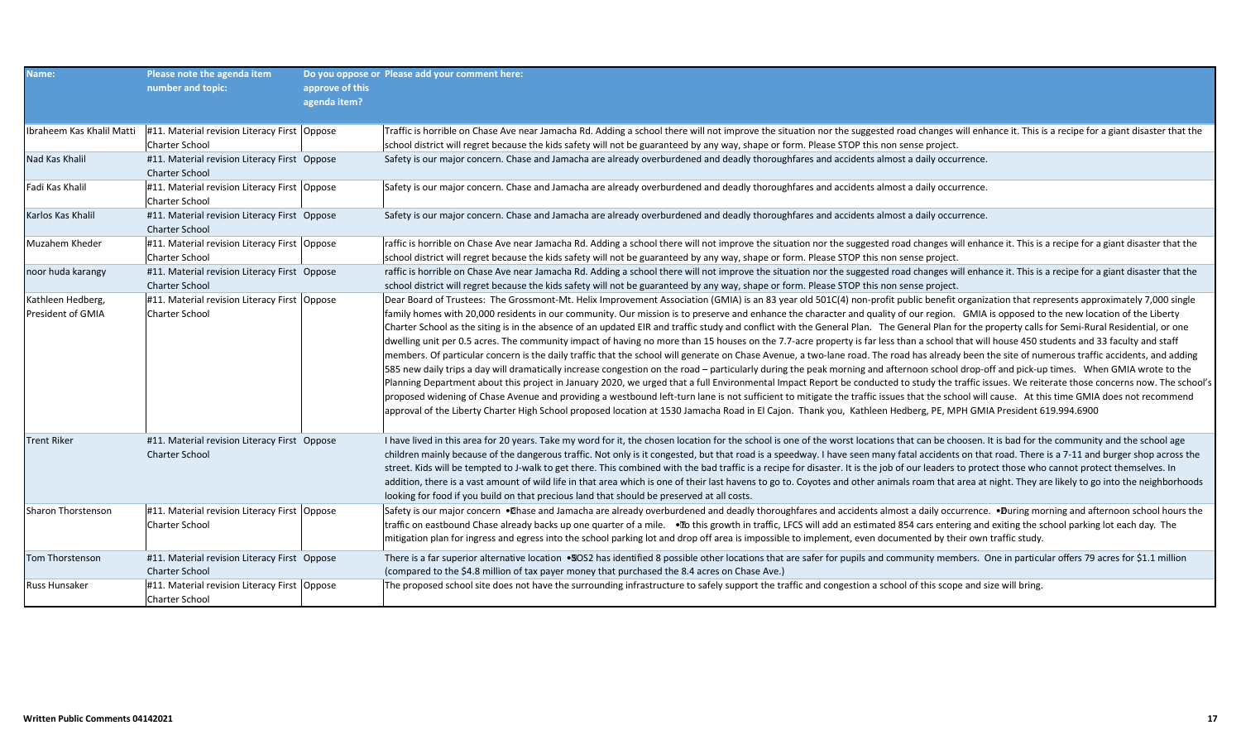| Name:                                  | Please note the agenda item<br>number and topic:                        | approve of this<br>agenda item? | Do you oppose or Please add your comment here:                                                                                                                                                                                                                                                                                                                                                                                                                                                                                                                                                                                                                                                                                                                                                                                                                                                                                                                                                                                                                                                                                                                                                                                                                                                                                                                                                                                                                                                                                                                                                                                                                                                                                                                      |
|----------------------------------------|-------------------------------------------------------------------------|---------------------------------|---------------------------------------------------------------------------------------------------------------------------------------------------------------------------------------------------------------------------------------------------------------------------------------------------------------------------------------------------------------------------------------------------------------------------------------------------------------------------------------------------------------------------------------------------------------------------------------------------------------------------------------------------------------------------------------------------------------------------------------------------------------------------------------------------------------------------------------------------------------------------------------------------------------------------------------------------------------------------------------------------------------------------------------------------------------------------------------------------------------------------------------------------------------------------------------------------------------------------------------------------------------------------------------------------------------------------------------------------------------------------------------------------------------------------------------------------------------------------------------------------------------------------------------------------------------------------------------------------------------------------------------------------------------------------------------------------------------------------------------------------------------------|
| Ibraheem Kas Khalil Matti              | #11. Material revision Literacy First Oppose<br><b>Charter School</b>   |                                 | Traffic is horrible on Chase Ave near Jamacha Rd. Adding a school there will not improve the situation nor the suggested road changes will enhance it. This is a recipe for a giant disaster that the<br>school district will regret because the kids safety will not be guaranteed by any way, shape or form. Please STOP this non sense project.                                                                                                                                                                                                                                                                                                                                                                                                                                                                                                                                                                                                                                                                                                                                                                                                                                                                                                                                                                                                                                                                                                                                                                                                                                                                                                                                                                                                                  |
| Nad Kas Khalil                         | #11. Material revision Literacy First Oppose<br><b>Charter School</b>   |                                 | Safety is our major concern. Chase and Jamacha are already overburdened and deadly thoroughfares and accidents almost a daily occurrence.                                                                                                                                                                                                                                                                                                                                                                                                                                                                                                                                                                                                                                                                                                                                                                                                                                                                                                                                                                                                                                                                                                                                                                                                                                                                                                                                                                                                                                                                                                                                                                                                                           |
| Fadi Kas Khalil                        | #11. Material revision Literacy First Oppose<br><b>Charter School</b>   |                                 | Safety is our major concern. Chase and Jamacha are already overburdened and deadly thoroughfares and accidents almost a daily occurrence.                                                                                                                                                                                                                                                                                                                                                                                                                                                                                                                                                                                                                                                                                                                                                                                                                                                                                                                                                                                                                                                                                                                                                                                                                                                                                                                                                                                                                                                                                                                                                                                                                           |
| Karlos Kas Khalil                      | #11. Material revision Literacy First Oppose<br><b>Charter School</b>   |                                 | Safety is our major concern. Chase and Jamacha are already overburdened and deadly thoroughfares and accidents almost a daily occurrence.                                                                                                                                                                                                                                                                                                                                                                                                                                                                                                                                                                                                                                                                                                                                                                                                                                                                                                                                                                                                                                                                                                                                                                                                                                                                                                                                                                                                                                                                                                                                                                                                                           |
| Muzahem Kheder                         | #11. Material revision Literacy First   Oppose<br><b>Charter School</b> |                                 | raffic is horrible on Chase Ave near Jamacha Rd. Adding a school there will not improve the situation nor the suggested road changes will enhance it. This is a recipe for a giant disaster that the<br>school district will regret because the kids safety will not be guaranteed by any way, shape or form. Please STOP this non sense project.                                                                                                                                                                                                                                                                                                                                                                                                                                                                                                                                                                                                                                                                                                                                                                                                                                                                                                                                                                                                                                                                                                                                                                                                                                                                                                                                                                                                                   |
| noor huda karangy                      | #11. Material revision Literacy First Oppose<br><b>Charter School</b>   |                                 | raffic is horrible on Chase Ave near Jamacha Rd. Adding a school there will not improve the situation nor the suggested road changes will enhance it. This is a recipe for a giant disaster that the<br>school district will regret because the kids safety will not be guaranteed by any way, shape or form. Please STOP this non sense project.                                                                                                                                                                                                                                                                                                                                                                                                                                                                                                                                                                                                                                                                                                                                                                                                                                                                                                                                                                                                                                                                                                                                                                                                                                                                                                                                                                                                                   |
| Kathleen Hedberg,<br>President of GMIA | #11. Material revision Literacy First Oppose<br><b>Charter School</b>   |                                 | Dear Board of Trustees: The Grossmont-Mt. Helix Improvement Association (GMIA) is an 83 year old 501C(4) non-profit public benefit organization that represents approximately 7,000 single<br>family homes with 20,000 residents in our community. Our mission is to preserve and enhance the character and quality of our region. GMIA is opposed to the new location of the Liberty<br>Charter School as the siting is in the absence of an updated EIR and traffic study and conflict with the General Plan. The General Plan for the property calls for Semi-Rural Residential, or one<br>dwelling unit per 0.5 acres. The community impact of having no more than 15 houses on the 7.7-acre property is far less than a school that will house 450 students and 33 faculty and staff<br>members. Of particular concern is the daily traffic that the school will generate on Chase Avenue, a two-lane road. The road has already been the site of numerous traffic accidents, and adding<br>585 new daily trips a day will dramatically increase congestion on the road – particularly during the peak morning and afternoon school drop-off and pick-up times. When GMIA wrote to the<br>Planning Department about this project in January 2020, we urged that a full Environmental Impact Report be conducted to study the traffic issues. We reiterate those concerns now. The school's<br>proposed widening of Chase Avenue and providing a westbound left-turn lane is not sufficient to mitigate the traffic issues that the school will cause. At this time GMIA does not recommend<br>approval of the Liberty Charter High School proposed location at 1530 Jamacha Road in El Cajon. Thank you, Kathleen Hedberg, PE, MPH GMIA President 619.994.6900 |
| <b>Trent Riker</b>                     | #11. Material revision Literacy First Oppose<br><b>Charter School</b>   |                                 | I have lived in this area for 20 years. Take my word for it, the chosen location for the school is one of the worst locations that can be choosen. It is bad for the community and the school age<br>children mainly because of the dangerous traffic. Not only is it congested, but that road is a speedway. I have seen many fatal accidents on that road. There is a 7-11 and burger shop across the<br>street. Kids will be tempted to J-walk to get there. This combined with the bad traffic is a recipe for disaster. It is the job of our leaders to protect those who cannot protect themselves. In<br>addition, there is a vast amount of wild life in that area which is one of their last havens to go to. Coyotes and other animals roam that area at night. They are likely to go into the neighborhoods<br>looking for food if you build on that precious land that should be preserved at all costs.                                                                                                                                                                                                                                                                                                                                                                                                                                                                                                                                                                                                                                                                                                                                                                                                                                                |
| Sharon Thorstenson                     | #11. Material revision Literacy First   Oppose<br><b>Charter School</b> |                                 | Safety is our major concern . Chase and Jamacha are already overburdened and deadly thoroughfares and accidents almost a daily occurrence. . During morning and afternoon school hours the<br>traffic on eastbound Chase already backs up one quarter of a mile. . The this growth in traffic, LFCS will add an estimated 854 cars entering and exiting the school parking lot each day. The<br>mitigation plan for ingress and egress into the school parking lot and drop off area is impossible to implement, even documented by their own traffic study.                                                                                                                                                                                                                                                                                                                                                                                                                                                                                                                                                                                                                                                                                                                                                                                                                                                                                                                                                                                                                                                                                                                                                                                                        |
| Tom Thorstenson                        | #11. Material revision Literacy First Oppose<br><b>Charter School</b>   |                                 | There is a far superior alternative location •SOS2 has identified 8 possible other locations that are safer for pupils and community members. One in particular offers 79 acres for \$1.1 million<br>(compared to the \$4.8 million of tax payer money that purchased the 8.4 acres on Chase Ave.)                                                                                                                                                                                                                                                                                                                                                                                                                                                                                                                                                                                                                                                                                                                                                                                                                                                                                                                                                                                                                                                                                                                                                                                                                                                                                                                                                                                                                                                                  |
| Russ Hunsaker                          | #11. Material revision Literacy First   Oppose<br><b>Charter School</b> |                                 | The proposed school site does not have the surrounding infrastructure to safely support the traffic and congestion a school of this scope and size will bring.                                                                                                                                                                                                                                                                                                                                                                                                                                                                                                                                                                                                                                                                                                                                                                                                                                                                                                                                                                                                                                                                                                                                                                                                                                                                                                                                                                                                                                                                                                                                                                                                      |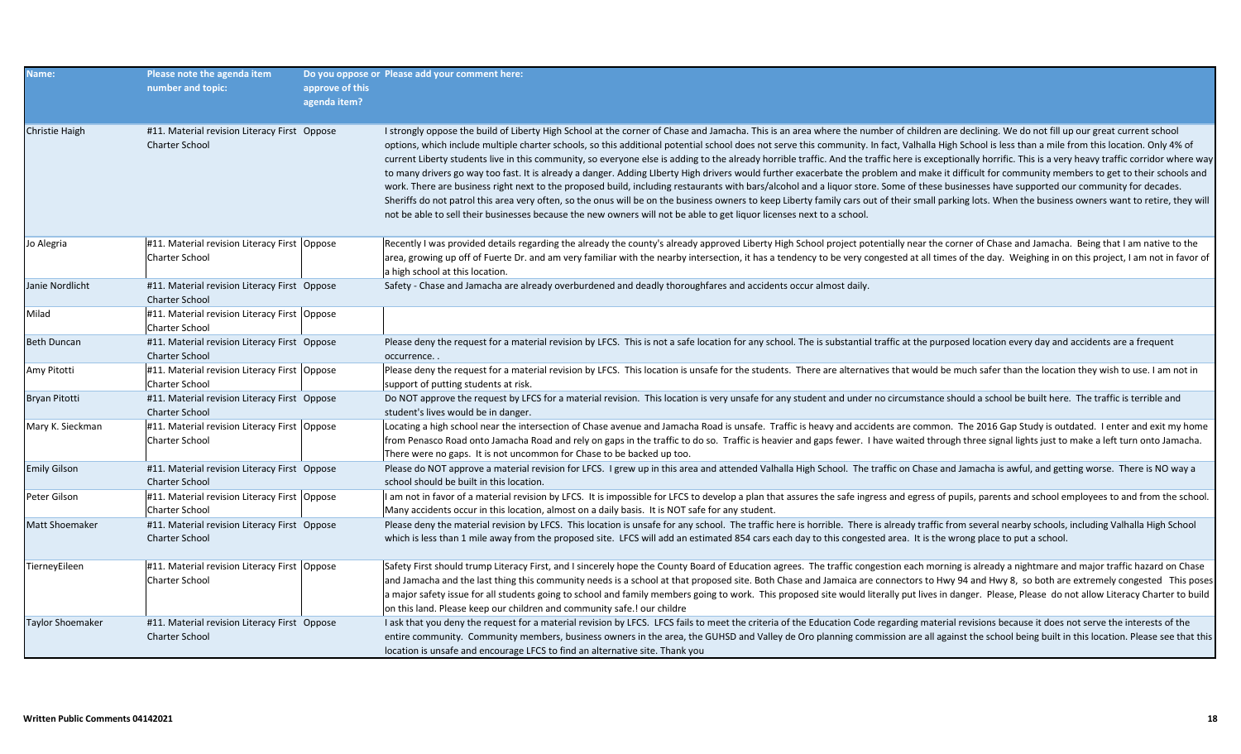| Name:                   | Please note the agenda item<br>number and topic:                        | approve of this<br>agenda item? | Do you oppose or Please add your comment here:                                                                                                                                                                                                                                                                                                                                                                                                                                                                                                                                                                                                                                                                                                                                                                                                                                                                                                                                                                                                                                                                                                                                                                                                                                                                                                              |
|-------------------------|-------------------------------------------------------------------------|---------------------------------|-------------------------------------------------------------------------------------------------------------------------------------------------------------------------------------------------------------------------------------------------------------------------------------------------------------------------------------------------------------------------------------------------------------------------------------------------------------------------------------------------------------------------------------------------------------------------------------------------------------------------------------------------------------------------------------------------------------------------------------------------------------------------------------------------------------------------------------------------------------------------------------------------------------------------------------------------------------------------------------------------------------------------------------------------------------------------------------------------------------------------------------------------------------------------------------------------------------------------------------------------------------------------------------------------------------------------------------------------------------|
| <b>Christie Haigh</b>   | #11. Material revision Literacy First Oppose<br><b>Charter School</b>   |                                 | I strongly oppose the build of Liberty High School at the corner of Chase and Jamacha. This is an area where the number of children are declining. We do not fill up our great current school<br>options, which include multiple charter schools, so this additional potential school does not serve this community. In fact, Valhalla High School is less than a mile from this location. Only 4% of<br>current Liberty students live in this community, so everyone else is adding to the already horrible traffic. And the traffic here is exceptionally horrific. This is a very heavy traffic corridor where way<br>to many drivers go way too fast. It is already a danger. Adding Liberty High drivers would further exacerbate the problem and make it difficult for community members to get to their schools and<br>work. There are business right next to the proposed build, including restaurants with bars/alcohol and a liquor store. Some of these businesses have supported our community for decades.<br>Sheriffs do not patrol this area very often, so the onus will be on the business owners to keep Liberty family cars out of their small parking lots. When the business owners want to retire, they will<br>not be able to sell their businesses because the new owners will not be able to get liquor licenses next to a school. |
| Jo Alegria              | #11. Material revision Literacy First   Oppose<br>Charter School        |                                 | Recently I was provided details regarding the already the county's already approved Liberty High School project potentially near the corner of Chase and Jamacha. Being that I am native to the<br>area, growing up off of Fuerte Dr. and am very familiar with the nearby intersection, it has a tendency to be very congested at all times of the day. Weighing in on this project, I am not in favor of<br>a high school at this location.                                                                                                                                                                                                                                                                                                                                                                                                                                                                                                                                                                                                                                                                                                                                                                                                                                                                                                               |
| Janie Nordlicht         | #11. Material revision Literacy First Oppose<br><b>Charter School</b>   |                                 | Safety - Chase and Jamacha are already overburdened and deadly thoroughfares and accidents occur almost daily.                                                                                                                                                                                                                                                                                                                                                                                                                                                                                                                                                                                                                                                                                                                                                                                                                                                                                                                                                                                                                                                                                                                                                                                                                                              |
| Milad                   | #11. Material revision Literacy First   Oppose<br><b>Charter School</b> |                                 |                                                                                                                                                                                                                                                                                                                                                                                                                                                                                                                                                                                                                                                                                                                                                                                                                                                                                                                                                                                                                                                                                                                                                                                                                                                                                                                                                             |
| <b>Beth Duncan</b>      | #11. Material revision Literacy First Oppose<br><b>Charter School</b>   |                                 | Please deny the request for a material revision by LFCS. This is not a safe location for any school. The is substantial traffic at the purposed location every day and accidents are a frequent<br>occurrence                                                                                                                                                                                                                                                                                                                                                                                                                                                                                                                                                                                                                                                                                                                                                                                                                                                                                                                                                                                                                                                                                                                                               |
| Amy Pitotti             | #11. Material revision Literacy First   Oppose<br><b>Charter School</b> |                                 | Please deny the request for a material revision by LFCS. This location is unsafe for the students. There are alternatives that would be much safer than the location they wish to use. I am not in<br>support of putting students at risk.                                                                                                                                                                                                                                                                                                                                                                                                                                                                                                                                                                                                                                                                                                                                                                                                                                                                                                                                                                                                                                                                                                                  |
| Bryan Pitotti           | #11. Material revision Literacy First Oppose<br><b>Charter School</b>   |                                 | Do NOT approve the request by LFCS for a material revision. This location is very unsafe for any student and under no circumstance should a school be built here. The traffic is terrible and<br>student's lives would be in danger.                                                                                                                                                                                                                                                                                                                                                                                                                                                                                                                                                                                                                                                                                                                                                                                                                                                                                                                                                                                                                                                                                                                        |
| Mary K. Sieckman        | #11. Material revision Literacy First   Oppose<br>Charter School        |                                 | Locating a high school near the intersection of Chase avenue and Jamacha Road is unsafe. Traffic is heavy and accidents are common. The 2016 Gap Study is outdated. I enter and exit my home<br>from Penasco Road onto Jamacha Road and rely on gaps in the traffic to do so. Traffic is heavier and gaps fewer. I have waited through three signal lights just to make a left turn onto Jamacha.<br>There were no gaps. It is not uncommon for Chase to be backed up too.                                                                                                                                                                                                                                                                                                                                                                                                                                                                                                                                                                                                                                                                                                                                                                                                                                                                                  |
| <b>Emily Gilson</b>     | #11. Material revision Literacy First Oppose<br><b>Charter School</b>   |                                 | Please do NOT approve a material revision for LFCS. I grew up in this area and attended Valhalla High School. The traffic on Chase and Jamacha is awful, and getting worse. There is NO way a<br>school should be built in this location.                                                                                                                                                                                                                                                                                                                                                                                                                                                                                                                                                                                                                                                                                                                                                                                                                                                                                                                                                                                                                                                                                                                   |
| Peter Gilson            | #11. Material revision Literacy First Oppose<br><b>Charter School</b>   |                                 | I am not in favor of a material revision by LFCS. It is impossible for LFCS to develop a plan that assures the safe ingress and egress of pupils, parents and school employees to and from the school<br>Many accidents occur in this location, almost on a daily basis. It is NOT safe for any student.                                                                                                                                                                                                                                                                                                                                                                                                                                                                                                                                                                                                                                                                                                                                                                                                                                                                                                                                                                                                                                                    |
| <b>Matt Shoemaker</b>   | #11. Material revision Literacy First Oppose<br><b>Charter School</b>   |                                 | Please deny the material revision by LFCS. This location is unsafe for any school. The traffic here is horrible. There is already traffic from several nearby schools, including Valhalla High School<br>which is less than 1 mile away from the proposed site. LFCS will add an estimated 854 cars each day to this congested area. It is the wrong place to put a school.                                                                                                                                                                                                                                                                                                                                                                                                                                                                                                                                                                                                                                                                                                                                                                                                                                                                                                                                                                                 |
| TierneyEileen           | #11. Material revision Literacy First   Oppose<br>Charter School        |                                 | Safety First should trump Literacy First, and I sincerely hope the County Board of Education agrees. The traffic congestion each morning is already a nightmare and major traffic hazard on Chase<br>and Jamacha and the last thing this community needs is a school at that proposed site. Both Chase and Jamaica are connectors to Hwy 94 and Hwy 8, so both are extremely congested This poses<br>a major safety issue for all students going to school and family members going to work. This proposed site would literally put lives in danger. Please, Please do not allow Literacy Charter to build<br>on this land. Please keep our children and community safe.! our childre                                                                                                                                                                                                                                                                                                                                                                                                                                                                                                                                                                                                                                                                       |
| <b>Taylor Shoemaker</b> | #11. Material revision Literacy First Oppose<br><b>Charter School</b>   |                                 | I ask that you deny the request for a material revision by LFCS. LFCS fails to meet the criteria of the Education Code regarding material revisions because it does not serve the interests of the<br>entire community. Community members, business owners in the area, the GUHSD and Valley de Oro planning commission are all against the school being built in this location. Please see that this<br>location is unsafe and encourage LFCS to find an alternative site. Thank you                                                                                                                                                                                                                                                                                                                                                                                                                                                                                                                                                                                                                                                                                                                                                                                                                                                                       |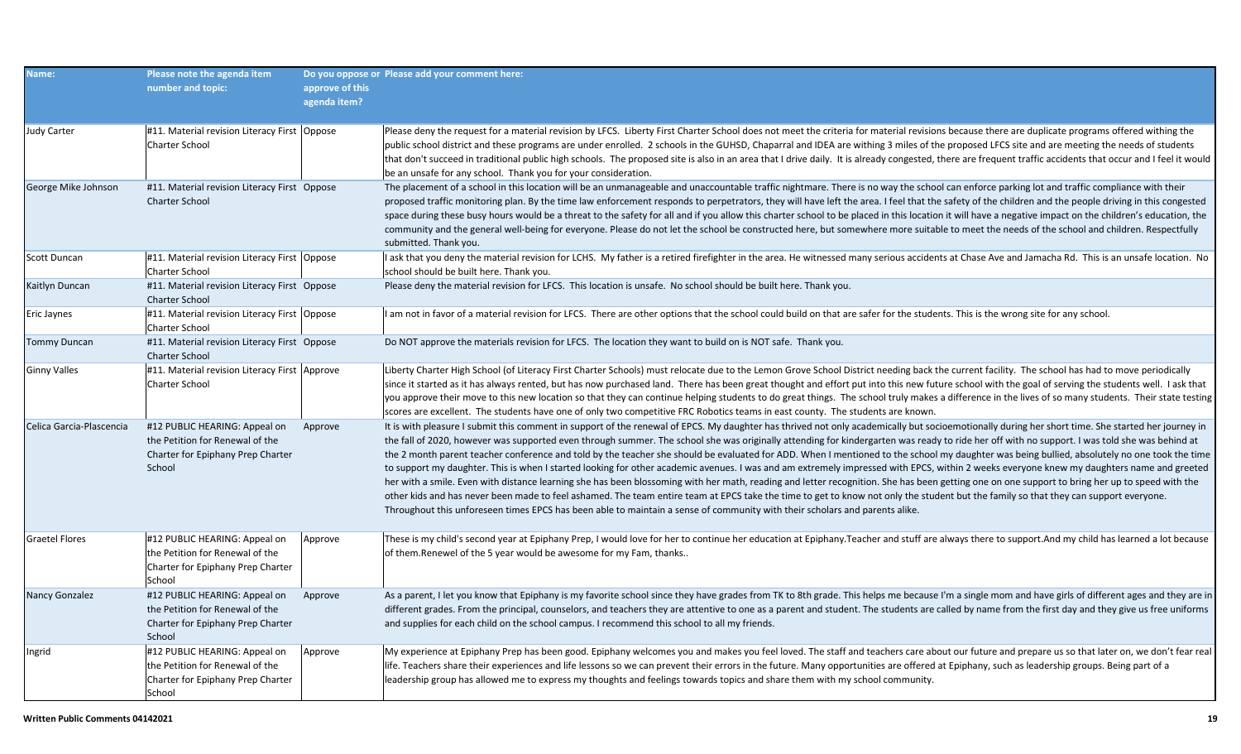| Name:                    | Please note the agenda item<br>number and topic:                                                                | approve of this<br>agenda item? | Do you oppose or Please add your comment here:                                                                                                                                                                                                                                                                                                                                                                                                                                                                                                                                                                                                                                                                                                                                                                                                                                                                                                                                                                                                                                                                                                                                                                                                                                                                           |
|--------------------------|-----------------------------------------------------------------------------------------------------------------|---------------------------------|--------------------------------------------------------------------------------------------------------------------------------------------------------------------------------------------------------------------------------------------------------------------------------------------------------------------------------------------------------------------------------------------------------------------------------------------------------------------------------------------------------------------------------------------------------------------------------------------------------------------------------------------------------------------------------------------------------------------------------------------------------------------------------------------------------------------------------------------------------------------------------------------------------------------------------------------------------------------------------------------------------------------------------------------------------------------------------------------------------------------------------------------------------------------------------------------------------------------------------------------------------------------------------------------------------------------------|
| <b>Judy Carter</b>       | #11. Material revision Literacy First   Oppose<br><b>Charter School</b>                                         |                                 | Please deny the request for a material revision by LFCS. Liberty First Charter School does not meet the criteria for material revisions because there are duplicate programs offered withing the<br>public school district and these programs are under enrolled. 2 schools in the GUHSD, Chaparral and IDEA are withing 3 miles of the proposed LFCS site and are meeting the needs of students<br>that don't succeed in traditional public high schools. The proposed site is also in an area that I drive daily. It is already congested, there are frequent traffic accidents that occur and I feel it would<br>be an unsafe for any school. Thank you for your consideration.                                                                                                                                                                                                                                                                                                                                                                                                                                                                                                                                                                                                                                       |
| George Mike Johnson      | #11. Material revision Literacy First Oppose<br><b>Charter School</b>                                           |                                 | The placement of a school in this location will be an unmanageable and unaccountable traffic nightmare. There is no way the school can enforce parking lot and traffic compliance with their<br>proposed traffic monitoring plan. By the time law enforcement responds to perpetrators, they will have left the area. I feel that the safety of the children and the people driving in this congested<br>space during these busy hours would be a threat to the safety for all and if you allow this charter school to be placed in this location it will have a negative impact on the children's education, the<br>community and the general well-being for everyone. Please do not let the school be constructed here, but somewhere more suitable to meet the needs of the school and children. Respectfully<br>submitted. Thank you.                                                                                                                                                                                                                                                                                                                                                                                                                                                                                |
| Scott Duncan             | #11. Material revision Literacy First   Oppose<br><b>Charter School</b>                                         |                                 | I ask that you deny the material revision for LCHS. My father is a retired firefighter in the area. He witnessed many serious accidents at Chase Ave and Jamacha Rd. This is an unsafe location. No<br>school should be built here. Thank you.                                                                                                                                                                                                                                                                                                                                                                                                                                                                                                                                                                                                                                                                                                                                                                                                                                                                                                                                                                                                                                                                           |
| Kaitlyn Duncan           | #11. Material revision Literacy First Oppose<br><b>Charter School</b>                                           |                                 | Please deny the material revision for LFCS. This location is unsafe. No school should be built here. Thank you.                                                                                                                                                                                                                                                                                                                                                                                                                                                                                                                                                                                                                                                                                                                                                                                                                                                                                                                                                                                                                                                                                                                                                                                                          |
| Eric Jaynes              | #11. Material revision Literacy First Oppose<br><b>Charter School</b>                                           |                                 | I am not in favor of a material revision for LFCS. There are other options that the school could build on that are safer for the students. This is the wrong site for any school.                                                                                                                                                                                                                                                                                                                                                                                                                                                                                                                                                                                                                                                                                                                                                                                                                                                                                                                                                                                                                                                                                                                                        |
| <b>Tommy Duncan</b>      | #11. Material revision Literacy First Oppose<br><b>Charter School</b>                                           |                                 | Do NOT approve the materials revision for LFCS. The location they want to build on is NOT safe. Thank you.                                                                                                                                                                                                                                                                                                                                                                                                                                                                                                                                                                                                                                                                                                                                                                                                                                                                                                                                                                                                                                                                                                                                                                                                               |
| Ginny Valles             | #11. Material revision Literacy First Approve<br><b>Charter School</b>                                          |                                 | Liberty Charter High School (of Literacy First Charter Schools) must relocate due to the Lemon Grove School District needing back the current facility. The school has had to move periodically<br>since it started as it has always rented, but has now purchased land. There has been great thought and effort put into this new future school with the goal of serving the students well. I ask that<br>you approve their move to this new location so that they can continue helping students to do great things. The school truly makes a difference in the lives of so many students. Their state testing<br>scores are excellent. The students have one of only two competitive FRC Robotics teams in east county. The students are known.                                                                                                                                                                                                                                                                                                                                                                                                                                                                                                                                                                        |
| Celica Garcia-Plascencia | #12 PUBLIC HEARING: Appeal on<br>the Petition for Renewal of the<br>Charter for Epiphany Prep Charter<br>School | Approve                         | It is with pleasure I submit this comment in support of the renewal of EPCS. My daughter has thrived not only academically but socioemotionally during her short time. She started her journey in<br>the fall of 2020, however was supported even through summer. The school she was originally attending for kindergarten was ready to ride her off with no support. I was told she was behind at<br>the 2 month parent teacher conference and told by the teacher she should be evaluated for ADD. When I mentioned to the school my daughter was being bullied, absolutely no one took the time<br>to support my daughter. This is when I started looking for other academic avenues. I was and am extremely impressed with EPCS, within 2 weeks everyone knew my daughters name and greeted<br>her with a smile. Even with distance learning she has been blossoming with her math, reading and letter recognition. She has been getting one on one support to bring her up to speed with the<br>other kids and has never been made to feel ashamed. The team entire team at EPCS take the time to get to know not only the student but the family so that they can support everyone.<br>Throughout this unforeseen times EPCS has been able to maintain a sense of community with their scholars and parents alike. |
| Graetel Flores           | #12 PUBLIC HEARING: Appeal on<br>the Petition for Renewal of the<br>Charter for Epiphany Prep Charter<br>School | Approve                         | These is my child's second year at Epiphany Prep, I would love for her to continue her education at Epiphany.Teacher and stuff are always there to support.And my child has learned a lot because<br>of them. Renewel of the 5 year would be awesome for my Fam, thanks                                                                                                                                                                                                                                                                                                                                                                                                                                                                                                                                                                                                                                                                                                                                                                                                                                                                                                                                                                                                                                                  |
| Nancy Gonzalez           | #12 PUBLIC HEARING: Appeal on<br>the Petition for Renewal of the<br>Charter for Epiphany Prep Charter<br>School | Approve                         | As a parent, I let you know that Epiphany is my favorite school since they have grades from TK to 8th grade. This helps me because I'm a single mom and have girls of different ages and they are in<br>different grades. From the principal, counselors, and teachers they are attentive to one as a parent and student. The students are called by name from the first day and they give us free uniforms<br>and supplies for each child on the school campus. I recommend this school to all my friends.                                                                                                                                                                                                                                                                                                                                                                                                                                                                                                                                                                                                                                                                                                                                                                                                              |
| Ingrid                   | #12 PUBLIC HEARING: Appeal on<br>the Petition for Renewal of the<br>Charter for Epiphany Prep Charter<br>School | Approve                         | My experience at Epiphany Prep has been good. Epiphany welcomes you and makes you feel loved. The staff and teachers care about our future and prepare us so that later on, we don't fear real<br>life. Teachers share their experiences and life lessons so we can prevent their errors in the future. Many opportunities are offered at Epiphany, such as leadership groups. Being part of a<br>leadership group has allowed me to express my thoughts and feelings towards topics and share them with my school community.                                                                                                                                                                                                                                                                                                                                                                                                                                                                                                                                                                                                                                                                                                                                                                                            |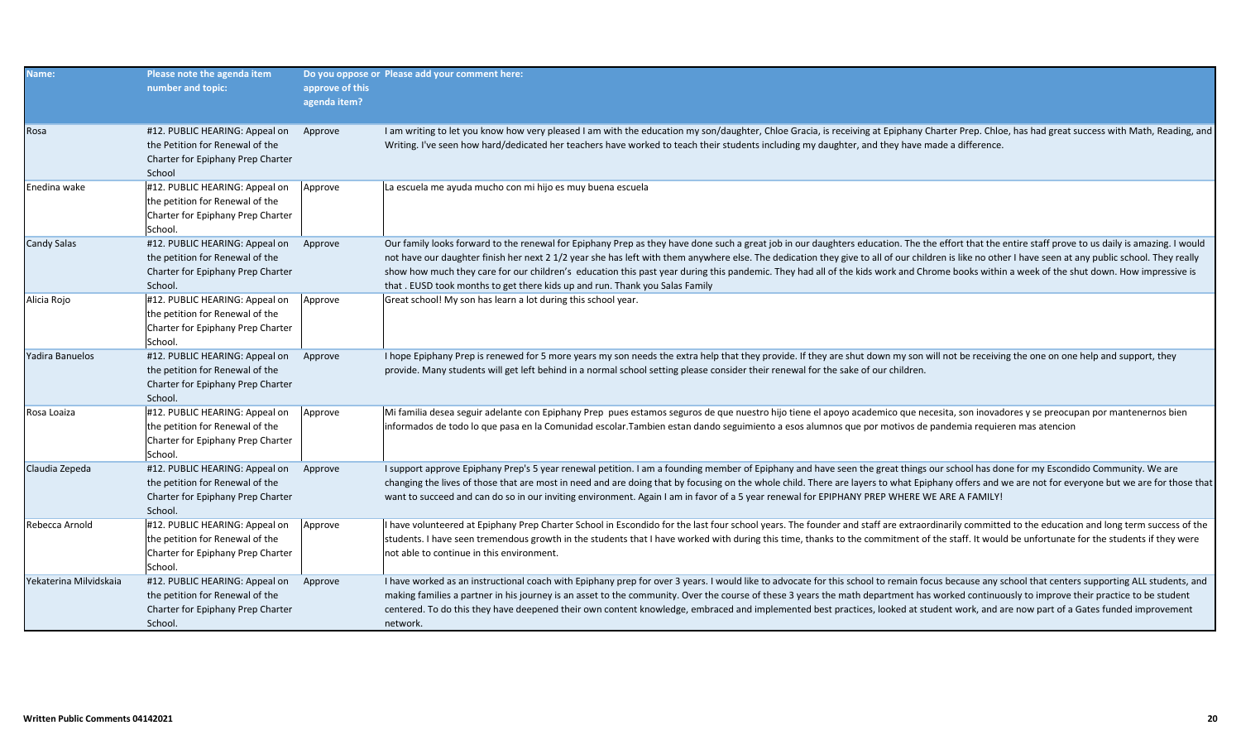| Name:                  | Please note the agenda item<br>number and topic:                                                                  | approve of this<br>agenda item? | Do you oppose or Please add your comment here:                                                                                                                                                                                                                                                                                                                                                                                                                                                                                                                                                                                                                                            |
|------------------------|-------------------------------------------------------------------------------------------------------------------|---------------------------------|-------------------------------------------------------------------------------------------------------------------------------------------------------------------------------------------------------------------------------------------------------------------------------------------------------------------------------------------------------------------------------------------------------------------------------------------------------------------------------------------------------------------------------------------------------------------------------------------------------------------------------------------------------------------------------------------|
| Rosa                   | #12. PUBLIC HEARING: Appeal on<br>the Petition for Renewal of the<br>Charter for Epiphany Prep Charter<br>School  | Approve                         | I am writing to let you know how very pleased I am with the education my son/daughter, Chloe Gracia, is receiving at Epiphany Charter Prep. Chloe, has had great success with Math, Reading, and<br>Writing. I've seen how hard/dedicated her teachers have worked to teach their students including my daughter, and they have made a difference.                                                                                                                                                                                                                                                                                                                                        |
| Enedina wake           | #12. PUBLIC HEARING: Appeal on<br>the petition for Renewal of the<br>Charter for Epiphany Prep Charter<br>School. | Approve                         | La escuela me ayuda mucho con mi hijo es muy buena escuela                                                                                                                                                                                                                                                                                                                                                                                                                                                                                                                                                                                                                                |
| <b>Candy Salas</b>     | #12. PUBLIC HEARING: Appeal on<br>the petition for Renewal of the<br>Charter for Epiphany Prep Charter<br>School. | Approve                         | Our family looks forward to the renewal for Epiphany Prep as they have done such a great job in our daughters education. The the effort that the entire staff prove to us daily is amazing. I would<br>not have our daughter finish her next 2 1/2 year she has left with them anywhere else. The dedication they give to all of our children is like no other I have seen at any public school. They really<br>show how much they care for our children's education this past year during this pandemic. They had all of the kids work and Chrome books within a week of the shut down. How impressive is<br>that. EUSD took months to get there kids up and run. Thank you Salas Family |
| Alicia Rojo            | #12. PUBLIC HEARING: Appeal on<br>the petition for Renewal of the<br>Charter for Epiphany Prep Charter<br>School. | Approve                         | Great school! My son has learn a lot during this school year.                                                                                                                                                                                                                                                                                                                                                                                                                                                                                                                                                                                                                             |
| Yadira Banuelos        | #12. PUBLIC HEARING: Appeal on<br>the petition for Renewal of the<br>Charter for Epiphany Prep Charter<br>School. | Approve                         | I hope Epiphany Prep is renewed for 5 more years my son needs the extra help that they provide. If they are shut down my son will not be receiving the one on one help and support, they<br>provide. Many students will get left behind in a normal school setting please consider their renewal for the sake of our children.                                                                                                                                                                                                                                                                                                                                                            |
| Rosa Loaiza            | #12. PUBLIC HEARING: Appeal on<br>the petition for Renewal of the<br>Charter for Epiphany Prep Charter<br>School. | Approve                         | Mi familia desea seguir adelante con Epiphany Prep pues estamos seguros de que nuestro hijo tiene el apoyo academico que necesita, son inovadores y se preocupan por mantenernos bien<br>informados de todo lo que pasa en la Comunidad escolar. Tambien estan dando seguimiento a esos alumnos que por motivos de pandemia requieren mas atencion                                                                                                                                                                                                                                                                                                                                        |
| Claudia Zepeda         | #12. PUBLIC HEARING: Appeal on<br>the petition for Renewal of the<br>Charter for Epiphany Prep Charter<br>School. | Approve                         | I support approve Epiphany Prep's 5 year renewal petition. I am a founding member of Epiphany and have seen the great things our school has done for my Escondido Community. We are<br>changing the lives of those that are most in need and are doing that by focusing on the whole child. There are layers to what Epiphany offers and we are not for everyone but we are for those that<br>want to succeed and can do so in our inviting environment. Again I am in favor of a 5 year renewal for EPIPHANY PREP WHERE WE ARE A FAMILY!                                                                                                                                                 |
| Rebecca Arnold         | #12. PUBLIC HEARING: Appeal on<br>the petition for Renewal of the<br>Charter for Epiphany Prep Charter<br>School. | Approve                         | I have volunteered at Epiphany Prep Charter School in Escondido for the last four school years. The founder and staff are extraordinarily committed to the education and long term success of the<br>students. I have seen tremendous growth in the students that I have worked with during this time, thanks to the commitment of the staff. It would be unfortunate for the students if they were<br>not able to continue in this environment.                                                                                                                                                                                                                                          |
| Yekaterina Milvidskaia | #12. PUBLIC HEARING: Appeal on<br>the petition for Renewal of the<br>Charter for Epiphany Prep Charter<br>School. | Approve                         | I have worked as an instructional coach with Epiphany prep for over 3 years. I would like to advocate for this school to remain focus because any school that centers supporting ALL students, and<br>making families a partner in his journey is an asset to the community. Over the course of these 3 years the math department has worked continuously to improve their practice to be student<br>centered. To do this they have deepened their own content knowledge, embraced and implemented best practices, looked at student work, and are now part of a Gates funded improvement<br>network.                                                                                     |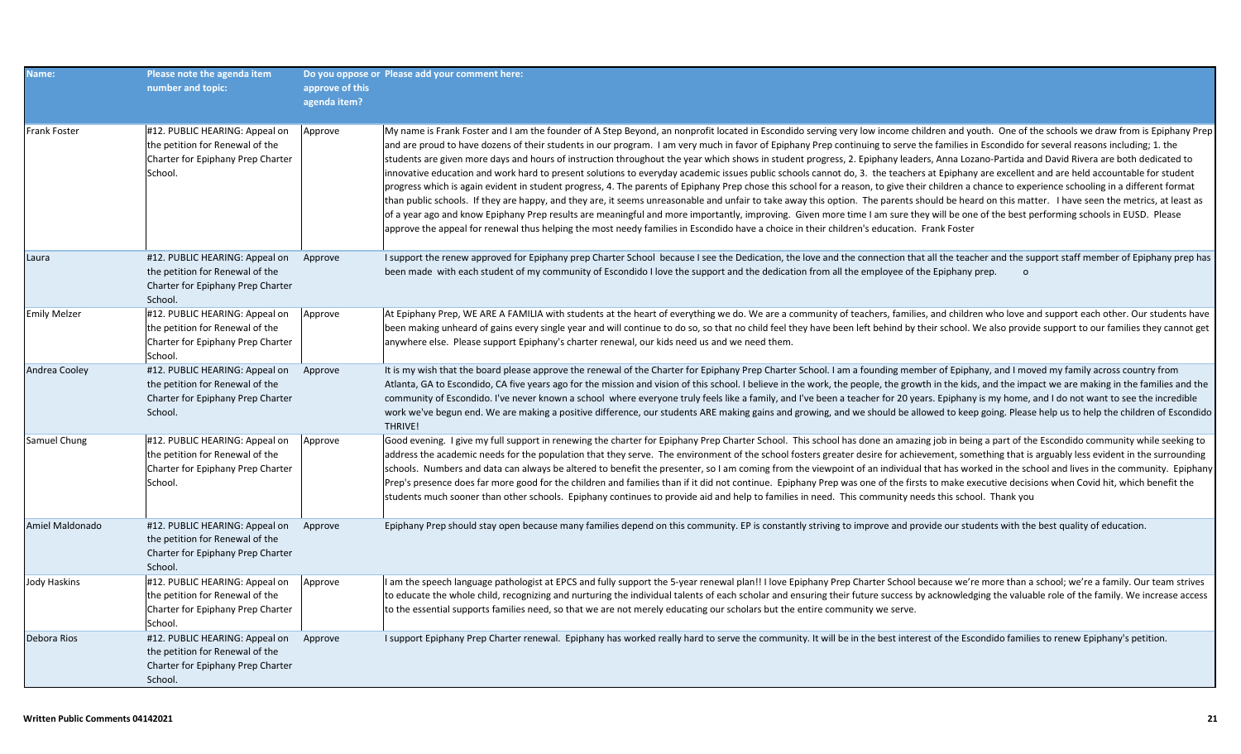| Name:                | Please note the agenda item<br>number and topic:                                                                  | approve of this<br>agenda item? | Do you oppose or Please add your comment here:                                                                                                                                                                                                                                                                                                                                                                                                                                                                                                                                                                                                                                                                                                                                                                                                                                                                                                                                                                                                                                                                                                                                                                                                                                                                                                                                                                                                                                                                                                |
|----------------------|-------------------------------------------------------------------------------------------------------------------|---------------------------------|-----------------------------------------------------------------------------------------------------------------------------------------------------------------------------------------------------------------------------------------------------------------------------------------------------------------------------------------------------------------------------------------------------------------------------------------------------------------------------------------------------------------------------------------------------------------------------------------------------------------------------------------------------------------------------------------------------------------------------------------------------------------------------------------------------------------------------------------------------------------------------------------------------------------------------------------------------------------------------------------------------------------------------------------------------------------------------------------------------------------------------------------------------------------------------------------------------------------------------------------------------------------------------------------------------------------------------------------------------------------------------------------------------------------------------------------------------------------------------------------------------------------------------------------------|
| <b>Frank Foster</b>  | #12. PUBLIC HEARING: Appeal on<br>the petition for Renewal of the<br>Charter for Epiphany Prep Charter<br>School. | Approve                         | My name is Frank Foster and I am the founder of A Step Beyond, an nonprofit located in Escondido serving very low income children and youth. One of the schools we draw from is Epiphany Prep<br>and are proud to have dozens of their students in our program. I am very much in favor of Epiphany Prep continuing to serve the families in Escondido for several reasons including; 1. the<br>students are given more days and hours of instruction throughout the year which shows in student progress, 2. Epiphany leaders, Anna Lozano-Partida and David Rivera are both dedicated to<br>innovative education and work hard to present solutions to everyday academic issues public schools cannot do, 3. the teachers at Epiphany are excellent and are held accountable for student<br>progress which is again evident in student progress, 4. The parents of Epiphany Prep chose this school for a reason, to give their children a chance to experience schooling in a different format<br>than public schools. If they are happy, and they are, it seems unreasonable and unfair to take away this option. The parents should be heard on this matter. I have seen the metrics, at least as<br>of a year ago and know Epiphany Prep results are meaningful and more importantly, improving. Given more time I am sure they will be one of the best performing schools in EUSD. Please<br>approve the appeal for renewal thus helping the most needy families in Escondido have a choice in their children's education. Frank Foster |
| Laura                | #12. PUBLIC HEARING: Appeal on<br>the petition for Renewal of the<br>Charter for Epiphany Prep Charter<br>School. | Approve                         | I support the renew approved for Epiphany prep Charter School because I see the Dedication, the love and the connection that all the teacher and the support staff member of Epiphany prep has<br>been made with each student of my community of Escondido I love the support and the dedication from all the employee of the Epiphany prep.<br>$\Omega$                                                                                                                                                                                                                                                                                                                                                                                                                                                                                                                                                                                                                                                                                                                                                                                                                                                                                                                                                                                                                                                                                                                                                                                      |
| <b>Emily Melzer</b>  | #12. PUBLIC HEARING: Appeal on<br>the petition for Renewal of the<br>Charter for Epiphany Prep Charter<br>School. | Approve                         | At Epiphany Prep, WE ARE A FAMILIA with students at the heart of everything we do. We are a community of teachers, families, and children who love and support each other. Our students have<br>been making unheard of gains every single year and will continue to do so, so that no child feel they have been left behind by their school. We also provide support to our families they cannot get<br>anywhere else. Please support Epiphany's charter renewal, our kids need us and we need them.                                                                                                                                                                                                                                                                                                                                                                                                                                                                                                                                                                                                                                                                                                                                                                                                                                                                                                                                                                                                                                          |
| <b>Andrea Cooley</b> | #12. PUBLIC HEARING: Appeal on<br>the petition for Renewal of the<br>Charter for Epiphany Prep Charter<br>School. | Approve                         | It is my wish that the board please approve the renewal of the Charter for Epiphany Prep Charter School. I am a founding member of Epiphany, and I moved my family across country from<br>Atlanta, GA to Escondido, CA five years ago for the mission and vision of this school. I believe in the work, the people, the growth in the kids, and the impact we are making in the families and the<br>community of Escondido. I've never known a school where everyone truly feels like a family, and I've been a teacher for 20 years. Epiphany is my home, and I do not want to see the incredible<br>work we've begun end. We are making a positive difference, our students ARE making gains and growing, and we should be allowed to keep going. Please help us to help the children of Escondido<br><b>THRIVE!</b>                                                                                                                                                                                                                                                                                                                                                                                                                                                                                                                                                                                                                                                                                                                        |
| Samuel Chung         | #12. PUBLIC HEARING: Appeal on<br>the petition for Renewal of the<br>Charter for Epiphany Prep Charter<br>School. | Approve                         | Good evening. I give my full support in renewing the charter for Epiphany Prep Charter School. This school has done an amazing job in being a part of the Escondido community while seeking to<br>address the academic needs for the population that they serve. The environment of the school fosters greater desire for achievement, something that is arguably less evident in the surrounding<br>schools. Numbers and data can always be altered to benefit the presenter, so I am coming from the viewpoint of an individual that has worked in the school and lives in the community. Epiphany<br>Prep's presence does far more good for the children and families than if it did not continue. Epiphany Prep was one of the firsts to make executive decisions when Covid hit, which benefit the<br>students much sooner than other schools. Epiphany continues to provide aid and help to families in need. This community needs this school. Thank you                                                                                                                                                                                                                                                                                                                                                                                                                                                                                                                                                                               |
| Amiel Maldonado      | #12. PUBLIC HEARING: Appeal on<br>the petition for Renewal of the<br>Charter for Epiphany Prep Charter<br>School. | Approve                         | Epiphany Prep should stay open because many families depend on this community. EP is constantly striving to improve and provide our students with the best quality of education.                                                                                                                                                                                                                                                                                                                                                                                                                                                                                                                                                                                                                                                                                                                                                                                                                                                                                                                                                                                                                                                                                                                                                                                                                                                                                                                                                              |
| <b>Jody Haskins</b>  | #12. PUBLIC HEARING: Appeal on<br>the petition for Renewal of the<br>Charter for Epiphany Prep Charter<br>School. | Approve                         | I am the speech language pathologist at EPCS and fully support the 5-year renewal plan!! I love Epiphany Prep Charter School because we're more than a school; we're a family. Our team strives<br>to educate the whole child, recognizing and nurturing the individual talents of each scholar and ensuring their future success by acknowledging the valuable role of the family. We increase access<br>to the essential supports families need, so that we are not merely educating our scholars but the entire community we serve.                                                                                                                                                                                                                                                                                                                                                                                                                                                                                                                                                                                                                                                                                                                                                                                                                                                                                                                                                                                                        |
| Debora Rios          | #12. PUBLIC HEARING: Appeal on<br>the petition for Renewal of the<br>Charter for Epiphany Prep Charter<br>School. | Approve                         | I support Epiphany Prep Charter renewal. Epiphany has worked really hard to serve the community. It will be in the best interest of the Escondido families to renew Epiphany's petition.                                                                                                                                                                                                                                                                                                                                                                                                                                                                                                                                                                                                                                                                                                                                                                                                                                                                                                                                                                                                                                                                                                                                                                                                                                                                                                                                                      |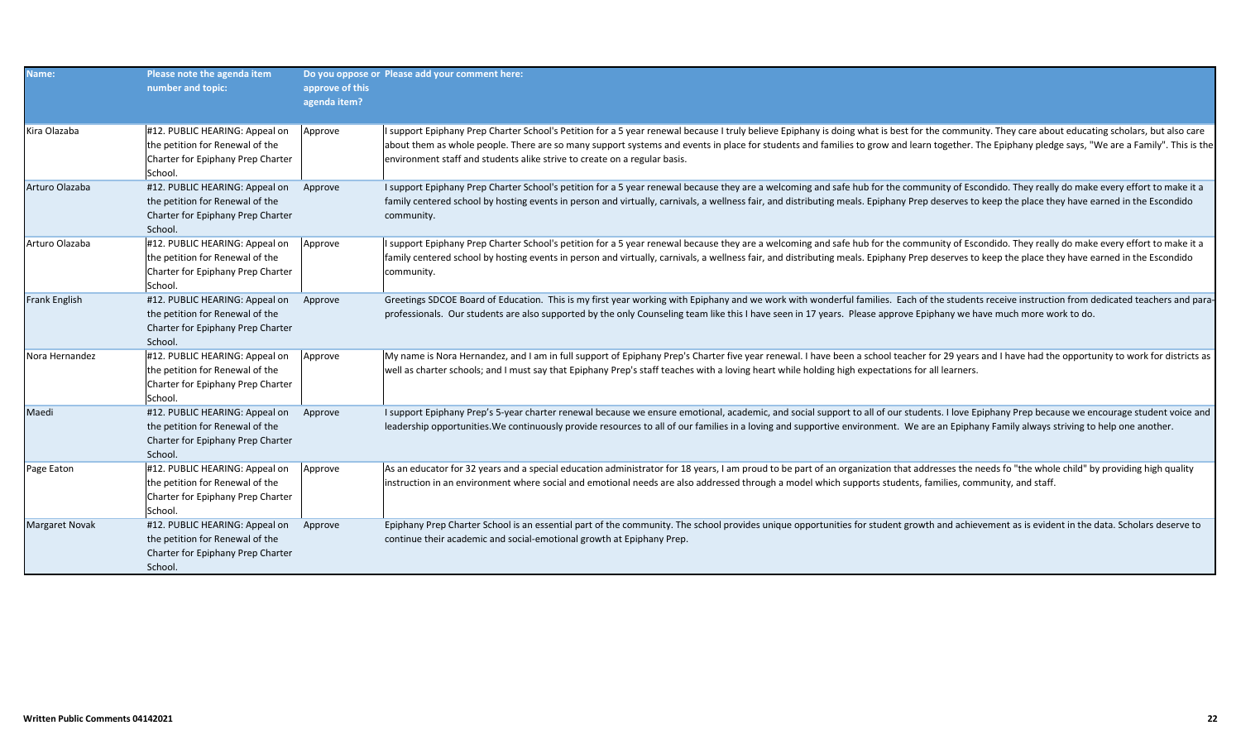| Name:                 | Please note the agenda item<br>number and topic:                                                                  | approve of this<br>agenda item? | Do you oppose or Please add your comment here:                                                                                                                                                                                                                                                                                                                                                                                                                                      |
|-----------------------|-------------------------------------------------------------------------------------------------------------------|---------------------------------|-------------------------------------------------------------------------------------------------------------------------------------------------------------------------------------------------------------------------------------------------------------------------------------------------------------------------------------------------------------------------------------------------------------------------------------------------------------------------------------|
| Kira Olazaba          | #12. PUBLIC HEARING: Appeal on<br>the petition for Renewal of the<br>Charter for Epiphany Prep Charter<br>School. | Approve                         | I support Epiphany Prep Charter School's Petition for a 5 year renewal because I truly believe Epiphany is doing what is best for the community. They care about educating scholars, but also care<br>about them as whole people. There are so many support systems and events in place for students and families to grow and learn together. The Epiphany pledge says, "We are a Family". This is the<br>environment staff and students alike strive to create on a regular basis. |
| Arturo Olazaba        | #12. PUBLIC HEARING: Appeal on<br>the petition for Renewal of the<br>Charter for Epiphany Prep Charter<br>School. | Approve                         | I support Epiphany Prep Charter School's petition for a 5 year renewal because they are a welcoming and safe hub for the community of Escondido. They really do make every effort to make it a<br>family centered school by hosting events in person and virtually, carnivals, a wellness fair, and distributing meals. Epiphany Prep deserves to keep the place they have earned in the Escondido<br>community.                                                                    |
| Arturo Olazaba        | #12. PUBLIC HEARING: Appeal on<br>the petition for Renewal of the<br>Charter for Epiphany Prep Charter<br>School. | Approve                         | I support Epiphany Prep Charter School's petition for a 5 year renewal because they are a welcoming and safe hub for the community of Escondido. They really do make every effort to make it a<br>family centered school by hosting events in person and virtually, carnivals, a wellness fair, and distributing meals. Epiphany Prep deserves to keep the place they have earned in the Escondido<br>community.                                                                    |
| <b>Frank English</b>  | #12. PUBLIC HEARING: Appeal on<br>the petition for Renewal of the<br>Charter for Epiphany Prep Charter<br>School. | Approve                         | Greetings SDCOE Board of Education. This is my first year working with Epiphany and we work with wonderful families. Each of the students receive instruction from dedicated teachers and para-<br>professionals. Our students are also supported by the only Counseling team like this I have seen in 17 years. Please approve Epiphany we have much more work to do.                                                                                                              |
| Nora Hernandez        | #12. PUBLIC HEARING: Appeal on<br>the petition for Renewal of the<br>Charter for Epiphany Prep Charter<br>School. | Approve                         | My name is Nora Hernandez, and I am in full support of Epiphany Prep's Charter five year renewal. I have been a school teacher for 29 years and I have had the opportunity to work for districts as<br>well as charter schools; and I must say that Epiphany Prep's staff teaches with a loving heart while holding high expectations for all learners.                                                                                                                             |
| Maedi                 | #12. PUBLIC HEARING: Appeal on<br>the petition for Renewal of the<br>Charter for Epiphany Prep Charter<br>School. | Approve                         | I support Epiphany Prep's 5-year charter renewal because we ensure emotional, academic, and social support to all of our students. I love Epiphany Prep because we encourage student voice and<br>leadership opportunities. We continuously provide resources to all of our families in a loving and supportive environment. We are an Epiphany Family always striving to help one another.                                                                                         |
| Page Eaton            | #12. PUBLIC HEARING: Appeal on<br>the petition for Renewal of the<br>Charter for Epiphany Prep Charter<br>School. | Approve                         | As an educator for 32 years and a special education administrator for 18 years, I am proud to be part of an organization that addresses the needs fo "the whole child" by providing high quality<br>instruction in an environment where social and emotional needs are also addressed through a model which supports students, families, community, and staff.                                                                                                                      |
| <b>Margaret Novak</b> | #12. PUBLIC HEARING: Appeal on<br>the petition for Renewal of the<br>Charter for Epiphany Prep Charter<br>School. | Approve                         | Epiphany Prep Charter School is an essential part of the community. The school provides unique opportunities for student growth and achievement as is evident in the data. Scholars deserve to<br>continue their academic and social-emotional growth at Epiphany Prep.                                                                                                                                                                                                             |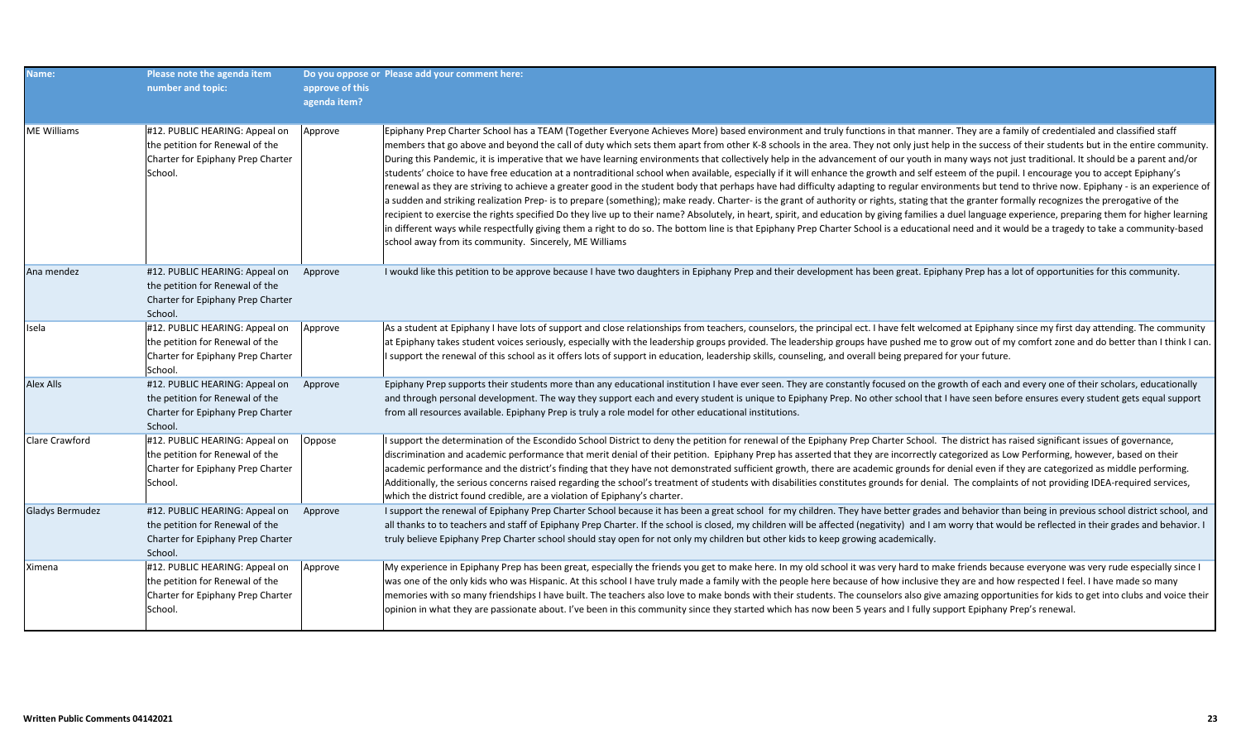| Name:                  | Please note the agenda item<br>number and topic:                                                                  | approve of this<br>agenda item? | Do you oppose or Please add your comment here:                                                                                                                                                                                                                                                                                                                                                                                                                                                                                                                                                                                                                                                                                                                                                                                                                                                                                                                                                                                                                                                                                                                                                                                                                                                                                                                                                                                                                                                                                                                                                                                                                                         |
|------------------------|-------------------------------------------------------------------------------------------------------------------|---------------------------------|----------------------------------------------------------------------------------------------------------------------------------------------------------------------------------------------------------------------------------------------------------------------------------------------------------------------------------------------------------------------------------------------------------------------------------------------------------------------------------------------------------------------------------------------------------------------------------------------------------------------------------------------------------------------------------------------------------------------------------------------------------------------------------------------------------------------------------------------------------------------------------------------------------------------------------------------------------------------------------------------------------------------------------------------------------------------------------------------------------------------------------------------------------------------------------------------------------------------------------------------------------------------------------------------------------------------------------------------------------------------------------------------------------------------------------------------------------------------------------------------------------------------------------------------------------------------------------------------------------------------------------------------------------------------------------------|
| <b>ME Williams</b>     | #12. PUBLIC HEARING: Appeal on<br>the petition for Renewal of the<br>Charter for Epiphany Prep Charter<br>School. | Approve                         | Epiphany Prep Charter School has a TEAM (Together Everyone Achieves More) based environment and truly functions in that manner. They are a family of credentialed and classified staff<br>members that go above and beyond the call of duty which sets them apart from other K-8 schools in the area. They not only just help in the success of their students but in the entire community.<br>During this Pandemic, it is imperative that we have learning environments that collectively help in the advancement of our youth in many ways not just traditional. It should be a parent and/or<br>students' choice to have free education at a nontraditional school when available, especially if it will enhance the growth and self esteem of the pupil. I encourage you to accept Epiphany's<br>renewal as they are striving to achieve a greater good in the student body that perhaps have had difficulty adapting to regular environments but tend to thrive now. Epiphany - is an experience of<br>a sudden and striking realization Prep- is to prepare (something); make ready. Charter- is the grant of authority or rights, stating that the granter formally recognizes the prerogative of the<br>recipient to exercise the rights specified Do they live up to their name? Absolutely, in heart, spirit, and education by giving families a duel language experience, preparing them for higher learning<br>in different ways while respectfully giving them a right to do so. The bottom line is that Epiphany Prep Charter School is a educational need and it would be a tragedy to take a community-based<br>school away from its community. Sincerely, ME Williams |
| Ana mendez             | #12. PUBLIC HEARING: Appeal on<br>the petition for Renewal of the<br>Charter for Epiphany Prep Charter<br>School. | Approve                         | I woukd like this petition to be approve because I have two daughters in Epiphany Prep and their development has been great. Epiphany Prep has a lot of opportunities for this community.                                                                                                                                                                                                                                                                                                                                                                                                                                                                                                                                                                                                                                                                                                                                                                                                                                                                                                                                                                                                                                                                                                                                                                                                                                                                                                                                                                                                                                                                                              |
| Isela                  | #12. PUBLIC HEARING: Appeal on<br>the petition for Renewal of the<br>Charter for Epiphany Prep Charter<br>School. | Approve                         | As a student at Epiphany I have lots of support and close relationships from teachers, counselors, the principal ect. I have felt welcomed at Epiphany since my first day attending. The community<br>at Epiphany takes student voices seriously, especially with the leadership groups provided. The leadership groups have pushed me to grow out of my comfort zone and do better than I think I can.<br>I support the renewal of this school as it offers lots of support in education, leadership skills, counseling, and overall being prepared for your future.                                                                                                                                                                                                                                                                                                                                                                                                                                                                                                                                                                                                                                                                                                                                                                                                                                                                                                                                                                                                                                                                                                                  |
| <b>Alex Alls</b>       | #12. PUBLIC HEARING: Appeal on<br>the petition for Renewal of the<br>Charter for Epiphany Prep Charter<br>School. | Approve                         | Epiphany Prep supports their students more than any educational institution I have ever seen. They are constantly focused on the growth of each and every one of their scholars, educationally<br>and through personal development. The way they support each and every student is unique to Epiphany Prep. No other school that I have seen before ensures every student gets equal support<br>from all resources available. Epiphany Prep is truly a role model for other educational institutions.                                                                                                                                                                                                                                                                                                                                                                                                                                                                                                                                                                                                                                                                                                                                                                                                                                                                                                                                                                                                                                                                                                                                                                                  |
| <b>Clare Crawford</b>  | #12. PUBLIC HEARING: Appeal on<br>the petition for Renewal of the<br>Charter for Epiphany Prep Charter<br>School. | Oppose                          | I support the determination of the Escondido School District to deny the petition for renewal of the Epiphany Prep Charter School. The district has raised significant issues of governance,<br>discrimination and academic performance that merit denial of their petition. Epiphany Prep has asserted that they are incorrectly categorized as Low Performing, however, based on their<br>academic performance and the district's finding that they have not demonstrated sufficient growth, there are academic grounds for denial even if they are categorized as middle performing.<br>Additionally, the serious concerns raised regarding the school's treatment of students with disabilities constitutes grounds for denial. The complaints of not providing IDEA-required services,<br>which the district found credible, are a violation of Epiphany's charter.                                                                                                                                                                                                                                                                                                                                                                                                                                                                                                                                                                                                                                                                                                                                                                                                               |
| <b>Gladys Bermudez</b> | #12. PUBLIC HEARING: Appeal on<br>the petition for Renewal of the<br>Charter for Epiphany Prep Charter<br>School. | Approve                         | I support the renewal of Epiphany Prep Charter School because it has been a great school for my children. They have better grades and behavior than being in previous school district school, and<br>all thanks to to teachers and staff of Epiphany Prep Charter. If the school is closed, my children will be affected (negativity) and I am worry that would be reflected in their grades and behavior. I<br>truly believe Epiphany Prep Charter school should stay open for not only my children but other kids to keep growing academically.                                                                                                                                                                                                                                                                                                                                                                                                                                                                                                                                                                                                                                                                                                                                                                                                                                                                                                                                                                                                                                                                                                                                      |
| Ximena                 | #12. PUBLIC HEARING: Appeal on<br>the petition for Renewal of the<br>Charter for Epiphany Prep Charter<br>School. | Approve                         | My experience in Epiphany Prep has been great, especially the friends you get to make here. In my old school it was very hard to make friends because everyone was very rude especially since I<br>was one of the only kids who was Hispanic. At this school I have truly made a family with the people here because of how inclusive they are and how respected I feel. I have made so many<br>memories with so many friendships I have built. The teachers also love to make bonds with their students. The counselors also give amazing opportunities for kids to get into clubs and voice their<br>opinion in what they are passionate about. I've been in this community since they started which has now been 5 years and I fully support Epiphany Prep's renewal.                                                                                                                                                                                                                                                                                                                                                                                                                                                                                                                                                                                                                                                                                                                                                                                                                                                                                                               |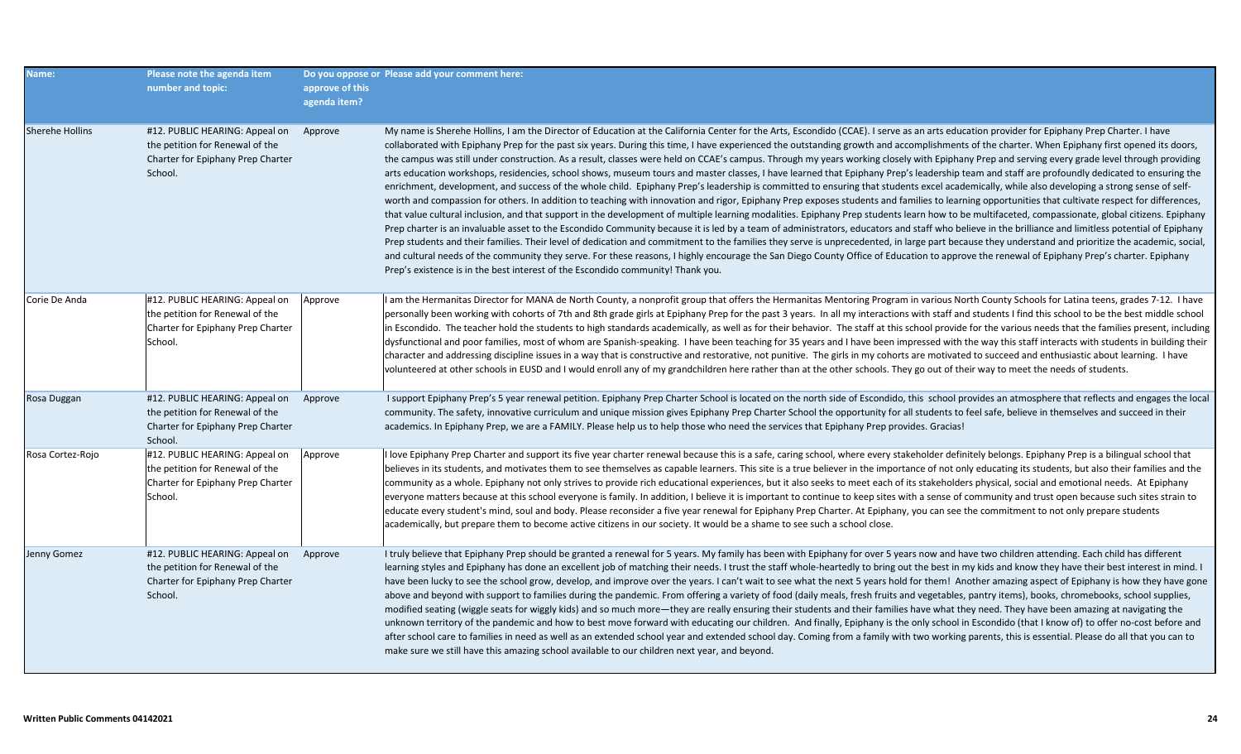| Name:                  | Please note the agenda item<br>number and topic:                                                                  | approve of this<br>agenda item? | Do you oppose or Please add your comment here:                                                                                                                                                                                                                                                                                                                                                                                                                                                                                                                                                                                                                                                                                                                                                                                                                                                                                                                                                                                                                                                                                                                                                                                                                                                                                                                                                                                                                                                                                                                                                                                                                                                                                                                                                                                                                                                                                                                                                                                                                                                        |
|------------------------|-------------------------------------------------------------------------------------------------------------------|---------------------------------|-------------------------------------------------------------------------------------------------------------------------------------------------------------------------------------------------------------------------------------------------------------------------------------------------------------------------------------------------------------------------------------------------------------------------------------------------------------------------------------------------------------------------------------------------------------------------------------------------------------------------------------------------------------------------------------------------------------------------------------------------------------------------------------------------------------------------------------------------------------------------------------------------------------------------------------------------------------------------------------------------------------------------------------------------------------------------------------------------------------------------------------------------------------------------------------------------------------------------------------------------------------------------------------------------------------------------------------------------------------------------------------------------------------------------------------------------------------------------------------------------------------------------------------------------------------------------------------------------------------------------------------------------------------------------------------------------------------------------------------------------------------------------------------------------------------------------------------------------------------------------------------------------------------------------------------------------------------------------------------------------------------------------------------------------------------------------------------------------------|
| <b>Sherehe Hollins</b> | #12. PUBLIC HEARING: Appeal on<br>the petition for Renewal of the<br>Charter for Epiphany Prep Charter<br>School. | Approve                         | My name is Sherehe Hollins, I am the Director of Education at the California Center for the Arts, Escondido (CCAE). I serve as an arts education provider for Epiphany Prep Charter. I have<br>collaborated with Epiphany Prep for the past six years. During this time, I have experienced the outstanding growth and accomplishments of the charter. When Epiphany first opened its doors,<br>the campus was still under construction. As a result, classes were held on CCAE's campus. Through my years working closely with Epiphany Prep and serving every grade level through providing<br>arts education workshops, residencies, school shows, museum tours and master classes, I have learned that Epiphany Prep's leadership team and staff are profoundly dedicated to ensuring the<br>enrichment, development, and success of the whole child. Epiphany Prep's leadership is committed to ensuring that students excel academically, while also developing a strong sense of self-<br>worth and compassion for others. In addition to teaching with innovation and rigor, Epiphany Prep exposes students and families to learning opportunities that cultivate respect for differences,<br>that value cultural inclusion, and that support in the development of multiple learning modalities. Epiphany Prep students learn how to be multifaceted, compassionate, global citizens. Epiphany<br>Prep charter is an invaluable asset to the Escondido Community because it is led by a team of administrators, educators and staff who believe in the brilliance and limitless potential of Epiphany<br>Prep students and their families. Their level of dedication and commitment to the families they serve is unprecedented, in large part because they understand and prioritize the academic, social,<br>and cultural needs of the community they serve. For these reasons, I highly encourage the San Diego County Office of Education to approve the renewal of Epiphany Prep's charter. Epiphany<br>Prep's existence is in the best interest of the Escondido community! Thank you. |
| Corie De Anda          | #12. PUBLIC HEARING: Appeal on<br>the petition for Renewal of the<br>Charter for Epiphany Prep Charter<br>School. | Approve                         | I am the Hermanitas Director for MANA de North County, a nonprofit group that offers the Hermanitas Mentoring Program in various North County Schools for Latina teens, grades 7-12. I have<br>personally been working with cohorts of 7th and 8th grade girls at Epiphany Prep for the past 3 years. In all my interactions with staff and students I find this school to be the best middle school<br>in Escondido. The teacher hold the students to high standards academically, as well as for their behavior. The staff at this school provide for the various needs that the families present, including<br>dysfunctional and poor families, most of whom are Spanish-speaking. I have been teaching for 35 years and I have been impressed with the way this staff interacts with students in building their<br>character and addressing discipline issues in a way that is constructive and restorative, not punitive. The girls in my cohorts are motivated to succeed and enthusiastic about learning. I have<br>volunteered at other schools in EUSD and I would enroll any of my grandchildren here rather than at the other schools. They go out of their way to meet the needs of students.                                                                                                                                                                                                                                                                                                                                                                                                                                                                                                                                                                                                                                                                                                                                                                                                                                                                                             |
| Rosa Duggan            | #12. PUBLIC HEARING: Appeal on<br>the petition for Renewal of the<br>Charter for Epiphany Prep Charter<br>School. | Approve                         | I support Epiphany Prep's 5 year renewal petition. Epiphany Prep Charter School is located on the north side of Escondido, this school provides an atmosphere that reflects and engages the local<br>community. The safety, innovative curriculum and unique mission gives Epiphany Prep Charter School the opportunity for all students to feel safe, believe in themselves and succeed in their<br>academics. In Epiphany Prep, we are a FAMILY. Please help us to help those who need the services that Epiphany Prep provides. Gracias!                                                                                                                                                                                                                                                                                                                                                                                                                                                                                                                                                                                                                                                                                                                                                                                                                                                                                                                                                                                                                                                                                                                                                                                                                                                                                                                                                                                                                                                                                                                                                           |
| Rosa Cortez-Rojo       | #12. PUBLIC HEARING: Appeal on<br>the petition for Renewal of the<br>Charter for Epiphany Prep Charter<br>School. | Approve                         | I love Epiphany Prep Charter and support its five year charter renewal because this is a safe, caring school, where every stakeholder definitely belongs. Epiphany Prep is a bilingual school that<br>believes in its students, and motivates them to see themselves as capable learners. This site is a true believer in the importance of not only educating its students, but also their families and the<br>community as a whole. Epiphany not only strives to provide rich educational experiences, but it also seeks to meet each of its stakeholders physical, social and emotional needs. At Epiphany<br>everyone matters because at this school everyone is family. In addition, I believe it is important to continue to keep sites with a sense of community and trust open because such sites strain to<br>educate every student's mind, soul and body. Please reconsider a five year renewal for Epiphany Prep Charter. At Epiphany, you can see the commitment to not only prepare students<br>academically, but prepare them to become active citizens in our society. It would be a shame to see such a school close.                                                                                                                                                                                                                                                                                                                                                                                                                                                                                                                                                                                                                                                                                                                                                                                                                                                                                                                                                                 |
| Jenny Gomez            | #12. PUBLIC HEARING: Appeal on<br>the petition for Renewal of the<br>Charter for Epiphany Prep Charter<br>School. | Approve                         | I truly believe that Epiphany Prep should be granted a renewal for 5 years. My family has been with Epiphany for over 5 years now and have two children attending. Each child has different<br>learning styles and Epiphany has done an excellent job of matching their needs. I trust the staff whole-heartedly to bring out the best in my kids and know they have their best interest in mind. I<br>have been lucky to see the school grow, develop, and improve over the years. I can't wait to see what the next 5 years hold for them! Another amazing aspect of Epiphany is how they have gone<br>above and beyond with support to families during the pandemic. From offering a variety of food (daily meals, fresh fruits and vegetables, pantry items), books, chromebooks, school supplies,<br>modified seating (wiggle seats for wiggly kids) and so much more—they are really ensuring their students and their families have what they need. They have been amazing at navigating the<br>unknown territory of the pandemic and how to best move forward with educating our children. And finally, Epiphany is the only school in Escondido (that I know of) to offer no-cost before and<br>after school care to families in need as well as an extended school year and extended school day. Coming from a family with two working parents, this is essential. Please do all that you can to<br>make sure we still have this amazing school available to our children next year, and beyond.                                                                                                                                                                                                                                                                                                                                                                                                                                                                                                                                                                                            |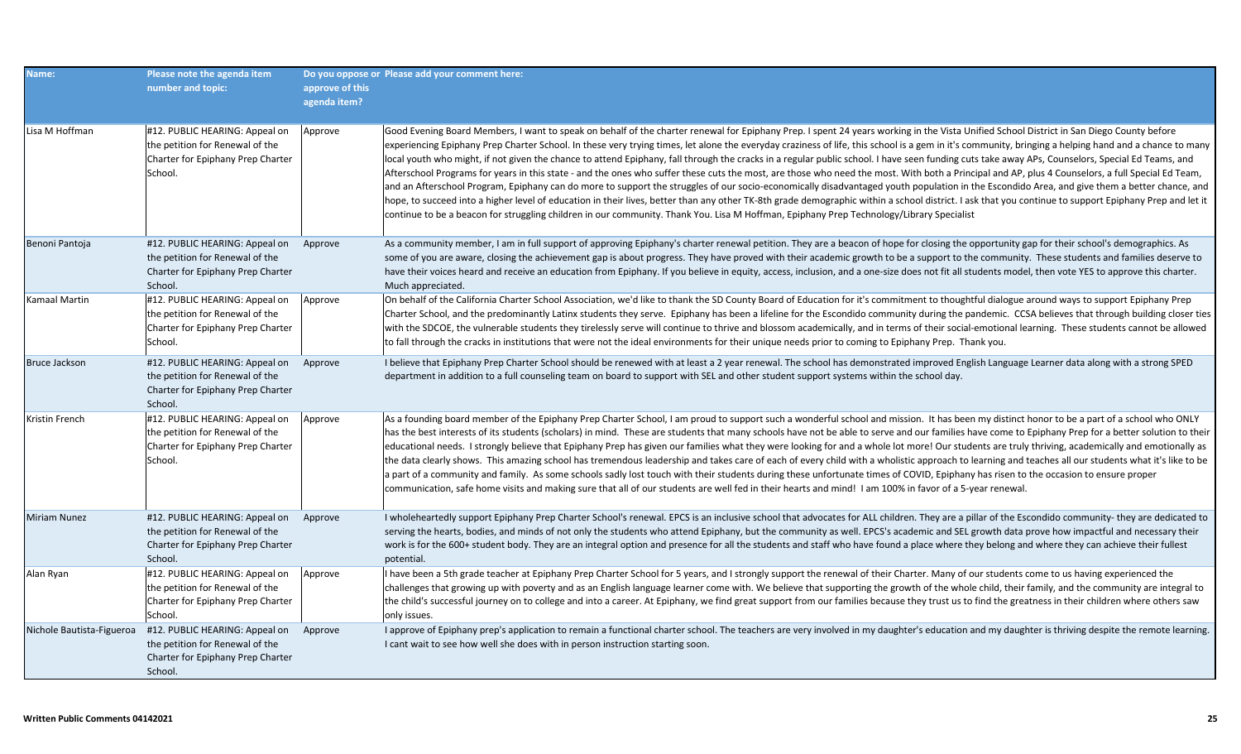| Name:                     | Please note the agenda item<br>number and topic:                                                                          | approve of this<br>agenda item? | Do you oppose or Please add your comment here:                                                                                                                                                                                                                                                                                                                                                                                                                                                                                                                                                                                                                                                                                                                                                                                                                                                                                                                                                                                                                                                                                                                                                                                                                                                                                                                   |
|---------------------------|---------------------------------------------------------------------------------------------------------------------------|---------------------------------|------------------------------------------------------------------------------------------------------------------------------------------------------------------------------------------------------------------------------------------------------------------------------------------------------------------------------------------------------------------------------------------------------------------------------------------------------------------------------------------------------------------------------------------------------------------------------------------------------------------------------------------------------------------------------------------------------------------------------------------------------------------------------------------------------------------------------------------------------------------------------------------------------------------------------------------------------------------------------------------------------------------------------------------------------------------------------------------------------------------------------------------------------------------------------------------------------------------------------------------------------------------------------------------------------------------------------------------------------------------|
| Lisa M Hoffman            | #12. PUBLIC HEARING: Appeal on<br>the petition for Renewal of the<br>Charter for Epiphany Prep Charter<br>School.         | Approve                         | Good Evening Board Members, I want to speak on behalf of the charter renewal for Epiphany Prep. I spent 24 years working in the Vista Unified School District in San Diego County before<br>experiencing Epiphany Prep Charter School. In these very trying times, let alone the everyday craziness of life, this school is a gem in it's community, bringing a helping hand and a chance to many<br>local youth who might, if not given the chance to attend Epiphany, fall through the cracks in a regular public school. I have seen funding cuts take away APs, Counselors, Special Ed Teams, and<br>Afterschool Programs for years in this state - and the ones who suffer these cuts the most, are those who need the most. With both a Principal and AP, plus 4 Counselors, a full Special Ed Team,<br>and an Afterschool Program, Epiphany can do more to support the struggles of our socio-economically disadvantaged youth population in the Escondido Area, and give them a better chance, and<br>hope, to succeed into a higher level of education in their lives, better than any other TK-8th grade demographic within a school district. I ask that you continue to support Epiphany Prep and let it<br>continue to be a beacon for struggling children in our community. Thank You. Lisa M Hoffman, Epiphany Prep Technology/Library Specialist |
| Benoni Pantoja            | #12. PUBLIC HEARING: Appeal on Approve<br>the petition for Renewal of the<br>Charter for Epiphany Prep Charter<br>School. |                                 | As a community member, I am in full support of approving Epiphany's charter renewal petition. They are a beacon of hope for closing the opportunity gap for their school's demographics. As<br>some of you are aware, closing the achievement gap is about progress. They have proved with their academic growth to be a support to the community. These students and families deserve to<br>have their voices heard and receive an education from Epiphany. If you believe in equity, access, inclusion, and a one-size does not fit all students model, then vote YES to approve this charter.<br>Much appreciated.                                                                                                                                                                                                                                                                                                                                                                                                                                                                                                                                                                                                                                                                                                                                            |
| Kamaal Martin             | #12. PUBLIC HEARING: Appeal on<br>the petition for Renewal of the<br>Charter for Epiphany Prep Charter<br>School.         | Approve                         | On behalf of the California Charter School Association, we'd like to thank the SD County Board of Education for it's commitment to thoughtful dialogue around ways to support Epiphany Prep<br>Charter School, and the predominantly Latinx students they serve. Epiphany has been a lifeline for the Escondido community during the pandemic. CCSA believes that through building closer ties<br>with the SDCOE, the vulnerable students they tirelessly serve will continue to thrive and blossom academically, and in terms of their social-emotional learning. These students cannot be allowed<br>to fall through the cracks in institutions that were not the ideal environments for their unique needs prior to coming to Epiphany Prep. Thank you.                                                                                                                                                                                                                                                                                                                                                                                                                                                                                                                                                                                                       |
| <b>Bruce Jackson</b>      | #12. PUBLIC HEARING: Appeal on<br>the petition for Renewal of the<br>Charter for Epiphany Prep Charter<br>School.         | Approve                         | I believe that Epiphany Prep Charter School should be renewed with at least a 2 year renewal. The school has demonstrated improved English Language Learner data along with a strong SPED<br>department in addition to a full counseling team on board to support with SEL and other student support systems within the school day.                                                                                                                                                                                                                                                                                                                                                                                                                                                                                                                                                                                                                                                                                                                                                                                                                                                                                                                                                                                                                              |
| Kristin French            | #12. PUBLIC HEARING: Appeal on<br>the petition for Renewal of the<br>Charter for Epiphany Prep Charter<br>School.         | Approve                         | As a founding board member of the Epiphany Prep Charter School, I am proud to support such a wonderful school and mission. It has been my distinct honor to be a part of a school who ONLY<br>has the best interests of its students (scholars) in mind. These are students that many schools have not be able to serve and our families have come to Epiphany Prep for a better solution to their<br>educational needs. I strongly believe that Epiphany Prep has given our families what they were looking for and a whole lot more! Our students are truly thriving, academically and emotionally as<br>the data clearly shows. This amazing school has tremendous leadership and takes care of each of every child with a wholistic approach to learning and teaches all our students what it's like to be<br>a part of a community and family. As some schools sadly lost touch with their students during these unfortunate times of COVID, Epiphany has risen to the occasion to ensure proper<br>communication, safe home visits and making sure that all of our students are well fed in their hearts and mind! I am 100% in favor of a 5-year renewal.                                                                                                                                                                                                 |
| <b>Miriam Nunez</b>       | #12. PUBLIC HEARING: Appeal on<br>the petition for Renewal of the<br>Charter for Epiphany Prep Charter<br>School.         | Approve                         | I wholeheartedly support Epiphany Prep Charter School's renewal. EPCS is an inclusive school that advocates for ALL children. They are a pillar of the Escondido community- they are dedicated to<br>serving the hearts, bodies, and minds of not only the students who attend Epiphany, but the community as well. EPCS's academic and SEL growth data prove how impactful and necessary their<br>work is for the 600+ student body. They are an integral option and presence for all the students and staff who have found a place where they belong and where they can achieve their fullest<br>potential.                                                                                                                                                                                                                                                                                                                                                                                                                                                                                                                                                                                                                                                                                                                                                    |
| Alan Ryan                 | #12. PUBLIC HEARING: Appeal on<br>the petition for Renewal of the<br>Charter for Epiphany Prep Charter<br>School.         | Approve                         | I have been a 5th grade teacher at Epiphany Prep Charter School for 5 years, and I strongly support the renewal of their Charter. Many of our students come to us having experienced the<br>challenges that growing up with poverty and as an English language learner come with. We believe that supporting the growth of the whole child, their family, and the community are integral to<br>the child's successful journey on to college and into a career. At Epiphany, we find great support from our families because they trust us to find the greatness in their children where others saw<br>only issues.                                                                                                                                                                                                                                                                                                                                                                                                                                                                                                                                                                                                                                                                                                                                               |
| Nichole Bautista-Figueroa | #12. PUBLIC HEARING: Appeal on Approve<br>the petition for Renewal of the<br>Charter for Epiphany Prep Charter<br>School. |                                 | I approve of Epiphany prep's application to remain a functional charter school. The teachers are very involved in my daughter's education and my daughter is thriving despite the remote learning.<br>I cant wait to see how well she does with in person instruction starting soon.                                                                                                                                                                                                                                                                                                                                                                                                                                                                                                                                                                                                                                                                                                                                                                                                                                                                                                                                                                                                                                                                             |